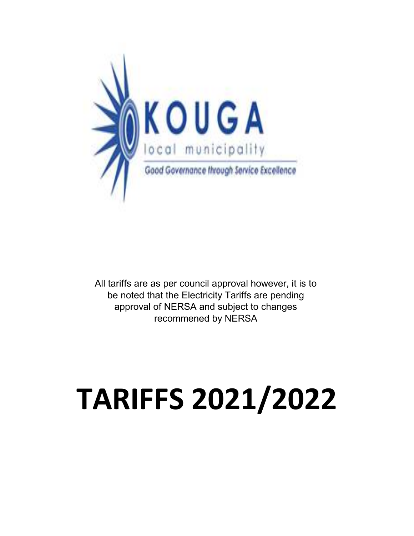

All tariffs are as per council approval however, it is to be noted that the Electricity Tariffs are pending approval of NERSA and subject to changes recommened by NERSA

## **TARIFFS 2021/2022**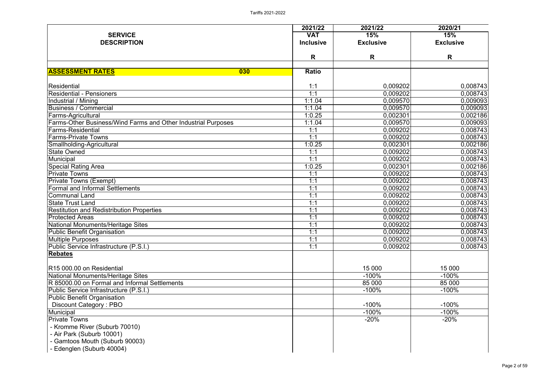|                                                                      | 2021/22          | 2021/22          | 2020/21          |
|----------------------------------------------------------------------|------------------|------------------|------------------|
| <b>SERVICE</b>                                                       | <b>VAT</b>       | <b>15%</b>       | 15%              |
| <b>DESCRIPTION</b>                                                   | <b>Inclusive</b> | <b>Exclusive</b> | <b>Exclusive</b> |
|                                                                      | R                | R                | R                |
|                                                                      |                  |                  |                  |
| <b>ASSESSMENT RATES</b><br>030                                       | <b>Ratio</b>     |                  |                  |
| Residential                                                          | 1:1              | 0,009202         | 0,008743         |
| <b>Residential - Pensioners</b>                                      | 1:1              | 0,009202         | 0,008743         |
| Industrial / Mining                                                  | 1:1.04           | 0,009570         | 0,009093         |
| <b>Business / Commercial</b>                                         | 1:1.04           | 0,009570         | 0,009093         |
| Farms-Agricultural                                                   | 1:0.25           | 0,002301         | 0,002186         |
| <b>Farms-Other Business/Wind Farms and Other Industrial Purposes</b> | 1:1.04           | 0,009570         | 0,009093         |
| <b>Farms-Residential</b>                                             | 1:1              | 0,009202         | 0,008743         |
| <b>Farms-Private Towns</b>                                           | 1:1              | 0,009202         | 0,008743         |
| Smallholding-Agricultural                                            | 1:0.25           | 0,002301         | 0,002186         |
| <b>State Owned</b>                                                   | 1:1              | 0,009202         | 0,008743         |
| Municipal                                                            | 1:1              | 0,009202         | 0,008743         |
| <b>Special Rating Area</b>                                           | 1:0.25           | 0,002301         | 0,002186         |
| <b>Private Towns</b>                                                 | 1:1              | 0,009202         | 0,008743         |
| <b>Private Towns (Exempt)</b>                                        | 1:1              | 0,009202         | 0,008743         |
| <b>Formal and Informal Settlements</b>                               | 1:1              | 0,009202         | 0,008743         |
| <b>Communal Land</b>                                                 | 1:1              | 0,009202         | 0,008743         |
| <b>State Trust Land</b>                                              | 1:1              | 0,009202         | 0,008743         |
| <b>Restitution and Redistribution Properties</b>                     | 1:1              | 0,009202         | 0,008743         |
| <b>Protected Areas</b>                                               | 1:1              | 0,009202         | 0,008743         |
| National Monuments/Heritage Sites                                    | 1:1              | 0,009202         | 0,008743         |
| Public Benefit Organisation                                          | 1:1              | 0,009202         | 0,008743         |
| Multiple Purposes                                                    | 1:1              | 0,009202         | 0,008743         |
| Public Service Infrastructure (P.S.I.)                               | 1:1              | 0,009202         | 0,008743         |
| Rebates                                                              |                  |                  |                  |
| IR15 000.00 on Residential                                           |                  | 15 000           | 15 000           |
| National Monuments/Heritage Sites                                    |                  | $-100%$          | $-100%$          |
| R 85000.00 on Formal and Informal Settlements                        |                  | 85 000           | 85 000           |
| Public Service Infrastructure (P.S.I.)                               |                  | $-100%$          | $-100%$          |
| <b>Public Benefit Organisation</b>                                   |                  |                  |                  |
| Discount Category: PBO                                               |                  | $-100%$          | $-100%$          |
| Municipal                                                            |                  | $-100\%$         | $-100%$          |
| <b>Private Towns</b>                                                 |                  | $-20\%$          | $-20%$           |
| - Kromme River (Suburb 70010)                                        |                  |                  |                  |
| - Air Park (Suburb 10001)                                            |                  |                  |                  |
| - Gamtoos Mouth (Suburb 90003)                                       |                  |                  |                  |
| - Edenglen (Suburb 40004)                                            |                  |                  |                  |
|                                                                      |                  |                  |                  |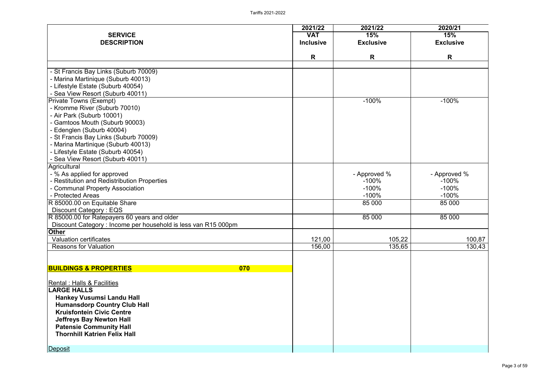| <b>SERVICE</b><br><b>VAT</b><br>15%<br>15%<br><b>DESCRIPTION</b><br><b>Inclusive</b><br><b>Exclusive</b><br><b>Exclusive</b><br>R<br>R<br>R<br>- St Francis Bay Links (Suburb 70009)<br>- Marina Martinique (Suburb 40013)<br>- Lifestyle Estate (Suburb 40054)<br>- Sea View Resort (Suburb 40011)<br><b>Private Towns (Exempt)</b><br>$-100%$<br>$-100%$<br>- Kromme River (Suburb 70010)<br>- Air Park (Suburb 10001)<br>- Gamtoos Mouth (Suburb 90003)<br>- Edenglen (Suburb 40004)<br>- St Francis Bay Links (Suburb 70009)<br>- Marina Martinique (Suburb 40013)<br>- Lifestyle Estate (Suburb 40054)<br>- Sea View Resort (Suburb 40011)<br>Agricultural<br>- % As applied for approved<br>- Approved %<br>- Approved %<br>- Restitution and Redistribution Properties<br>$-100%$<br>$-100%$<br>- Communal Property Association<br>$-100%$<br>$-100%$<br>- Protected Areas<br>$-100%$<br>$-100%$<br>R 85000.00 on Equitable Share<br>85 000<br>85 000<br>Discount Category: EQS<br>R 85000.00 for Ratepayers 60 years and older<br>85 000<br>85 000<br>Discount Category: Income per household is less van R15 000pm<br><b>Other</b><br><b>Valuation certificates</b><br>121,00<br>105,22<br>100,87<br>156,00<br>135,65<br>130,43<br><b>Reasons for Valuation</b><br><b>BUILDINGS &amp; PROPERTIES</b><br>070<br><b>Rental : Halls &amp; Facilities</b><br><b>LARGE HALLS</b><br><b>Hankey Vusumsi Landu Hall</b><br><b>Humansdorp Country Club Hall</b><br><b>Kruisfontein Civic Centre</b><br><b>Jeffreys Bay Newton Hall</b><br><b>Patensie Community Hall</b><br><b>Thornhill Katrien Felix Hall</b> |         | 2021/22 | 2021/22 | 2020/21 |
|-----------------------------------------------------------------------------------------------------------------------------------------------------------------------------------------------------------------------------------------------------------------------------------------------------------------------------------------------------------------------------------------------------------------------------------------------------------------------------------------------------------------------------------------------------------------------------------------------------------------------------------------------------------------------------------------------------------------------------------------------------------------------------------------------------------------------------------------------------------------------------------------------------------------------------------------------------------------------------------------------------------------------------------------------------------------------------------------------------------------------------------------------------------------------------------------------------------------------------------------------------------------------------------------------------------------------------------------------------------------------------------------------------------------------------------------------------------------------------------------------------------------------------------------------------------------------------------------------------------------|---------|---------|---------|---------|
|                                                                                                                                                                                                                                                                                                                                                                                                                                                                                                                                                                                                                                                                                                                                                                                                                                                                                                                                                                                                                                                                                                                                                                                                                                                                                                                                                                                                                                                                                                                                                                                                                 |         |         |         |         |
|                                                                                                                                                                                                                                                                                                                                                                                                                                                                                                                                                                                                                                                                                                                                                                                                                                                                                                                                                                                                                                                                                                                                                                                                                                                                                                                                                                                                                                                                                                                                                                                                                 |         |         |         |         |
|                                                                                                                                                                                                                                                                                                                                                                                                                                                                                                                                                                                                                                                                                                                                                                                                                                                                                                                                                                                                                                                                                                                                                                                                                                                                                                                                                                                                                                                                                                                                                                                                                 |         |         |         |         |
|                                                                                                                                                                                                                                                                                                                                                                                                                                                                                                                                                                                                                                                                                                                                                                                                                                                                                                                                                                                                                                                                                                                                                                                                                                                                                                                                                                                                                                                                                                                                                                                                                 |         |         |         |         |
|                                                                                                                                                                                                                                                                                                                                                                                                                                                                                                                                                                                                                                                                                                                                                                                                                                                                                                                                                                                                                                                                                                                                                                                                                                                                                                                                                                                                                                                                                                                                                                                                                 |         |         |         |         |
|                                                                                                                                                                                                                                                                                                                                                                                                                                                                                                                                                                                                                                                                                                                                                                                                                                                                                                                                                                                                                                                                                                                                                                                                                                                                                                                                                                                                                                                                                                                                                                                                                 |         |         |         |         |
|                                                                                                                                                                                                                                                                                                                                                                                                                                                                                                                                                                                                                                                                                                                                                                                                                                                                                                                                                                                                                                                                                                                                                                                                                                                                                                                                                                                                                                                                                                                                                                                                                 |         |         |         |         |
|                                                                                                                                                                                                                                                                                                                                                                                                                                                                                                                                                                                                                                                                                                                                                                                                                                                                                                                                                                                                                                                                                                                                                                                                                                                                                                                                                                                                                                                                                                                                                                                                                 |         |         |         |         |
|                                                                                                                                                                                                                                                                                                                                                                                                                                                                                                                                                                                                                                                                                                                                                                                                                                                                                                                                                                                                                                                                                                                                                                                                                                                                                                                                                                                                                                                                                                                                                                                                                 |         |         |         |         |
|                                                                                                                                                                                                                                                                                                                                                                                                                                                                                                                                                                                                                                                                                                                                                                                                                                                                                                                                                                                                                                                                                                                                                                                                                                                                                                                                                                                                                                                                                                                                                                                                                 |         |         |         |         |
|                                                                                                                                                                                                                                                                                                                                                                                                                                                                                                                                                                                                                                                                                                                                                                                                                                                                                                                                                                                                                                                                                                                                                                                                                                                                                                                                                                                                                                                                                                                                                                                                                 |         |         |         |         |
|                                                                                                                                                                                                                                                                                                                                                                                                                                                                                                                                                                                                                                                                                                                                                                                                                                                                                                                                                                                                                                                                                                                                                                                                                                                                                                                                                                                                                                                                                                                                                                                                                 |         |         |         |         |
|                                                                                                                                                                                                                                                                                                                                                                                                                                                                                                                                                                                                                                                                                                                                                                                                                                                                                                                                                                                                                                                                                                                                                                                                                                                                                                                                                                                                                                                                                                                                                                                                                 |         |         |         |         |
|                                                                                                                                                                                                                                                                                                                                                                                                                                                                                                                                                                                                                                                                                                                                                                                                                                                                                                                                                                                                                                                                                                                                                                                                                                                                                                                                                                                                                                                                                                                                                                                                                 |         |         |         |         |
|                                                                                                                                                                                                                                                                                                                                                                                                                                                                                                                                                                                                                                                                                                                                                                                                                                                                                                                                                                                                                                                                                                                                                                                                                                                                                                                                                                                                                                                                                                                                                                                                                 |         |         |         |         |
|                                                                                                                                                                                                                                                                                                                                                                                                                                                                                                                                                                                                                                                                                                                                                                                                                                                                                                                                                                                                                                                                                                                                                                                                                                                                                                                                                                                                                                                                                                                                                                                                                 |         |         |         |         |
|                                                                                                                                                                                                                                                                                                                                                                                                                                                                                                                                                                                                                                                                                                                                                                                                                                                                                                                                                                                                                                                                                                                                                                                                                                                                                                                                                                                                                                                                                                                                                                                                                 |         |         |         |         |
|                                                                                                                                                                                                                                                                                                                                                                                                                                                                                                                                                                                                                                                                                                                                                                                                                                                                                                                                                                                                                                                                                                                                                                                                                                                                                                                                                                                                                                                                                                                                                                                                                 |         |         |         |         |
|                                                                                                                                                                                                                                                                                                                                                                                                                                                                                                                                                                                                                                                                                                                                                                                                                                                                                                                                                                                                                                                                                                                                                                                                                                                                                                                                                                                                                                                                                                                                                                                                                 |         |         |         |         |
|                                                                                                                                                                                                                                                                                                                                                                                                                                                                                                                                                                                                                                                                                                                                                                                                                                                                                                                                                                                                                                                                                                                                                                                                                                                                                                                                                                                                                                                                                                                                                                                                                 |         |         |         |         |
|                                                                                                                                                                                                                                                                                                                                                                                                                                                                                                                                                                                                                                                                                                                                                                                                                                                                                                                                                                                                                                                                                                                                                                                                                                                                                                                                                                                                                                                                                                                                                                                                                 |         |         |         |         |
|                                                                                                                                                                                                                                                                                                                                                                                                                                                                                                                                                                                                                                                                                                                                                                                                                                                                                                                                                                                                                                                                                                                                                                                                                                                                                                                                                                                                                                                                                                                                                                                                                 |         |         |         |         |
|                                                                                                                                                                                                                                                                                                                                                                                                                                                                                                                                                                                                                                                                                                                                                                                                                                                                                                                                                                                                                                                                                                                                                                                                                                                                                                                                                                                                                                                                                                                                                                                                                 |         |         |         |         |
|                                                                                                                                                                                                                                                                                                                                                                                                                                                                                                                                                                                                                                                                                                                                                                                                                                                                                                                                                                                                                                                                                                                                                                                                                                                                                                                                                                                                                                                                                                                                                                                                                 |         |         |         |         |
|                                                                                                                                                                                                                                                                                                                                                                                                                                                                                                                                                                                                                                                                                                                                                                                                                                                                                                                                                                                                                                                                                                                                                                                                                                                                                                                                                                                                                                                                                                                                                                                                                 |         |         |         |         |
|                                                                                                                                                                                                                                                                                                                                                                                                                                                                                                                                                                                                                                                                                                                                                                                                                                                                                                                                                                                                                                                                                                                                                                                                                                                                                                                                                                                                                                                                                                                                                                                                                 |         |         |         |         |
|                                                                                                                                                                                                                                                                                                                                                                                                                                                                                                                                                                                                                                                                                                                                                                                                                                                                                                                                                                                                                                                                                                                                                                                                                                                                                                                                                                                                                                                                                                                                                                                                                 |         |         |         |         |
|                                                                                                                                                                                                                                                                                                                                                                                                                                                                                                                                                                                                                                                                                                                                                                                                                                                                                                                                                                                                                                                                                                                                                                                                                                                                                                                                                                                                                                                                                                                                                                                                                 |         |         |         |         |
|                                                                                                                                                                                                                                                                                                                                                                                                                                                                                                                                                                                                                                                                                                                                                                                                                                                                                                                                                                                                                                                                                                                                                                                                                                                                                                                                                                                                                                                                                                                                                                                                                 |         |         |         |         |
|                                                                                                                                                                                                                                                                                                                                                                                                                                                                                                                                                                                                                                                                                                                                                                                                                                                                                                                                                                                                                                                                                                                                                                                                                                                                                                                                                                                                                                                                                                                                                                                                                 |         |         |         |         |
|                                                                                                                                                                                                                                                                                                                                                                                                                                                                                                                                                                                                                                                                                                                                                                                                                                                                                                                                                                                                                                                                                                                                                                                                                                                                                                                                                                                                                                                                                                                                                                                                                 |         |         |         |         |
|                                                                                                                                                                                                                                                                                                                                                                                                                                                                                                                                                                                                                                                                                                                                                                                                                                                                                                                                                                                                                                                                                                                                                                                                                                                                                                                                                                                                                                                                                                                                                                                                                 |         |         |         |         |
|                                                                                                                                                                                                                                                                                                                                                                                                                                                                                                                                                                                                                                                                                                                                                                                                                                                                                                                                                                                                                                                                                                                                                                                                                                                                                                                                                                                                                                                                                                                                                                                                                 |         |         |         |         |
|                                                                                                                                                                                                                                                                                                                                                                                                                                                                                                                                                                                                                                                                                                                                                                                                                                                                                                                                                                                                                                                                                                                                                                                                                                                                                                                                                                                                                                                                                                                                                                                                                 |         |         |         |         |
|                                                                                                                                                                                                                                                                                                                                                                                                                                                                                                                                                                                                                                                                                                                                                                                                                                                                                                                                                                                                                                                                                                                                                                                                                                                                                                                                                                                                                                                                                                                                                                                                                 |         |         |         |         |
|                                                                                                                                                                                                                                                                                                                                                                                                                                                                                                                                                                                                                                                                                                                                                                                                                                                                                                                                                                                                                                                                                                                                                                                                                                                                                                                                                                                                                                                                                                                                                                                                                 |         |         |         |         |
|                                                                                                                                                                                                                                                                                                                                                                                                                                                                                                                                                                                                                                                                                                                                                                                                                                                                                                                                                                                                                                                                                                                                                                                                                                                                                                                                                                                                                                                                                                                                                                                                                 |         |         |         |         |
|                                                                                                                                                                                                                                                                                                                                                                                                                                                                                                                                                                                                                                                                                                                                                                                                                                                                                                                                                                                                                                                                                                                                                                                                                                                                                                                                                                                                                                                                                                                                                                                                                 |         |         |         |         |
|                                                                                                                                                                                                                                                                                                                                                                                                                                                                                                                                                                                                                                                                                                                                                                                                                                                                                                                                                                                                                                                                                                                                                                                                                                                                                                                                                                                                                                                                                                                                                                                                                 |         |         |         |         |
|                                                                                                                                                                                                                                                                                                                                                                                                                                                                                                                                                                                                                                                                                                                                                                                                                                                                                                                                                                                                                                                                                                                                                                                                                                                                                                                                                                                                                                                                                                                                                                                                                 |         |         |         |         |
|                                                                                                                                                                                                                                                                                                                                                                                                                                                                                                                                                                                                                                                                                                                                                                                                                                                                                                                                                                                                                                                                                                                                                                                                                                                                                                                                                                                                                                                                                                                                                                                                                 |         |         |         |         |
|                                                                                                                                                                                                                                                                                                                                                                                                                                                                                                                                                                                                                                                                                                                                                                                                                                                                                                                                                                                                                                                                                                                                                                                                                                                                                                                                                                                                                                                                                                                                                                                                                 |         |         |         |         |
|                                                                                                                                                                                                                                                                                                                                                                                                                                                                                                                                                                                                                                                                                                                                                                                                                                                                                                                                                                                                                                                                                                                                                                                                                                                                                                                                                                                                                                                                                                                                                                                                                 | Deposit |         |         |         |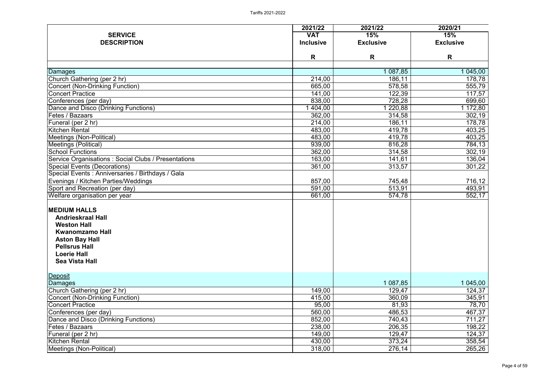|                                                                                   | 2021/22          | 2021/22          | 2020/21          |
|-----------------------------------------------------------------------------------|------------------|------------------|------------------|
| <b>SERVICE</b>                                                                    | <b>VAT</b>       | 15%              | 15%              |
| <b>DESCRIPTION</b>                                                                | <b>Inclusive</b> | <b>Exclusive</b> | <b>Exclusive</b> |
|                                                                                   | R                | R                | R                |
|                                                                                   |                  |                  |                  |
| Damages                                                                           |                  | 087,85           | 1 045,00         |
| Church Gathering (per 2 hr)                                                       | 214,00           | 186,11           | 178,78           |
| <b>Concert (Non-Drinking Function)</b>                                            | 665,00           | 578,58           | 555,79           |
| <b>Concert Practice</b>                                                           | 141,00           | 122,39           | 117,57           |
| Conferences (per day)                                                             | 838,00           | 728,28           | 699,60           |
| Dance and Disco (Drinking Functions)                                              | 404,00           | 220,88           | 1 172,80         |
| Fetes / Bazaars                                                                   | 362,00           | 314,58           | 302,19           |
| Funeral (per 2 hr)                                                                | 214,00           | 186,11           | 178,78           |
| <b>Kitchen Rental</b>                                                             | 483,00           | 419,78           | 403,25           |
| <b>Meetings (Non-Political)</b>                                                   | 483,00           | 419,78           | 403,25           |
| Meetings (Political)                                                              | 939,00           | 816,28           | 784,13           |
| <b>School Functions</b>                                                           | 362,00           | 314,58           | 302,19           |
| Service Organisations: Social Clubs / Presentations                               | 163,00           | 141,61           | 136,04           |
| Special Events (Decorations)<br>Special Events : Anniversaries / Birthdays / Gala | 361,00           | 313,57           | 301,22           |
|                                                                                   |                  |                  |                  |
| Evenings / Kitchen Parties/Weddings                                               | 857,00           | 745,48           | 716,12           |
| Sport and Recreation (per day)                                                    | 591,00           | 513,91           | 493,91           |
| Welfare organisation per year                                                     | 661,00           | 574,78           | 552,17           |
| <b>MEDIUM HALLS</b>                                                               |                  |                  |                  |
| <b>Andrieskraal Hall</b>                                                          |                  |                  |                  |
| <b>Weston Hall</b>                                                                |                  |                  |                  |
| <b>Kwanomzamo Hall</b>                                                            |                  |                  |                  |
| <b>Aston Bay Hall</b>                                                             |                  |                  |                  |
| <b>Pellsrus Hall</b>                                                              |                  |                  |                  |
| <b>Loerie Hall</b>                                                                |                  |                  |                  |
| <b>Sea Vista Hall</b>                                                             |                  |                  |                  |
|                                                                                   |                  |                  |                  |
| Deposit                                                                           |                  |                  |                  |
| Damages                                                                           |                  | 1 087,85         | 1 045,00         |
| Church Gathering (per 2 hr)                                                       | 149,00           | 129,47           | 124,37           |
| <b>Concert (Non-Drinking Function)</b>                                            | 415,00           | 360,09           | 345,91           |
| <b>Concert Practice</b>                                                           | 95,00            | 81,93            | 78,70            |
| Conferences (per day)                                                             | 560,00           | 486,53           | 467,37           |
| Dance and Disco (Drinking Functions)                                              | 852,00           | 740,43           | 711,27           |
| Fetes / Bazaars                                                                   | 238,00           | 206,35           | 198,22           |
| Funeral (per 2 hr)                                                                | 149,00           | 129,47           | 124,37           |
| Kitchen Rental                                                                    | 430,00           | 373,24           | 358,54           |
| Meetings (Non-Political)                                                          | 318,00           | 276,14           | 265,26           |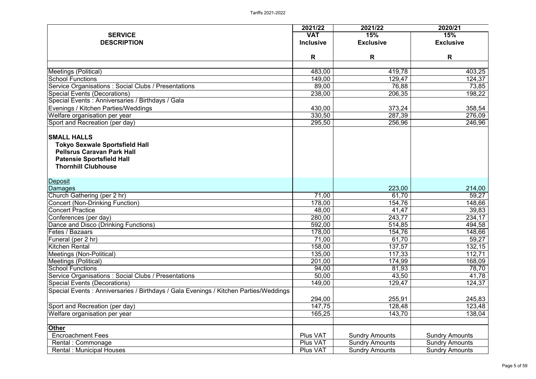|                                                                                      | 2021/22             | 2021/22               | 2020/21               |
|--------------------------------------------------------------------------------------|---------------------|-----------------------|-----------------------|
| <b>SERVICE</b>                                                                       | <b>VAT</b>          | 15%                   | 15%                   |
| <b>DESCRIPTION</b>                                                                   | <b>Inclusive</b>    | <b>Exclusive</b>      | <b>Exclusive</b>      |
|                                                                                      |                     |                       |                       |
|                                                                                      | R                   | R                     | R                     |
| Meetings (Political)                                                                 | 483,00              | 419,78                | 403,25                |
| <b>School Functions</b>                                                              | 149,00              | 129,47                | 124,37                |
| Service Organisations: Social Clubs / Presentations                                  | 89,00               | 76,88                 | 73,85                 |
| <b>Special Events (Decorations)</b>                                                  | 238,00              | 206,35                | 198,22                |
| Special Events: Anniversaries / Birthdays / Gala                                     |                     |                       |                       |
| Evenings / Kitchen Parties/Weddings                                                  | 430,00              | 373,24                | 358,54                |
| Welfare organisation per year                                                        | 330,50              | 287,39                | 276,09                |
| Sport and Recreation (per day)                                                       | 295,50              | 256,96                | 246,96                |
| <b>SMALL HALLS</b>                                                                   |                     |                       |                       |
| <b>Tokyo Sexwale Sportsfield Hall</b>                                                |                     |                       |                       |
| <b>Pellsrus Caravan Park Hall</b>                                                    |                     |                       |                       |
| <b>Patensie Sportsfield Hall</b>                                                     |                     |                       |                       |
| <b>Thornhill Clubhouse</b>                                                           |                     |                       |                       |
|                                                                                      |                     |                       |                       |
| <b>Deposit</b>                                                                       |                     |                       |                       |
| Damages                                                                              |                     | 223,00                | 214,00                |
| Church Gathering (per 2 hr)                                                          | 71,00               | 61,70                 | 59,27                 |
| <b>Concert (Non-Drinking Function)</b>                                               | 178,00              | 154,76                | 148,66                |
| <b>Concert Practice</b>                                                              | 48,00               | 41,47                 | 39,83                 |
| Conferences (per day)                                                                | 280,00              | 243,77                | 234,17                |
| Dance and Disco (Drinking Functions)                                                 | $\overline{592,00}$ | 514,85                | 494,58                |
| Fetes / Bazaars                                                                      | 178,00              | 154,76                | 148,66                |
| Funeral (per 2 hr)                                                                   | 71,00               | 61,70                 | 59,27                 |
| <b>Kitchen Rental</b>                                                                | 158,00              | 137,57                | 132,15                |
| Meetings (Non-Political)                                                             | 135,00              | 117,33                | 112,71                |
| <b>Meetings (Political)</b>                                                          | 201,00              | 174,99                | 168,09                |
| <b>School Functions</b>                                                              | 94,00               | 81,93                 | 78,70                 |
| Service Organisations: Social Clubs / Presentations                                  | 50,00               | 43,50                 | 41,78                 |
| Special Events (Decorations)                                                         | 149,00              | 129,47                | 124,37                |
| Special Events: Anniversaries / Birthdays / Gala Evenings / Kitchen Parties/Weddings |                     |                       |                       |
|                                                                                      | 294,00              | 255,91                | 245,83                |
| Sport and Recreation (per day)                                                       | 147,75              | 128,48                | 123,48                |
| Welfare organisation per year                                                        | 165,25              | 143,70                | 138,04                |
| <b>Other</b>                                                                         |                     |                       |                       |
| <b>Encroachment Fees</b>                                                             | Plus VAT            | <b>Sundry Amounts</b> | <b>Sundry Amounts</b> |
| Rental: Commonage                                                                    | <b>Plus VAT</b>     | <b>Sundry Amounts</b> | <b>Sundry Amounts</b> |
| <b>Rental: Municipal Houses</b>                                                      | Plus VAT            | <b>Sundry Amounts</b> | <b>Sundry Amounts</b> |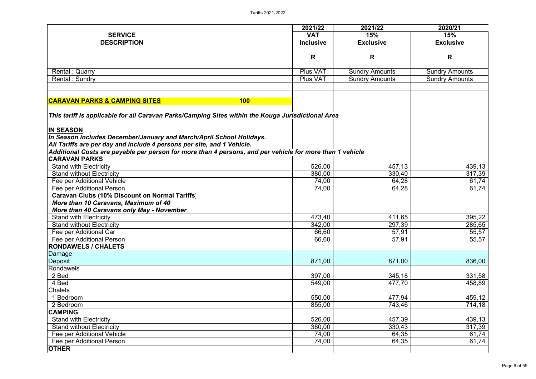|                                                                                                                                                | 2021/22          | 2021/22               | 2020/21               |
|------------------------------------------------------------------------------------------------------------------------------------------------|------------------|-----------------------|-----------------------|
| <b>SERVICE</b>                                                                                                                                 | <b>VAT</b>       | 15%                   | 15%                   |
| <b>DESCRIPTION</b>                                                                                                                             | <b>Inclusive</b> | <b>Exclusive</b>      | <b>Exclusive</b>      |
|                                                                                                                                                |                  |                       |                       |
|                                                                                                                                                | R                | R                     | R                     |
| Rental: Quarry                                                                                                                                 | <b>Plus VAT</b>  | <b>Sundry Amounts</b> | <b>Sundry Amounts</b> |
| Rental: Sundry                                                                                                                                 | <b>Plus VAT</b>  | <b>Sundry Amounts</b> | <b>Sundry Amounts</b> |
|                                                                                                                                                |                  |                       |                       |
| <b>CARAVAN PARKS &amp; CAMPING SITES</b><br><b>100</b>                                                                                         |                  |                       |                       |
| This tariff is applicable for all Caravan Parks/Camping Sites within the Kouga Jurisdictional Area                                             |                  |                       |                       |
| <b>IN SEASON</b>                                                                                                                               |                  |                       |                       |
| In Season includes December/January and March/April School Holidays.<br>All Tariffs are per day and include 4 persons per site, and 1 Vehicle. |                  |                       |                       |
| Additional Costs are payable per person for more than 4 persons, and per vehicle for more than 1 vehicle                                       |                  |                       |                       |
| <b>CARAVAN PARKS</b>                                                                                                                           |                  |                       |                       |
| <b>Stand with Electricity</b>                                                                                                                  | 526,00           | 457,13                | 439,13                |
| <b>Stand without Electricity</b>                                                                                                               | 380,00           | 330,40                | 317,39                |
| Fee per Additional Vehicle                                                                                                                     | 74,00            | 64,28                 | 61,74                 |
| Fee per Additional Person                                                                                                                      | 74,00            | 64,28                 | 61,74                 |
| Caravan Clubs (10% Discount on Normal Tariffs)                                                                                                 |                  |                       |                       |
| More than 10 Caravans, Maximum of 40                                                                                                           |                  |                       |                       |
| <b>More than 40 Caravans only May - November</b>                                                                                               |                  |                       |                       |
| <b>Stand with Electricity</b>                                                                                                                  | 473,40           | 411,65                | 395,22                |
| <b>Stand without Electricity</b>                                                                                                               | 342,00           | 297,39                | 285,65                |
| Fee per Additional Car                                                                                                                         | 66,60            | 57,91                 | 55,57                 |
| Fee per Additional Person                                                                                                                      | 66,60            | 57,91                 | 55,57                 |
| <b>RONDAWELS / CHALETS</b>                                                                                                                     |                  |                       |                       |
| Damage                                                                                                                                         |                  |                       |                       |
| Deposit                                                                                                                                        | 871,00           | 871,00                | 836,00                |
| Rondawels                                                                                                                                      |                  |                       |                       |
| 2 Bed                                                                                                                                          | 397,00           | 345,18                | 331,58                |
| 4 Bed                                                                                                                                          | 549,00           | 477,70                | 458,89                |
| <b>Chalets</b>                                                                                                                                 |                  |                       |                       |
| Bedroom                                                                                                                                        | 550,00           | 477,94                | 459,12                |
| 2 Bedroom                                                                                                                                      | 855,00           | 743,46                | 714,18                |
| <b>CAMPING</b>                                                                                                                                 |                  |                       |                       |
| <b>Stand with Electricity</b>                                                                                                                  | 526,00           | 457,39                | 439,13                |
| <b>Stand without Electricity</b>                                                                                                               | 380,00           | 330,43                | 317,39                |
| Fee per Additional Vehicle                                                                                                                     | 74,00            | 64,35                 | 61,74                 |
| Fee per Additional Person                                                                                                                      | 74,00            | 64,35                 | 61,74                 |
| <b>OTHER</b>                                                                                                                                   |                  |                       |                       |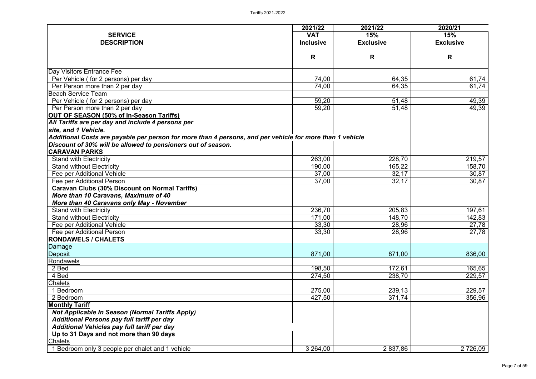|                                                                                                          | 2021/22            | 2021/22          | 2020/21            |
|----------------------------------------------------------------------------------------------------------|--------------------|------------------|--------------------|
| <b>SERVICE</b>                                                                                           | <b>VAT</b>         | 15%              | 15%                |
| <b>DESCRIPTION</b>                                                                                       | <b>Inclusive</b>   | <b>Exclusive</b> | <b>Exclusive</b>   |
|                                                                                                          |                    |                  |                    |
|                                                                                                          | R                  | R                | R                  |
| Day Visitors Entrance Fee                                                                                |                    |                  |                    |
| Per Vehicle (for 2 persons) per day                                                                      | 74,00              | 64,35            | 61,74              |
| Per Person more than 2 per day                                                                           | $\overline{74,00}$ | 64,35            | 61,74              |
| <b>Beach Service Team</b>                                                                                |                    |                  |                    |
| Per Vehicle (for 2 persons) per day                                                                      | 59,20              | 51,48            | 49,39              |
| Per Person more than 2 per day                                                                           | 59,20              | 51,48            | 49,39              |
| OUT OF SEASON (50% of In-Season Tariffs)                                                                 |                    |                  |                    |
| All Tariffs are per day and include 4 persons per                                                        |                    |                  |                    |
| site, and 1 Vehicle.                                                                                     |                    |                  |                    |
| Additional Costs are payable per person for more than 4 persons, and per vehicle for more than 1 vehicle |                    |                  |                    |
| Discount of 30% will be allowed to pensioners out of season.                                             |                    |                  |                    |
| <b>CARAVAN PARKS</b>                                                                                     |                    |                  |                    |
| <b>Stand with Electricity</b>                                                                            | 263,00             | 228,70           | 219,57             |
| <b>Stand without Electricity</b>                                                                         | 190,00             | 165,22           | 158,70             |
| Fee per Additional Vehicle                                                                               | 37,00              | 32,17            | 30,87              |
| Fee per Additional Person                                                                                | 37,00              | 32,17            | 30,87              |
| <b>Caravan Clubs (30% Discount on Normal Tariffs)</b>                                                    |                    |                  |                    |
| More than 10 Caravans, Maximum of 40                                                                     |                    |                  |                    |
| More than 40 Caravans only May - November                                                                |                    |                  |                    |
| <b>Stand with Electricity</b>                                                                            | 236,70             | 205,83           | 197,61             |
| <b>Stand without Electricity</b>                                                                         | 171,00             | 148,70           | 142,83             |
| Fee per Additional Vehicle                                                                               | 33,30              | 28,96            | 27,78              |
| Fee per Additional Person                                                                                | 33,30              | 28,96            | $\overline{27,78}$ |
| <b>RONDAWELS / CHALETS</b>                                                                               |                    |                  |                    |
| <b>Damage</b>                                                                                            |                    |                  |                    |
| Deposit                                                                                                  | 871,00             | 871,00           | 836,00             |
| Rondawels                                                                                                |                    |                  |                    |
| 2 Bed                                                                                                    | 198,50             | 172,61           | 165,65             |
| 4 Bed                                                                                                    | 274,50             | 238,70           | 229,57             |
| <b>Chalets</b>                                                                                           |                    |                  |                    |
| <b>Bedroom</b>                                                                                           | 275,00             | 239,13           | 229,57             |
| 2 Bedroom                                                                                                | 427,50             | 371,74           | 356,96             |
| <b>Monthly Tariff</b>                                                                                    |                    |                  |                    |
| <b>Not Applicable In Season (Normal Tariffs Apply)</b>                                                   |                    |                  |                    |
| <b>Additional Persons pay full tariff per day</b>                                                        |                    |                  |                    |
| Additional Vehicles pay full tariff per day                                                              |                    |                  |                    |
| Up to 31 Days and not more than 90 days                                                                  |                    |                  |                    |
| <b>Chalets</b>                                                                                           |                    |                  |                    |
| Bedroom only 3 people per chalet and 1 vehicle                                                           | 3 264,00           | 2 837,86         | 2 726,09           |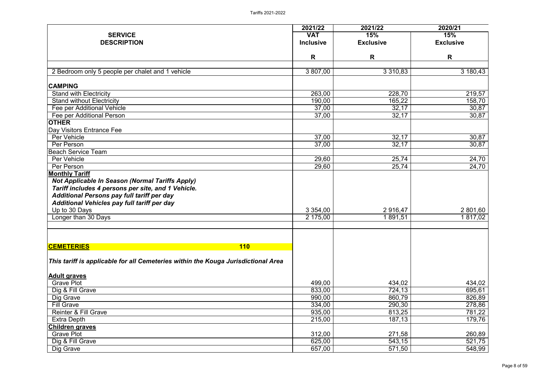|                                                                                   | 2021/22          | 2021/22          | 2020/21          |
|-----------------------------------------------------------------------------------|------------------|------------------|------------------|
| <b>SERVICE</b>                                                                    | <b>VAT</b>       | 15%              | 15%              |
| <b>DESCRIPTION</b>                                                                | <b>Inclusive</b> | <b>Exclusive</b> | <b>Exclusive</b> |
|                                                                                   | R                | R                | R                |
| 2 Bedroom only 5 people per chalet and 1 vehicle                                  | 3 807,00         | 3 3 1 0, 8 3     | 3 180,43         |
| <b>CAMPING</b>                                                                    |                  |                  |                  |
| <b>Stand with Electricity</b>                                                     | 263,00           | 228,70           | 219,57           |
| <b>Stand without Electricity</b>                                                  | 190,00           | 165,22           | 158,70           |
| Fee per Additional Vehicle                                                        | 37,00            | 32,17            | 30,87            |
| Fee per Additional Person                                                         | 37,00            | 32,17            | 30,87            |
| <b>OTHER</b>                                                                      |                  |                  |                  |
| Day Visitors Entrance Fee                                                         |                  |                  |                  |
| Per Vehicle                                                                       | 37,00            | 32,17            | 30,87            |
| Per Person                                                                        | 37,00            | 32,17            | 30,87            |
| <b>Beach Service Team</b>                                                         |                  |                  |                  |
| Per Vehicle                                                                       | 29,60            | 25,74            | 24,70            |
| Per Person                                                                        | 29,60            | 25,74            | 24,70            |
| <b>Monthly Tariff</b>                                                             |                  |                  |                  |
| <b>Not Applicable In Season (Normal Tariffs Apply)</b>                            |                  |                  |                  |
| Tariff includes 4 persons per site, and 1 Vehicle.                                |                  |                  |                  |
| <b>Additional Persons pay full tariff per day</b>                                 |                  |                  |                  |
| Additional Vehicles pay full tariff per day                                       |                  |                  |                  |
| Up to 30 Days                                                                     | 3 3 5 4 ,00      | 2916,47          | 2 801,60         |
| Longer than 30 Days                                                               | 2 175,00         | 891,51           | 1 817,02         |
|                                                                                   |                  |                  |                  |
| <b>CEMETERIES</b><br><b>110</b>                                                   |                  |                  |                  |
| This tariff is applicable for all Cemeteries within the Kouga Jurisdictional Area |                  |                  |                  |
| <b>Adult graves</b>                                                               |                  |                  |                  |
| <b>Grave Plot</b>                                                                 | 499,00           | 434,02           | 434,02           |
| Dig & Fill Grave                                                                  | 833,00           | 724,13           | 695,61           |
| Dig Grave                                                                         | 990,00           | 860,79           | 826,89           |
| <b>Fill Grave</b>                                                                 | 334,00           | 290,30           | 278,86           |
| <b>Reinter &amp; Fill Grave</b>                                                   | 935,00           | 813,25           | 781,22           |
| <b>Extra Depth</b>                                                                | 215,00           | 187,13           | 179,76           |
| <b>Children graves</b>                                                            |                  |                  |                  |
| <b>Grave Plot</b>                                                                 | 312,00           | 271,58           | 260,89           |
| Dig & Fill Grave                                                                  | 625,00           | 543,15           | 521,75           |
| Dig Grave                                                                         | 657,00           | 571,50           | 548,99           |
|                                                                                   |                  |                  |                  |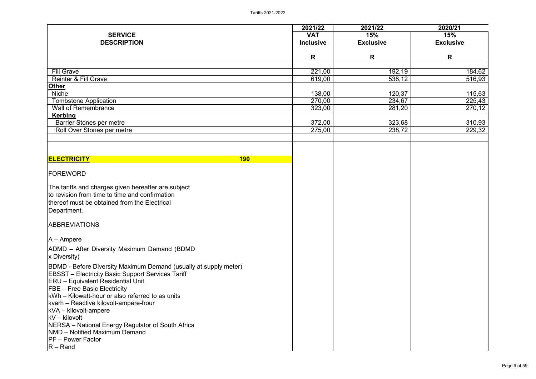|                                                                                                                                                                                                                                                                                                                                                                                                                                                                                                              | 2021/22          | 2021/22          | 2020/21          |
|--------------------------------------------------------------------------------------------------------------------------------------------------------------------------------------------------------------------------------------------------------------------------------------------------------------------------------------------------------------------------------------------------------------------------------------------------------------------------------------------------------------|------------------|------------------|------------------|
| <b>SERVICE</b>                                                                                                                                                                                                                                                                                                                                                                                                                                                                                               | <b>VAT</b>       | <b>15%</b>       | 15%              |
| <b>DESCRIPTION</b>                                                                                                                                                                                                                                                                                                                                                                                                                                                                                           | <b>Inclusive</b> | <b>Exclusive</b> | <b>Exclusive</b> |
|                                                                                                                                                                                                                                                                                                                                                                                                                                                                                                              | R                | R                | R                |
| <b>Fill Grave</b>                                                                                                                                                                                                                                                                                                                                                                                                                                                                                            |                  |                  |                  |
| <b>Reinter &amp; Fill Grave</b>                                                                                                                                                                                                                                                                                                                                                                                                                                                                              | 221,00<br>619,00 | 192,19<br>538,12 | 184,62<br>516,93 |
| <b>Other</b>                                                                                                                                                                                                                                                                                                                                                                                                                                                                                                 |                  |                  |                  |
| <b>Niche</b>                                                                                                                                                                                                                                                                                                                                                                                                                                                                                                 | 138,00           | 120,37           | 115,63           |
| <b>Tombstone Application</b>                                                                                                                                                                                                                                                                                                                                                                                                                                                                                 | 270,00           | 234,67           | 225,43           |
| <b>Wall of Remembrance</b>                                                                                                                                                                                                                                                                                                                                                                                                                                                                                   | 323,00           | 281,20           | 270,12           |
| <b>Kerbing</b>                                                                                                                                                                                                                                                                                                                                                                                                                                                                                               |                  |                  |                  |
| <b>Barrier Stones per metre</b>                                                                                                                                                                                                                                                                                                                                                                                                                                                                              | 372,00           | 323,68           | 310,93           |
| Roll Over Stones per metre                                                                                                                                                                                                                                                                                                                                                                                                                                                                                   | 275,00           | 238,72           | 229,32           |
|                                                                                                                                                                                                                                                                                                                                                                                                                                                                                                              |                  |                  |                  |
| <b>ELECTRICITY</b><br><b>190</b>                                                                                                                                                                                                                                                                                                                                                                                                                                                                             |                  |                  |                  |
| <b>FOREWORD</b>                                                                                                                                                                                                                                                                                                                                                                                                                                                                                              |                  |                  |                  |
| The tariffs and charges given hereafter are subject<br>to revision from time to time and confirmation<br>thereof must be obtained from the Electrical<br>Department.                                                                                                                                                                                                                                                                                                                                         |                  |                  |                  |
| <b>ABBREVIATIONS</b>                                                                                                                                                                                                                                                                                                                                                                                                                                                                                         |                  |                  |                  |
| $A - Ampere$                                                                                                                                                                                                                                                                                                                                                                                                                                                                                                 |                  |                  |                  |
| ADMD - After Diversity Maximum Demand (BDMD)<br><b>x Diversity)</b>                                                                                                                                                                                                                                                                                                                                                                                                                                          |                  |                  |                  |
| <b>BDMD</b> - Before Diversity Maximum Demand (usually at supply meter)<br><b>EBSST</b> – Electricity Basic Support Services Tariff<br><b>IERU</b> - Equivalent Residential Unit<br><b>FBE</b> – Free Basic Electricity<br>KWh – Kilowatt-hour or also referred to as units<br>kvarh - Reactive kilovolt-ampere-hour<br>$kVA - kilovolt-ampere$<br>$kV - kilovolt$<br><b>NERSA</b> – National Energy Regulator of South Africa<br><b>NMD</b> – Notified Maximum Demand<br>$PF - Power Factor$<br>$ R -$ Rand |                  |                  |                  |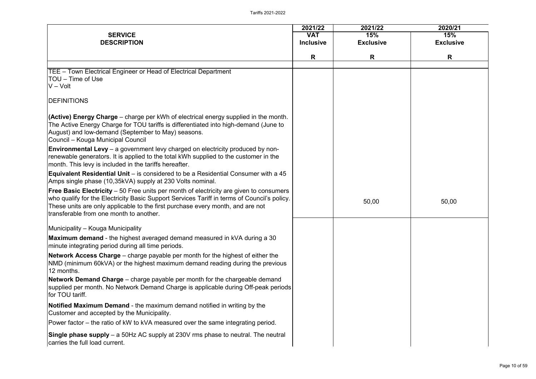| 2021/22         | 2020/21          |
|-----------------|------------------|
| 15%             | 15%              |
| <b>xclusive</b> | <b>Exclusive</b> |
| $\mathsf{R}$    | R                |
|                 |                  |
|                 |                  |
|                 |                  |
|                 |                  |
|                 |                  |
|                 |                  |
|                 |                  |
|                 |                  |
|                 |                  |
|                 |                  |
|                 |                  |
|                 |                  |
|                 |                  |
|                 |                  |
|                 |                  |
|                 |                  |
| 50,00           | 50,00            |
|                 |                  |
|                 |                  |
|                 |                  |
|                 |                  |
|                 |                  |
|                 |                  |
|                 |                  |
|                 |                  |
|                 |                  |
|                 |                  |
|                 |                  |
|                 |                  |
|                 |                  |
|                 |                  |
|                 |                  |
|                 |                  |
|                 |                  |

| <b>SERVICE</b><br><b>DESCRIPTION</b>                                                                                                                                                                                                                                                                                      | 2021/22<br><b>VAT</b><br><b>Inclusive</b> | 2021/22<br>15%<br><b>Exclusive</b> | 2020/21<br>15%<br><b>Exclusive</b> |
|---------------------------------------------------------------------------------------------------------------------------------------------------------------------------------------------------------------------------------------------------------------------------------------------------------------------------|-------------------------------------------|------------------------------------|------------------------------------|
|                                                                                                                                                                                                                                                                                                                           | R                                         | R                                  | R                                  |
|                                                                                                                                                                                                                                                                                                                           |                                           |                                    |                                    |
| TEE – Town Electrical Engineer or Head of Electrical Department<br>ITOU – Time of Use<br>$V - Volt$                                                                                                                                                                                                                       |                                           |                                    |                                    |
| <b>IDEFINITIONS</b>                                                                                                                                                                                                                                                                                                       |                                           |                                    |                                    |
| $ $ (Active) Energy Charge – charge per kWh of electrical energy supplied in the month.<br>The Active Energy Charge for TOU tariffs is differentiated into high-demand (June to<br>August) and low-demand (September to May) seasons.<br>Council – Kouga Municipal Council                                                |                                           |                                    |                                    |
| <b>Environmental Levy</b> – a government levy charged on electricity produced by non-<br>renewable generators. It is applied to the total kWh supplied to the customer in the<br>month. This levy is included in the tariffs hereafter.                                                                                   |                                           |                                    |                                    |
| <b>Equivalent Residential Unit</b> – is considered to be a Residential Consumer with a 45<br>Amps single phase (10,35kVA) supply at 230 Volts nominal.                                                                                                                                                                    |                                           |                                    |                                    |
| <b>Free Basic Electricity</b> – 50 Free units per month of electricity are given to consumers<br>who qualify for the Electricity Basic Support Services Tariff in terms of Council's policy.<br>These units are only applicable to the first purchase every month, and are not<br>transferable from one month to another. |                                           | 50,00                              | 50,00                              |
| Municipality - Kouga Municipality                                                                                                                                                                                                                                                                                         |                                           |                                    |                                    |
| <b>Maximum demand</b> - the highest averaged demand measured in kVA during a 30<br>minute integrating period during all time periods.                                                                                                                                                                                     |                                           |                                    |                                    |
| <b>Network Access Charge</b> – charge payable per month for the highest of either the<br>NMD (minimum 60kVA) or the highest maximum demand reading during the previous<br>12 months.                                                                                                                                      |                                           |                                    |                                    |
| <b>Network Demand Charge</b> – charge payable per month for the chargeable demand<br>supplied per month. No Network Demand Charge is applicable during Off-peak periods<br>for TOU tariff.                                                                                                                                |                                           |                                    |                                    |
| <b>Notified Maximum Demand</b> - the maximum demand notified in writing by the<br>Customer and accepted by the Municipality.                                                                                                                                                                                              |                                           |                                    |                                    |
| Power factor – the ratio of kW to kVA measured over the same integrating period.                                                                                                                                                                                                                                          |                                           |                                    |                                    |
| <b>Single phase supply</b> – a 50Hz AC supply at 230V rms phase to neutral. The neutral<br>carries the full load current.                                                                                                                                                                                                 |                                           |                                    |                                    |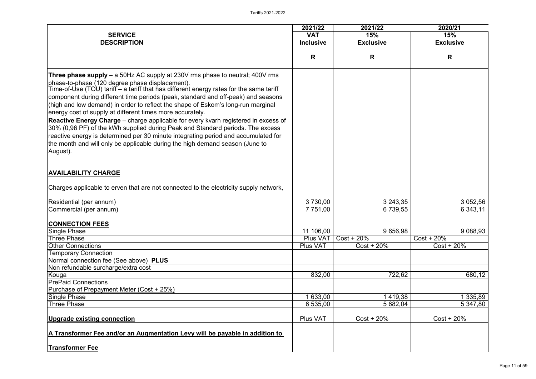|                                                                                                                                                                                                                                                                                                                                                                                                                                                                                                                                                                                                                                                                                                                                                                                                                                          | 2021/22                                         | 2021/22                                 | 2020/21                                     |
|------------------------------------------------------------------------------------------------------------------------------------------------------------------------------------------------------------------------------------------------------------------------------------------------------------------------------------------------------------------------------------------------------------------------------------------------------------------------------------------------------------------------------------------------------------------------------------------------------------------------------------------------------------------------------------------------------------------------------------------------------------------------------------------------------------------------------------------|-------------------------------------------------|-----------------------------------------|---------------------------------------------|
| <b>SERVICE</b>                                                                                                                                                                                                                                                                                                                                                                                                                                                                                                                                                                                                                                                                                                                                                                                                                           | <b>VAT</b>                                      | 15%                                     | 15%                                         |
| <b>DESCRIPTION</b>                                                                                                                                                                                                                                                                                                                                                                                                                                                                                                                                                                                                                                                                                                                                                                                                                       | <b>Inclusive</b>                                | <b>Exclusive</b>                        | <b>Exclusive</b>                            |
|                                                                                                                                                                                                                                                                                                                                                                                                                                                                                                                                                                                                                                                                                                                                                                                                                                          | R                                               | R                                       | R                                           |
|                                                                                                                                                                                                                                                                                                                                                                                                                                                                                                                                                                                                                                                                                                                                                                                                                                          |                                                 |                                         |                                             |
| <b>Three phase supply</b> – a 50Hz AC supply at 230V rms phase to neutral; 400V rms<br>phase-to-phase (120 degree phase displacement).<br>Time-of-Use (TOU) tariff – a tariff that has different energy rates for the same tariff<br>component during different time periods (peak, standard and off-peak) and seasons<br>(high and low demand) in order to reflect the shape of Eskom's long-run marginal<br>energy cost of supply at different times more accurately.<br><b>Reactive Energy Charge</b> – charge applicable for every kvarh registered in excess of<br>30% (0,96 PF) of the kWh supplied during Peak and Standard periods. The excess<br>reactive energy is determined per 30 minute integrating period and accumulated for<br>the month and will only be applicable during the high demand season (June to<br>August). |                                                 |                                         |                                             |
| <b>AVAILABILITY CHARGE</b>                                                                                                                                                                                                                                                                                                                                                                                                                                                                                                                                                                                                                                                                                                                                                                                                               |                                                 |                                         |                                             |
| Charges applicable to erven that are not connected to the electricity supply network,                                                                                                                                                                                                                                                                                                                                                                                                                                                                                                                                                                                                                                                                                                                                                    |                                                 |                                         |                                             |
| Residential (per annum)                                                                                                                                                                                                                                                                                                                                                                                                                                                                                                                                                                                                                                                                                                                                                                                                                  | 3 730,00                                        | 3 243,35                                | 3 052,56                                    |
| Commercial (per annum)                                                                                                                                                                                                                                                                                                                                                                                                                                                                                                                                                                                                                                                                                                                                                                                                                   | 7 751,00                                        | 6 739,55                                | 6 343,11                                    |
| <b>CONNECTION FEES</b><br><b>Single Phase</b><br>Three Phase<br><b>Other Connections</b><br><b>Temporary Connection</b>                                                                                                                                                                                                                                                                                                                                                                                                                                                                                                                                                                                                                                                                                                                  | 11 106,00<br><b>Plus VAT</b><br><b>Plus VAT</b> | 9 656,98<br>$Cost + 20\%$<br>Cost + 20% | 9 0 88,93<br>$Cost + 20\%$<br>$Cost + 20\%$ |
| Normal connection fee (See above) PLUS                                                                                                                                                                                                                                                                                                                                                                                                                                                                                                                                                                                                                                                                                                                                                                                                   |                                                 |                                         |                                             |
| Non refundable surcharge/extra cost                                                                                                                                                                                                                                                                                                                                                                                                                                                                                                                                                                                                                                                                                                                                                                                                      |                                                 |                                         |                                             |
| Kouga<br><b>PrePaid Connections</b>                                                                                                                                                                                                                                                                                                                                                                                                                                                                                                                                                                                                                                                                                                                                                                                                      | 832,00                                          | 722,62                                  | 680,12                                      |
| Purchase of Prepayment Meter (Cost + 25%)                                                                                                                                                                                                                                                                                                                                                                                                                                                                                                                                                                                                                                                                                                                                                                                                |                                                 |                                         |                                             |
| Single Phase                                                                                                                                                                                                                                                                                                                                                                                                                                                                                                                                                                                                                                                                                                                                                                                                                             | 633,00                                          | 419,38                                  | 335,89                                      |
| Three Phase                                                                                                                                                                                                                                                                                                                                                                                                                                                                                                                                                                                                                                                                                                                                                                                                                              | 6 535,00                                        | 5 682,04                                | 5 347,80                                    |
| Upgrade existing connection                                                                                                                                                                                                                                                                                                                                                                                                                                                                                                                                                                                                                                                                                                                                                                                                              | Plus VAT                                        | $Cost + 20\%$                           | $Cost + 20\%$                               |
| A Transformer Fee and/or an Augmentation Levy will be payable in addition to                                                                                                                                                                                                                                                                                                                                                                                                                                                                                                                                                                                                                                                                                                                                                             |                                                 |                                         |                                             |
| <b>Transformer Fee</b>                                                                                                                                                                                                                                                                                                                                                                                                                                                                                                                                                                                                                                                                                                                                                                                                                   |                                                 |                                         |                                             |

|                | 2020/21                     |
|----------------|-----------------------------|
|                | 15%<br><b>Exclusive</b>     |
|                | R                           |
|                |                             |
|                |                             |
|                |                             |
|                |                             |
|                |                             |
|                |                             |
|                |                             |
|                |                             |
|                |                             |
|                |                             |
|                |                             |
|                |                             |
|                |                             |
| $\frac{5}{5}$  | 3 052,56<br>6 343,11        |
|                |                             |
| 8              | 9 088,93                    |
|                | Cost + 20%<br>$Cost + 20\%$ |
|                |                             |
|                |                             |
| $\overline{2}$ | 680,12                      |
|                |                             |
| $\frac{8}{4}$  | 1 3 3 5 , 8 9               |
|                | 5 347,80                    |
|                | $Cost + 20\%$               |
|                |                             |
|                |                             |
|                |                             |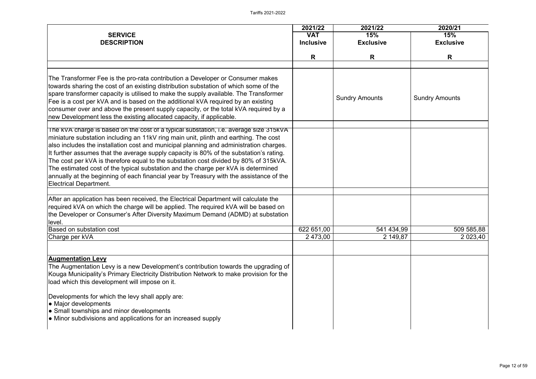|                                                                                                                                                                                                                                                                                                                                                                                                                                                                                                                                                                                                                                                                            | 2021/22          | 2021/22               | 2020/21               |
|----------------------------------------------------------------------------------------------------------------------------------------------------------------------------------------------------------------------------------------------------------------------------------------------------------------------------------------------------------------------------------------------------------------------------------------------------------------------------------------------------------------------------------------------------------------------------------------------------------------------------------------------------------------------------|------------------|-----------------------|-----------------------|
| <b>SERVICE</b>                                                                                                                                                                                                                                                                                                                                                                                                                                                                                                                                                                                                                                                             | <b>VAT</b>       | 15%                   | 15%                   |
| <b>DESCRIPTION</b>                                                                                                                                                                                                                                                                                                                                                                                                                                                                                                                                                                                                                                                         | <b>Inclusive</b> | <b>Exclusive</b>      | <b>Exclusive</b>      |
|                                                                                                                                                                                                                                                                                                                                                                                                                                                                                                                                                                                                                                                                            |                  |                       |                       |
|                                                                                                                                                                                                                                                                                                                                                                                                                                                                                                                                                                                                                                                                            | R.               | R                     | R                     |
|                                                                                                                                                                                                                                                                                                                                                                                                                                                                                                                                                                                                                                                                            |                  |                       |                       |
| The Transformer Fee is the pro-rata contribution a Developer or Consumer makes<br>towards sharing the cost of an existing distribution substation of which some of the<br>spare transformer capacity is utilised to make the supply available. The Transformer<br>Fee is a cost per kVA and is based on the additional kVA required by an existing<br>consumer over and above the present supply capacity, or the total kVA required by a<br>new Development less the existing allocated capacity, if applicable.                                                                                                                                                          |                  | <b>Sundry Amounts</b> | <b>Sundry Amounts</b> |
| The KVA charge is based on the cost of a typical substation, i.e. average size 315kVA<br>miniature substation including an 11kV ring main unit, plinth and earthing. The cost<br>also includes the installation cost and municipal planning and administration charges.<br>It further assumes that the average supply capacity is 80% of the substation's rating.<br>The cost per kVA is therefore equal to the substation cost divided by 80% of 315kVA.<br>The estimated cost of the typical substation and the charge per kVA is determined<br>annually at the beginning of each financial year by Treasury with the assistance of the<br><b>Electrical Department.</b> |                  |                       |                       |
|                                                                                                                                                                                                                                                                                                                                                                                                                                                                                                                                                                                                                                                                            |                  |                       |                       |
| After an application has been received, the Electrical Department will calculate the<br>required kVA on which the charge will be applied. The required kVA will be based on<br>the Developer or Consumer's After Diversity Maximum Demand (ADMD) at substation<br>level.                                                                                                                                                                                                                                                                                                                                                                                                   |                  |                       |                       |
| <b>Based on substation cost</b>                                                                                                                                                                                                                                                                                                                                                                                                                                                                                                                                                                                                                                            | 622 651,00       | 541 434,99            | 509 585,88            |
| Charge per kVA                                                                                                                                                                                                                                                                                                                                                                                                                                                                                                                                                                                                                                                             | 2 473,00         | 2 149,87              | 2 0 2 3 4 0           |
|                                                                                                                                                                                                                                                                                                                                                                                                                                                                                                                                                                                                                                                                            |                  |                       |                       |
| <b>Augmentation Levy</b><br>The Augmentation Levy is a new Development's contribution towards the upgrading of<br>Kouga Municipality's Primary Electricity Distribution Network to make provision for the<br>load which this development will impose on it.<br>Developments for which the levy shall apply are:<br>• Major developments<br>• Small townships and minor developments<br>$\bullet$ Minor subdivisions and applications for an increased supply                                                                                                                                                                                                               |                  |                       |                       |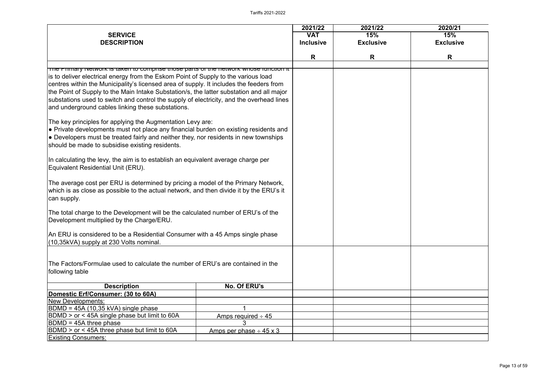| <b>SERVICE</b><br><b>DESCRIPTION</b>                                                                                                                                                                                                                                                                                                                                                                                                                                                                                                                                                                                                                                                                                                                                                                                 |                              | 2021/22<br><b>VAT</b><br><b>Inclusive</b> | 2021/22<br>15%<br><b>Exclusive</b> | 2020/21<br>15%<br><b>Exclusive</b> |
|----------------------------------------------------------------------------------------------------------------------------------------------------------------------------------------------------------------------------------------------------------------------------------------------------------------------------------------------------------------------------------------------------------------------------------------------------------------------------------------------------------------------------------------------------------------------------------------------------------------------------------------------------------------------------------------------------------------------------------------------------------------------------------------------------------------------|------------------------------|-------------------------------------------|------------------------------------|------------------------------------|
|                                                                                                                                                                                                                                                                                                                                                                                                                                                                                                                                                                                                                                                                                                                                                                                                                      |                              | R                                         | R                                  | R                                  |
| The Primary Network is taken to comprise those parts of the network whose function it<br>is to deliver electrical energy from the Eskom Point of Supply to the various load<br>centres within the Municipality's licensed area of supply. It includes the feeders from<br>the Point of Supply to the Main Intake Substation/s, the latter substation and all major<br>substations used to switch and control the supply of electricity, and the overhead lines<br>and underground cables linking these substations.<br>The key principles for applying the Augmentation Levy are:<br>• Private developments must not place any financial burden on existing residents and<br>• Developers must be treated fairly and neither they, nor residents in new townships<br>should be made to subsidise existing residents. |                              |                                           |                                    |                                    |
| In calculating the levy, the aim is to establish an equivalent average charge per<br>Equivalent Residential Unit (ERU).                                                                                                                                                                                                                                                                                                                                                                                                                                                                                                                                                                                                                                                                                              |                              |                                           |                                    |                                    |
| The average cost per ERU is determined by pricing a model of the Primary Network,<br>which is as close as possible to the actual network, and then divide it by the ERU's it<br>can supply.                                                                                                                                                                                                                                                                                                                                                                                                                                                                                                                                                                                                                          |                              |                                           |                                    |                                    |
| The total charge to the Development will be the calculated number of ERU's of the<br>Development multiplied by the Charge/ERU.                                                                                                                                                                                                                                                                                                                                                                                                                                                                                                                                                                                                                                                                                       |                              |                                           |                                    |                                    |
| An ERU is considered to be a Residential Consumer with a 45 Amps single phase<br>(10,35kVA) supply at 230 Volts nominal.                                                                                                                                                                                                                                                                                                                                                                                                                                                                                                                                                                                                                                                                                             |                              |                                           |                                    |                                    |
| The Factors/Formulae used to calculate the number of ERU's are contained in the<br>following table                                                                                                                                                                                                                                                                                                                                                                                                                                                                                                                                                                                                                                                                                                                   |                              |                                           |                                    |                                    |
| <b>Description</b>                                                                                                                                                                                                                                                                                                                                                                                                                                                                                                                                                                                                                                                                                                                                                                                                   | No. Of ERU's                 |                                           |                                    |                                    |
| Domestic Erf/Consumer: (30 to 60A)                                                                                                                                                                                                                                                                                                                                                                                                                                                                                                                                                                                                                                                                                                                                                                                   |                              |                                           |                                    |                                    |
| <b>New Developments:</b>                                                                                                                                                                                                                                                                                                                                                                                                                                                                                                                                                                                                                                                                                                                                                                                             |                              |                                           |                                    |                                    |
| $BDMD = 45A (10,35 kVA)$ single phase                                                                                                                                                                                                                                                                                                                                                                                                                                                                                                                                                                                                                                                                                                                                                                                |                              |                                           |                                    |                                    |
| BDMD > or < 45A single phase but limit to 60A                                                                                                                                                                                                                                                                                                                                                                                                                                                                                                                                                                                                                                                                                                                                                                        | Amps required $\div$ 45      |                                           |                                    |                                    |
| $ BDMD = 45A$ three phase                                                                                                                                                                                                                                                                                                                                                                                                                                                                                                                                                                                                                                                                                                                                                                                            |                              |                                           |                                    |                                    |
| BDMD > or < 45A three phase but limit to 60A                                                                                                                                                                                                                                                                                                                                                                                                                                                                                                                                                                                                                                                                                                                                                                         | Amps per phase $\div$ 45 x 3 |                                           |                                    |                                    |
| <b>Existing Consumers:</b>                                                                                                                                                                                                                                                                                                                                                                                                                                                                                                                                                                                                                                                                                                                                                                                           |                              |                                           |                                    |                                    |

| 2020/21 |                  |  |  |
|---------|------------------|--|--|
| 15%     |                  |  |  |
|         | <b>Exclusive</b> |  |  |
|         |                  |  |  |
|         | R                |  |  |
|         |                  |  |  |
|         |                  |  |  |
|         |                  |  |  |
|         |                  |  |  |
|         |                  |  |  |
|         |                  |  |  |
|         |                  |  |  |
|         |                  |  |  |
|         |                  |  |  |
|         |                  |  |  |
|         |                  |  |  |
|         |                  |  |  |
|         |                  |  |  |
|         |                  |  |  |
|         |                  |  |  |
|         |                  |  |  |
|         |                  |  |  |
|         |                  |  |  |
|         |                  |  |  |
|         |                  |  |  |
|         |                  |  |  |
|         |                  |  |  |
|         |                  |  |  |
|         |                  |  |  |
|         |                  |  |  |
|         |                  |  |  |
|         |                  |  |  |
|         |                  |  |  |
|         |                  |  |  |
|         |                  |  |  |
|         |                  |  |  |
|         |                  |  |  |
|         |                  |  |  |
|         |                  |  |  |
|         |                  |  |  |
|         |                  |  |  |
|         |                  |  |  |
|         |                  |  |  |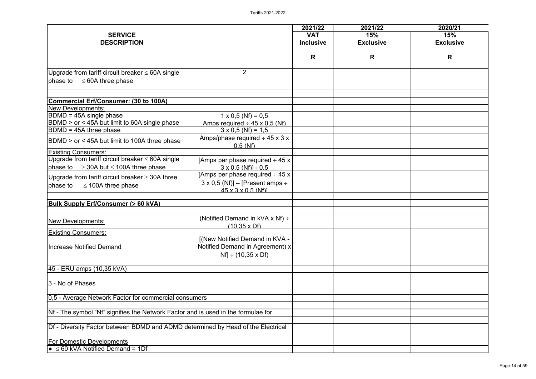|                                                                                   |                                                   | 2021/22                        | 2021/22                 | 2020/21                 |
|-----------------------------------------------------------------------------------|---------------------------------------------------|--------------------------------|-------------------------|-------------------------|
| <b>SERVICE</b><br><b>DESCRIPTION</b>                                              |                                                   | <b>VAT</b><br><b>Inclusive</b> | 15%<br><b>Exclusive</b> | 15%<br><b>Exclusive</b> |
|                                                                                   |                                                   |                                |                         |                         |
|                                                                                   |                                                   | R                              | R                       | R                       |
| Upgrade from tariff circuit breaker $\leq$ 60A single                             | $\overline{2}$                                    |                                |                         |                         |
| phase to $\leq$ 60A three phase                                                   |                                                   |                                |                         |                         |
| Commercial Erf/Consumer: (30 to 100A)                                             |                                                   |                                |                         |                         |
| New Developments:                                                                 |                                                   |                                |                         |                         |
| BDMD = 45A single phase                                                           | $1 \times 0.5$ (Nf) = 0.5                         |                                |                         |                         |
| BDMD > or < 45A but limit to 60A single phase                                     | Amps required $\div$ 45 x 0,5 (Nf)                |                                |                         |                         |
| BDMD = 45A three phase                                                            | $3 \times 0.5$ (Nf) = 1.5                         |                                |                         |                         |
| BDMD > or < 45A but limit to 100A three phase                                     | Amps/phase required $\div$ 45 x 3 x<br>$0.5$ (Nf) |                                |                         |                         |
| <b>Existing Consumers:</b>                                                        |                                                   |                                |                         |                         |
| Upgrade from tariff circuit breaker $\leq$ 60A single                             | [Amps per phase required $\div$ 45 x              |                                |                         |                         |
| phase to $\geq$ 30A but $\leq$ 100A three phase                                   | $3 \times 0.5$ (Nf)] - 0.5                        |                                |                         |                         |
| Upgrade from tariff circuit breaker $\geq 30$ A three                             | [Amps per phase required $\div$ 45 x              |                                |                         |                         |
| phase to<br>$\leq$ 100A three phase                                               | $3 \times 0.5$ (Nf)] – [Present amps ÷            |                                |                         |                         |
|                                                                                   | $45 \times 3 \times 0.5$ (Nf)                     |                                |                         |                         |
|                                                                                   |                                                   |                                |                         |                         |
| <b>Bulk Supply Erf/Consumer (≥ 60 kVA)</b>                                        |                                                   |                                |                         |                         |
|                                                                                   | (Notified Demand in kVA x Nf) $\div$              |                                |                         |                         |
| <b>New Developments:</b>                                                          |                                                   |                                |                         |                         |
| <b>Existing Consumers:</b>                                                        | $(10.35 \times Df)$                               |                                |                         |                         |
|                                                                                   | [(New Notified Demand in KVA -                    |                                |                         |                         |
| Increase Notified Demand                                                          | Notified Demand in Agreement) x                   |                                |                         |                         |
|                                                                                   | $Nf$ ÷ (10,35 x Df)                               |                                |                         |                         |
|                                                                                   |                                                   |                                |                         |                         |
| 45 - ERU amps (10,35 kVA)                                                         |                                                   |                                |                         |                         |
|                                                                                   |                                                   |                                |                         |                         |
| 3 - No of Phases                                                                  |                                                   |                                |                         |                         |
|                                                                                   |                                                   |                                |                         |                         |
| 0,5 - Average Network Factor for commercial consumers                             |                                                   |                                |                         |                         |
|                                                                                   |                                                   |                                |                         |                         |
| Nf - The symbol "Nf" signifies the Network Factor and is used in the formulae for |                                                   |                                |                         |                         |
|                                                                                   |                                                   |                                |                         |                         |
| Df - Diversity Factor between BDMD and ADMD determined by Head of the Electrical  |                                                   |                                |                         |                         |
| <b>For Domestic Developments</b>                                                  |                                                   |                                |                         |                         |
| $\bullet$ $\leq$ 60 kVA Notified Demand = 1Df                                     |                                                   |                                |                         |                         |
|                                                                                   |                                                   |                                |                         |                         |

| $\frac{2020/21}{15%}$ |                  |  |  |
|-----------------------|------------------|--|--|
|                       |                  |  |  |
|                       | <b>Exclusive</b> |  |  |
|                       |                  |  |  |
|                       | $\mathsf{R}$     |  |  |
|                       |                  |  |  |
|                       |                  |  |  |
|                       |                  |  |  |
|                       |                  |  |  |
|                       |                  |  |  |
|                       |                  |  |  |
|                       |                  |  |  |
|                       |                  |  |  |
|                       |                  |  |  |
|                       |                  |  |  |
|                       |                  |  |  |
|                       |                  |  |  |
|                       |                  |  |  |
|                       |                  |  |  |
|                       |                  |  |  |
|                       |                  |  |  |
|                       |                  |  |  |
|                       |                  |  |  |
|                       |                  |  |  |
|                       |                  |  |  |
|                       |                  |  |  |
|                       |                  |  |  |
|                       |                  |  |  |
|                       |                  |  |  |
|                       |                  |  |  |
|                       |                  |  |  |
|                       |                  |  |  |
|                       |                  |  |  |
|                       |                  |  |  |
|                       |                  |  |  |
|                       |                  |  |  |
|                       |                  |  |  |
|                       |                  |  |  |
|                       |                  |  |  |
|                       |                  |  |  |
|                       |                  |  |  |
|                       |                  |  |  |
|                       |                  |  |  |
|                       |                  |  |  |
|                       |                  |  |  |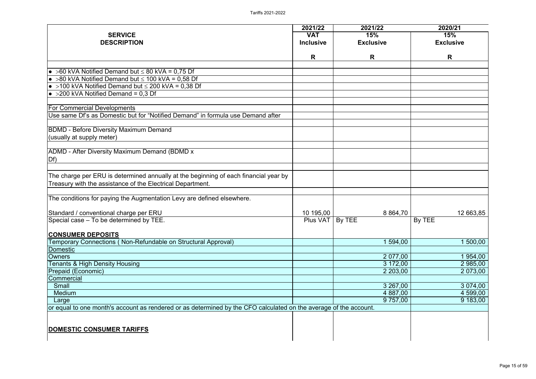| <b>SERVICE</b><br><b>DESCRIPTION</b>                                                                                  | 2021/22<br><b>VAT</b><br><b>Inclusive</b> | 2021/22<br>15%<br><b>Exclusive</b> | 2020/21<br>15%<br><b>Exclusive</b> |
|-----------------------------------------------------------------------------------------------------------------------|-------------------------------------------|------------------------------------|------------------------------------|
|                                                                                                                       | R                                         | R                                  | R                                  |
| • $>60$ kVA Notified Demand but $\leq 80$ kVA = 0,75 Df                                                               |                                           |                                    |                                    |
| • $>80$ kVA Notified Demand but $\leq$ 100 kVA = 0,58 Df                                                              |                                           |                                    |                                    |
| • >100 kVA Notified Demand but $\leq$ 200 kVA = 0,38 Df                                                               |                                           |                                    |                                    |
| $\bullet$ >200 kVA Notified Demand = 0,3 Df                                                                           |                                           |                                    |                                    |
|                                                                                                                       |                                           |                                    |                                    |
| <b>For Commercial Developments</b><br>Use same Df's as Domestic but for "Notified Demand" in formula use Demand after |                                           |                                    |                                    |
|                                                                                                                       |                                           |                                    |                                    |
| <b>BDMD - Before Diversity Maximum Demand</b>                                                                         |                                           |                                    |                                    |
| (usually at supply meter)                                                                                             |                                           |                                    |                                    |
|                                                                                                                       |                                           |                                    |                                    |
| <b>ADMD - After Diversity Maximum Demand (BDMD x)</b>                                                                 |                                           |                                    |                                    |
| Df                                                                                                                    |                                           |                                    |                                    |
|                                                                                                                       |                                           |                                    |                                    |
| The charge per ERU is determined annually at the beginning of each financial year by                                  |                                           |                                    |                                    |
| Treasury with the assistance of the Electrical Department.                                                            |                                           |                                    |                                    |
| The conditions for paying the Augmentation Levy are defined elsewhere.                                                |                                           |                                    |                                    |
|                                                                                                                       |                                           |                                    |                                    |
| Standard / conventional charge per ERU                                                                                | 10 195,00                                 | 8 8 64,70                          | 12 663,85                          |
| Special case - To be determined by TEE.                                                                               | <b>Plus VAT</b>                           | By TEE                             | By TEE                             |
| <b>CONSUMER DEPOSITS</b>                                                                                              |                                           |                                    |                                    |
| Temporary Connections (Non-Refundable on Structural Approval)                                                         |                                           | 1 594,00                           | 500,00                             |
| <b>Domestic</b>                                                                                                       |                                           |                                    |                                    |
| <b>Owners</b>                                                                                                         |                                           | 2 077,00                           | 1 954,00                           |
| <b>Tenants &amp; High Density Housing</b>                                                                             |                                           | 3 172,00                           | 2 985,00                           |
| Prepaid (Economic)                                                                                                    |                                           | 2 203,00                           | 2 073,00                           |
| Commercial                                                                                                            |                                           |                                    |                                    |
| <b>Small</b>                                                                                                          |                                           | 3 267,00                           | 3 0 7 4 ,00                        |
| <b>Medium</b>                                                                                                         |                                           | 4 887,00                           | 4 599,00                           |
| Large                                                                                                                 |                                           | 9 757,00                           | 9 183,00                           |
| or equal to one month's account as rendered or as determined by the CFO calculated on the average of the account.     |                                           |                                    |                                    |
|                                                                                                                       |                                           |                                    |                                    |
|                                                                                                                       |                                           |                                    |                                    |
| DOMESTIC CONSUMER TARIFFS                                                                                             |                                           |                                    |                                    |
|                                                                                                                       |                                           |                                    |                                    |
|                                                                                                                       |                                           |                                    |                                    |

| 15%                  |
|----------------------|
| <b>Exclusive</b>     |
| R                    |
|                      |
|                      |
|                      |
|                      |
|                      |
|                      |
|                      |
|                      |
|                      |
|                      |
|                      |
|                      |
|                      |
|                      |
|                      |
| 12 663,85            |
| By TEE               |
|                      |
| 1 500,00             |
|                      |
| 1954,00              |
| 2 985,00<br>2 073,00 |
|                      |
| 3 074,00             |
| 4 599,00<br>9 183,00 |
|                      |
|                      |
|                      |
|                      |
|                      |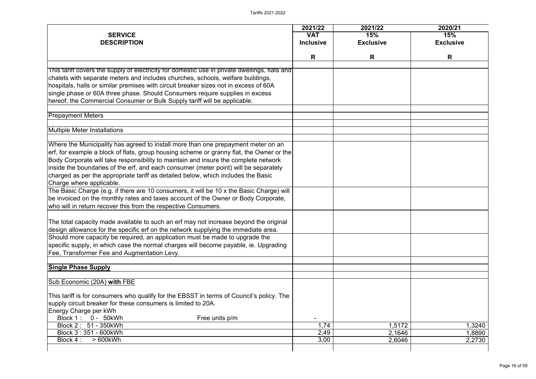|                                                                                                                                                                                  | 2021/22          | 2021/22          | 2020/21          |
|----------------------------------------------------------------------------------------------------------------------------------------------------------------------------------|------------------|------------------|------------------|
| <b>SERVICE</b>                                                                                                                                                                   | <b>VAT</b>       | 15%              | 15%              |
| <b>DESCRIPTION</b>                                                                                                                                                               | <b>Inclusive</b> | <b>Exclusive</b> | <b>Exclusive</b> |
|                                                                                                                                                                                  | R                | R                | R                |
|                                                                                                                                                                                  |                  |                  |                  |
| This tariff covers the supply of electricity for domestic use in private dwellings, flats and<br>chalets with separate meters and includes churches, schools, welfare buildings, |                  |                  |                  |
| hospitals, halls or similar premises with circuit breaker sizes not in excess of 60A                                                                                             |                  |                  |                  |
| single phase or 60A three phase. Should Consumers require supplies in excess                                                                                                     |                  |                  |                  |
|                                                                                                                                                                                  |                  |                  |                  |
| hereof, the Commercial Consumer or Bulk Supply tariff will be applicable.                                                                                                        |                  |                  |                  |
| <b>Prepayment Meters</b>                                                                                                                                                         |                  |                  |                  |
| <b>Multiple Meter Installations</b>                                                                                                                                              |                  |                  |                  |
|                                                                                                                                                                                  |                  |                  |                  |
| Where the Municipality has agreed to install more than one prepayment meter on an                                                                                                |                  |                  |                  |
| erf, for example a block of flats, group housing scheme or granny flat, the Owner or the                                                                                         |                  |                  |                  |
| Body Corporate will take responsibility to maintain and insure the complete network                                                                                              |                  |                  |                  |
| inside the boundaries of the erf, and each consumer (meter point) will be separately                                                                                             |                  |                  |                  |
| charged as per the appropriate tariff as detailed below, which includes the Basic                                                                                                |                  |                  |                  |
| Charge where applicable.                                                                                                                                                         |                  |                  |                  |
| The Basic Charge (e.g. if there are 10 consumers, it will be 10 x the Basic Charge) will                                                                                         |                  |                  |                  |
| be invoiced on the monthly rates and taxes account of the Owner or Body Corporate,                                                                                               |                  |                  |                  |
| who will in return recover this from the respective Consumers.                                                                                                                   |                  |                  |                  |
| The total capacity made available to such an erf may not increase beyond the original                                                                                            |                  |                  |                  |
| design allowance for the specific erf on the network supplying the immediate area.                                                                                               |                  |                  |                  |
| Should more capacity be required, an application must be made to upgrade the                                                                                                     |                  |                  |                  |
| specific supply, in which case the normal charges will become payable, ie. Upgrading                                                                                             |                  |                  |                  |
| Fee, Transformer Fee and Augmentation Levy.                                                                                                                                      |                  |                  |                  |
| <b>Single Phase Supply</b>                                                                                                                                                       |                  |                  |                  |
|                                                                                                                                                                                  |                  |                  |                  |
| Sub Economic (20A) with FBE                                                                                                                                                      |                  |                  |                  |
| This tariff is for consumers who qualify for the EBSST in terms of Council's policy. The                                                                                         |                  |                  |                  |
| supply circuit breaker for these consumers is limited to 20A.                                                                                                                    |                  |                  |                  |
| Energy Charge per kWh                                                                                                                                                            |                  |                  |                  |
| Block 1: 0 - 50kWh<br>Free units p/m                                                                                                                                             |                  |                  |                  |
| Block 2: 51 - 350kWh                                                                                                                                                             | 1,74             | 1,5172           | ,3240            |
| Block 3:351 - 600kWh                                                                                                                                                             | 2,49             | 2,1646           | ,8890            |
| Block 4 :<br>$>600$ kWh                                                                                                                                                          | 3,00             | 2,6046           | 2,2730           |
|                                                                                                                                                                                  |                  |                  |                  |

| 2020/21       |                            |  |  |  |  |
|---------------|----------------------------|--|--|--|--|
|               | 15%                        |  |  |  |  |
|               | <b>Exclusive</b>           |  |  |  |  |
|               | R                          |  |  |  |  |
|               |                            |  |  |  |  |
|               |                            |  |  |  |  |
|               |                            |  |  |  |  |
|               |                            |  |  |  |  |
|               |                            |  |  |  |  |
|               |                            |  |  |  |  |
|               |                            |  |  |  |  |
|               |                            |  |  |  |  |
|               |                            |  |  |  |  |
|               |                            |  |  |  |  |
|               |                            |  |  |  |  |
|               |                            |  |  |  |  |
|               |                            |  |  |  |  |
|               |                            |  |  |  |  |
|               |                            |  |  |  |  |
|               |                            |  |  |  |  |
|               |                            |  |  |  |  |
|               |                            |  |  |  |  |
|               |                            |  |  |  |  |
|               |                            |  |  |  |  |
|               |                            |  |  |  |  |
|               |                            |  |  |  |  |
|               |                            |  |  |  |  |
|               |                            |  |  |  |  |
|               |                            |  |  |  |  |
|               |                            |  |  |  |  |
|               |                            |  |  |  |  |
|               |                            |  |  |  |  |
|               |                            |  |  |  |  |
|               | 1,3240<br>1,8890<br>2,2730 |  |  |  |  |
| $\frac{2}{6}$ |                            |  |  |  |  |
|               |                            |  |  |  |  |
|               |                            |  |  |  |  |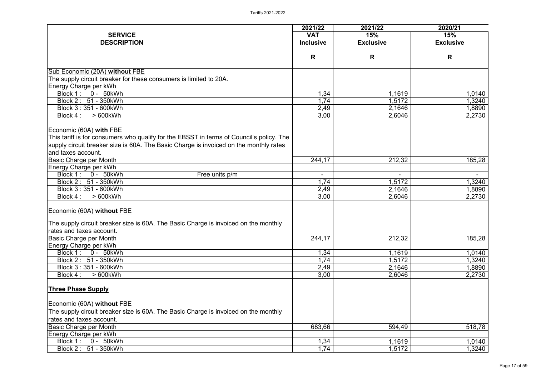|                                                                                          | 2021/22          | 2021/22          | 2020/21          |
|------------------------------------------------------------------------------------------|------------------|------------------|------------------|
| <b>SERVICE</b>                                                                           | <b>VAT</b>       | 15%              | 15%              |
| <b>DESCRIPTION</b>                                                                       | <b>Inclusive</b> | <b>Exclusive</b> | <b>Exclusive</b> |
|                                                                                          | R                | R                | R                |
| Sub Economic (20A) without FBE                                                           |                  |                  |                  |
| The supply circuit breaker for these consumers is limited to 20A.                        |                  |                  |                  |
| Energy Charge per kWh                                                                    |                  |                  |                  |
| Block 1: 0 - 50kWh                                                                       | 1,34             | 1,1619           | 1,0140           |
| Block 2: 51 - 350kWh                                                                     | 1,74             | 1,5172           | 1,3240           |
| Block 3:351 - 600kWh                                                                     | 2,49             | 2,1646           | 1,8890           |
| $>600$ kWh<br>Block 4 :                                                                  | 3,00             | 2,6046           | 2,2730           |
| <b>Economic (60A) with FBE</b>                                                           |                  |                  |                  |
| This tariff is for consumers who qualify for the EBSST in terms of Council's policy. The |                  |                  |                  |
| supply circuit breaker size is 60A. The Basic Charge is invoiced on the monthly rates    |                  |                  |                  |
| and taxes account.                                                                       |                  |                  |                  |
| Basic Charge per Month                                                                   | 244,17           | 212,32           | 185,28           |
| Energy Charge per kWh                                                                    |                  |                  |                  |
| Block 1: 0 - 50kWh<br>Free units p/m                                                     | $\blacksquare$   |                  |                  |
| Block 2: 51 - 350kWh                                                                     | 1,74             | 1,5172           | 1,3240           |
| Block 3:351 - 600kWh                                                                     | 2,49             | 2,1646           | ,8890            |
| $>600$ kWh<br>Block 4 :                                                                  | 3,00             | 2,6046           | 2,2730           |
| Economic (60A) without FBE                                                               |                  |                  |                  |
| The supply circuit breaker size is 60A. The Basic Charge is invoiced on the monthly      |                  |                  |                  |
| rates and taxes account.                                                                 |                  |                  |                  |
| <b>Basic Charge per Month</b>                                                            | 244,17           | 212,32           | 185,28           |
| Energy Charge per kWh                                                                    |                  |                  |                  |
| Block 1: 0 - 50kWh                                                                       | 1,34             | 1,1619           | .0140 ا          |
| Block 2: 51 - 350kWh                                                                     | 1,74             | 1,5172           | 1,3240           |
| Block 3:351 - 600kWh                                                                     | 2,49             | 2,1646           | 1,8890           |
| $>600$ kWh<br>Block 4 :                                                                  | 3,00             | 2,6046           | 2,2730           |
| <b>Three Phase Supply</b>                                                                |                  |                  |                  |
| <b>Economic (60A) without FBE</b>                                                        |                  |                  |                  |
| The supply circuit breaker size is 60A. The Basic Charge is invoiced on the monthly      |                  |                  |                  |
| rates and taxes account.                                                                 |                  |                  |                  |
| Basic Charge per Month                                                                   | 683,66           | 594,49           | 518,78           |
| Energy Charge per kWh                                                                    |                  |                  |                  |
| Block 1: 0 - 50kWh                                                                       | 1,34             | 1,1619           | 1,0140           |
| Block 2: 51 - 350kWh                                                                     | 1,74             | 1,5172           | ,3240            |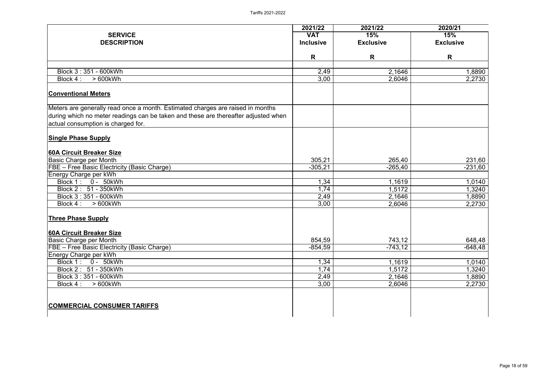|                                                                                    | 2021/22          | 2021/22          | 2020/21          |
|------------------------------------------------------------------------------------|------------------|------------------|------------------|
| <b>SERVICE</b>                                                                     | <b>VAT</b>       | 15%              | 15%              |
| <b>DESCRIPTION</b>                                                                 | <b>Inclusive</b> | <b>Exclusive</b> | <b>Exclusive</b> |
|                                                                                    | R                | R                | R                |
|                                                                                    |                  |                  |                  |
| Block 3:351 - 600kWh                                                               | 2,49             | 2,1646           | ,8890            |
| Block 4 :<br>$>600$ kWh                                                            | 3,00             | 2,6046           | 2,2730           |
| <b>Conventional Meters</b>                                                         |                  |                  |                  |
| Meters are generally read once a month. Estimated charges are raised in months     |                  |                  |                  |
| during which no meter readings can be taken and these are thereafter adjusted when |                  |                  |                  |
| actual consumption is charged for.                                                 |                  |                  |                  |
| <b>Single Phase Supply</b>                                                         |                  |                  |                  |
| 60A Circuit Breaker Size                                                           |                  |                  |                  |
| <b>Basic Charge per Month</b>                                                      | 305,21           | 265,40           | 231,60           |
| FBE - Free Basic Electricity (Basic Charge)                                        | $-305,21$        | $-265,40$        | $-231,60$        |
| Energy Charge per kWh                                                              |                  |                  |                  |
| Block 1 :<br>0 - 50kWh                                                             | 1,34             | 1,1619           | 1,0140           |
| Block 2: 51 - 350kWh                                                               | 1,74             | 1,5172           | ,3240            |
| Block 3:351 - 600kWh                                                               | 2,49             | 2,1646           | 1,8890           |
| $>600$ kWh<br>Block 4 :                                                            | 3,00             | 2,6046           | 2,2730           |
| <b>Three Phase Supply</b>                                                          |                  |                  |                  |
| 60A Circuit Breaker Size                                                           |                  |                  |                  |
| <b>Basic Charge per Month</b>                                                      | 854,59           | 743,12           | 648,48           |
| FBE - Free Basic Electricity (Basic Charge)                                        | $-854,59$        | $-743, 12$       | $-648,48$        |
| Energy Charge per kWh                                                              |                  |                  |                  |
| Block 1: 0 - 50kWh                                                                 | 1,34             | 1,1619           | 1,0140           |
| Block 2: 51 - 350kWh                                                               | 1,74             | 1,5172           | ,3240            |
| Block 3:351 - 600kWh                                                               | 2,49             | 2,1646           | ,8890            |
| Block 4 :<br>>600kWh                                                               | 3,00             | 2,6046           | 2,2730           |
|                                                                                    |                  |                  |                  |
| <b>COMMERCIAL CONSUMER TARIFFS</b>                                                 |                  |                  |                  |
|                                                                                    |                  |                  |                  |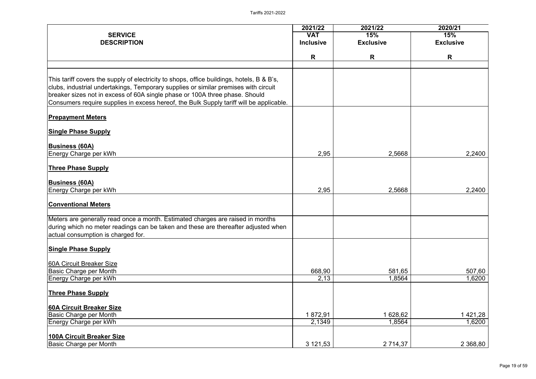|                                                                                                                                                                                                                                                                                                                                                            | 2021/22          | 2021/22          | 2020/21          |
|------------------------------------------------------------------------------------------------------------------------------------------------------------------------------------------------------------------------------------------------------------------------------------------------------------------------------------------------------------|------------------|------------------|------------------|
| <b>SERVICE</b>                                                                                                                                                                                                                                                                                                                                             | <b>VAT</b>       | 15%              | 15%              |
| <b>DESCRIPTION</b>                                                                                                                                                                                                                                                                                                                                         | <b>Inclusive</b> | <b>Exclusive</b> | <b>Exclusive</b> |
|                                                                                                                                                                                                                                                                                                                                                            | R                | R                | R                |
|                                                                                                                                                                                                                                                                                                                                                            |                  |                  |                  |
| This tariff covers the supply of electricity to shops, office buildings, hotels, B & B's,<br>clubs, industrial undertakings, Temporary supplies or similar premises with circuit<br>breaker sizes not in excess of 60A single phase or 100A three phase. Should<br>Consumers require supplies in excess hereof, the Bulk Supply tariff will be applicable. |                  |                  |                  |
| <b>Prepayment Meters</b>                                                                                                                                                                                                                                                                                                                                   |                  |                  |                  |
| <b>Single Phase Supply</b>                                                                                                                                                                                                                                                                                                                                 |                  |                  |                  |
| <b>Business (60A)</b><br>Energy Charge per kWh                                                                                                                                                                                                                                                                                                             | 2,95             | 2,5668           | 2,2400           |
| <b>Three Phase Supply</b>                                                                                                                                                                                                                                                                                                                                  |                  |                  |                  |
| <b>Business (60A)</b><br>Energy Charge per kWh                                                                                                                                                                                                                                                                                                             | 2,95             | 2,5668           | 2,2400           |
| <b>Conventional Meters</b>                                                                                                                                                                                                                                                                                                                                 |                  |                  |                  |
| Meters are generally read once a month. Estimated charges are raised in months<br>during which no meter readings can be taken and these are thereafter adjusted when<br>actual consumption is charged for.                                                                                                                                                 |                  |                  |                  |
| <b>Single Phase Supply</b>                                                                                                                                                                                                                                                                                                                                 |                  |                  |                  |
| <b>60A Circuit Breaker Size</b><br><b>Basic Charge per Month</b>                                                                                                                                                                                                                                                                                           | 668,90           | 581,65           | 507,60           |
| <b>Energy Charge per kWh</b>                                                                                                                                                                                                                                                                                                                               | 2,13             | 1,8564           | 1,6200           |
| <b>Three Phase Supply</b>                                                                                                                                                                                                                                                                                                                                  |                  |                  |                  |
| <b>60A Circuit Breaker Size</b><br><b>Basic Charge per Month</b>                                                                                                                                                                                                                                                                                           | 1872,91          | 1 628,62         | 421,28           |
| Energy Charge per kWh                                                                                                                                                                                                                                                                                                                                      | 2,1349           | 1,8564           | 1,6200           |
| <b>100A Circuit Breaker Size</b>                                                                                                                                                                                                                                                                                                                           |                  |                  |                  |
| <b>Basic Charge per Month</b>                                                                                                                                                                                                                                                                                                                              | 3 121,53         | 2 7 1 4 , 3 7    | 2 3 68,80        |

|               | 2020/21            |
|---------------|--------------------|
|               | 15%                |
|               | <b>Exclusive</b>   |
|               | R                  |
|               |                    |
|               |                    |
|               |                    |
|               |                    |
|               |                    |
|               |                    |
|               |                    |
|               |                    |
|               |                    |
| 8             | 2,2400             |
|               |                    |
|               |                    |
|               |                    |
| 8             | 2,2400             |
|               |                    |
|               |                    |
|               |                    |
|               |                    |
|               |                    |
|               |                    |
|               |                    |
|               |                    |
| $\frac{5}{4}$ | 507,60<br>1,6200   |
|               |                    |
|               |                    |
|               |                    |
| $\frac{2}{4}$ | 1 421,28<br>1,6200 |
|               |                    |
|               |                    |
| 7             | 2 368,80           |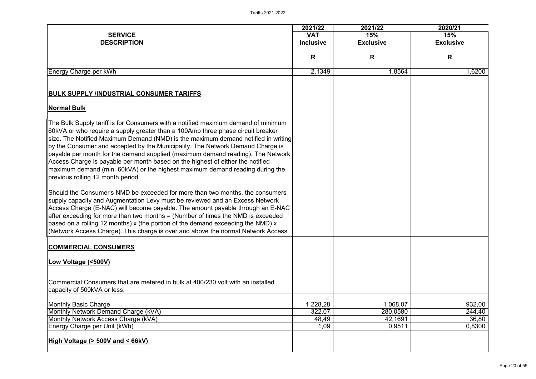| <b>SERVICE</b><br><b>DESCRIPTION</b>                                                                                                                                                                                                                                                                                                                                                                                                                                                                                                                                                                                                   | 2021/22<br><b>VAT</b><br><b>Inclusive</b> | 2021/22<br>15%<br><b>Exclusive</b>        | 2020/21<br>15%<br><b>Exclusive</b>  |
|----------------------------------------------------------------------------------------------------------------------------------------------------------------------------------------------------------------------------------------------------------------------------------------------------------------------------------------------------------------------------------------------------------------------------------------------------------------------------------------------------------------------------------------------------------------------------------------------------------------------------------------|-------------------------------------------|-------------------------------------------|-------------------------------------|
|                                                                                                                                                                                                                                                                                                                                                                                                                                                                                                                                                                                                                                        | R                                         | R                                         | R                                   |
| Energy Charge per kWh                                                                                                                                                                                                                                                                                                                                                                                                                                                                                                                                                                                                                  | 2,1349                                    | 1,8564                                    | 6200, ا                             |
| <b>BULK SUPPLY /INDUSTRIAL CONSUMER TARIFFS</b>                                                                                                                                                                                                                                                                                                                                                                                                                                                                                                                                                                                        |                                           |                                           |                                     |
| <b>Normal Bulk</b>                                                                                                                                                                                                                                                                                                                                                                                                                                                                                                                                                                                                                     |                                           |                                           |                                     |
| The Bulk Supply tariff is for Consumers with a notified maximum demand of minimum<br>∥60kVA or who require a supply greater than a 100Amp three phase circuit breaker<br>size. The Notified Maximum Demand (NMD) is the maximum demand notified in writing<br>by the Consumer and accepted by the Municipality. The Network Demand Charge is<br>payable per month for the demand supplied (maximum demand reading). The Network<br>Access Charge is payable per month based on the highest of either the notified<br>maximum demand (min. 60kVA) or the highest maximum demand reading during the<br>previous rolling 12 month period. |                                           |                                           |                                     |
| Should the Consumer's NMD be exceeded for more than two months, the consumers<br>supply capacity and Augmentation Levy must be reviewed and an Excess Network<br>Access Charge (E-NAC) will become payable. The amount payable through an E-NAC<br>$\parallel$ after exceeding for more than two months = (Number of times the NMD is exceeded<br>based on a rolling 12 months) x (the portion of the demand exceeding the NMD) x<br>Ketwork Access Charge). This charge is over and above the normal Network Access                                                                                                                   |                                           |                                           |                                     |
| <b>COMMERCIAL CONSUMERS</b><br>Low Voltage (<500V)                                                                                                                                                                                                                                                                                                                                                                                                                                                                                                                                                                                     |                                           |                                           |                                     |
| Commercial Consumers that are metered in bulk at 400/230 volt with an installed<br>capacity of 500kVA or less.                                                                                                                                                                                                                                                                                                                                                                                                                                                                                                                         |                                           |                                           |                                     |
| <b>Monthly Basic Charge</b><br>Monthly Network Demand Charge (kVA)<br>Monthly Network Access Charge (kVA)<br>Energy Charge per Unit (kWh)                                                                                                                                                                                                                                                                                                                                                                                                                                                                                              | 1 228,28<br>322,07<br>48,49<br>1,09       | 1 068,07<br>280,0580<br>42,1691<br>0,9511 | 932,00<br>244,40<br>36,80<br>0,8300 |
| High Voltage (> 500V and < 66kV)                                                                                                                                                                                                                                                                                                                                                                                                                                                                                                                                                                                                       |                                           |                                           |                                     |

|                | 2020/21          |                                     |  |  |  |
|----------------|------------------|-------------------------------------|--|--|--|
|                | 15%              |                                     |  |  |  |
|                | <b>Exclusive</b> |                                     |  |  |  |
|                | R                |                                     |  |  |  |
|                |                  |                                     |  |  |  |
| $\overline{4}$ |                  | 1,6200                              |  |  |  |
|                |                  |                                     |  |  |  |
|                |                  |                                     |  |  |  |
|                |                  |                                     |  |  |  |
|                |                  |                                     |  |  |  |
|                |                  |                                     |  |  |  |
|                |                  |                                     |  |  |  |
|                |                  |                                     |  |  |  |
|                |                  |                                     |  |  |  |
|                |                  |                                     |  |  |  |
|                |                  |                                     |  |  |  |
|                |                  |                                     |  |  |  |
|                |                  |                                     |  |  |  |
|                |                  |                                     |  |  |  |
|                |                  |                                     |  |  |  |
|                |                  |                                     |  |  |  |
|                |                  |                                     |  |  |  |
|                |                  |                                     |  |  |  |
|                |                  |                                     |  |  |  |
|                |                  |                                     |  |  |  |
|                |                  |                                     |  |  |  |
|                |                  |                                     |  |  |  |
|                |                  |                                     |  |  |  |
|                |                  |                                     |  |  |  |
|                |                  |                                     |  |  |  |
|                |                  |                                     |  |  |  |
|                |                  |                                     |  |  |  |
| $\frac{7}{0}$  |                  |                                     |  |  |  |
|                |                  | 932,00<br>244,40<br>36,80<br>0,8300 |  |  |  |
| $\overline{1}$ |                  |                                     |  |  |  |
|                |                  |                                     |  |  |  |
|                |                  |                                     |  |  |  |
|                |                  |                                     |  |  |  |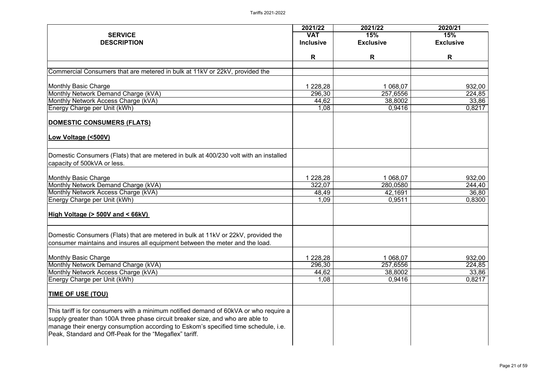| 2021/22          | 2021/22                                | 2020/21                                              |
|------------------|----------------------------------------|------------------------------------------------------|
| <b>VAT</b>       |                                        | 15%                                                  |
| <b>Inclusive</b> | <b>Exclusive</b>                       | <b>Exclusive</b>                                     |
|                  |                                        |                                                      |
|                  |                                        | R                                                    |
|                  |                                        |                                                      |
| 228,28           | 1 068,07                               | 932,00                                               |
| 296,30           | 257,6556                               | 224,85                                               |
| 44,62            | 38,8002                                | 33,86                                                |
| 1,08             | 0,9416                                 | 0,8217                                               |
|                  |                                        |                                                      |
|                  |                                        |                                                      |
|                  |                                        |                                                      |
|                  |                                        |                                                      |
| 1 228,28         | 1 068,07                               | 932,00                                               |
| 322,07           | 280,0580                               | 244,40                                               |
| 48,49            | 42,1691                                | 36,80                                                |
| 1,09             | 0,9511                                 | 0,8300                                               |
|                  |                                        |                                                      |
|                  |                                        |                                                      |
|                  |                                        |                                                      |
|                  |                                        | 932,00                                               |
|                  |                                        | 224,85                                               |
|                  |                                        | 33,86                                                |
|                  |                                        | 0,8217                                               |
|                  |                                        |                                                      |
|                  |                                        |                                                      |
|                  | R<br>228,28<br>296,30<br>44,62<br>1,08 | 15%<br>R<br>1068,07<br>257,6556<br>38,8002<br>0,9416 |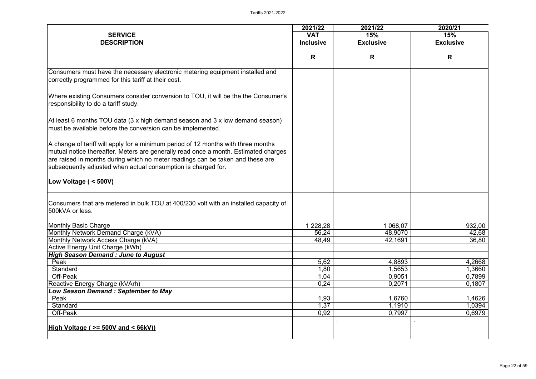|                                                                                                                                                                                                                                                             | 2021/22          | 2021/22          | 2020/21          |
|-------------------------------------------------------------------------------------------------------------------------------------------------------------------------------------------------------------------------------------------------------------|------------------|------------------|------------------|
| <b>SERVICE</b>                                                                                                                                                                                                                                              | <b>VAT</b>       | 15%              | 15%              |
| <b>DESCRIPTION</b>                                                                                                                                                                                                                                          | <b>Inclusive</b> | <b>Exclusive</b> | <b>Exclusive</b> |
|                                                                                                                                                                                                                                                             |                  |                  |                  |
|                                                                                                                                                                                                                                                             | R                | R                | R                |
| Consumers must have the necessary electronic metering equipment installed and                                                                                                                                                                               |                  |                  |                  |
| correctly programmed for this tariff at their cost.                                                                                                                                                                                                         |                  |                  |                  |
| Where existing Consumers consider conversion to TOU, it will be the the Consumer's<br>responsibility to do a tariff study.                                                                                                                                  |                  |                  |                  |
| At least 6 months TOU data $(3 \times h$ high demand season and $3 \times l$ ow demand season)<br>must be available before the conversion can be implemented.                                                                                               |                  |                  |                  |
| A change of tariff will apply for a minimum period of 12 months with three months<br> mutual notice thereafter. Meters are generally read once a month. Estimated charges<br>are raised in months during which no meter readings can be taken and these are |                  |                  |                  |
| subsequently adjusted when actual consumption is charged for.                                                                                                                                                                                               |                  |                  |                  |
| Low Voltage ( < 500V)                                                                                                                                                                                                                                       |                  |                  |                  |
| Consumers that are metered in bulk TOU at 400/230 volt with an installed capacity of<br>500kVA or less.                                                                                                                                                     |                  |                  |                  |
| Monthly Basic Charge                                                                                                                                                                                                                                        | 1 228,28         | 1 068,07         | 932,00           |
| Monthly Network Demand Charge (kVA)                                                                                                                                                                                                                         | 56,24            | 48,9070          | 42,68            |
| Monthly Network Access Charge (kVA)                                                                                                                                                                                                                         | 48,49            | 42,1691          | 36,80            |
| Active Energy Unit Charge (kWh)                                                                                                                                                                                                                             |                  |                  |                  |
| <b>High Season Demand: June to August</b>                                                                                                                                                                                                                   |                  |                  |                  |
| Peak                                                                                                                                                                                                                                                        | 5,62             | 4,8893           | 4,2668           |
| <b>Standard</b>                                                                                                                                                                                                                                             | 1,80             | ,5653            | 1,3660           |
| Off-Peak                                                                                                                                                                                                                                                    | 1,04             | 0,9051           | 0,7899           |
| Reactive Energy Charge (kVArh)                                                                                                                                                                                                                              | 0,24             | 0,2071           | 0,1807           |
| <b>Low Season Demand: September to May</b>                                                                                                                                                                                                                  |                  |                  |                  |
| Peak                                                                                                                                                                                                                                                        | 1,93             | 1,6760           | 1,4626           |
| <b>Standard</b>                                                                                                                                                                                                                                             | 1,37             | 1,1910           | 1,0394           |
| Off-Peak                                                                                                                                                                                                                                                    | 0,92             | 0,7997           | 0,6979           |
| High Voltage ( $>=$ 500V and $<$ 66kV))                                                                                                                                                                                                                     |                  |                  |                  |
|                                                                                                                                                                                                                                                             |                  |                  |                  |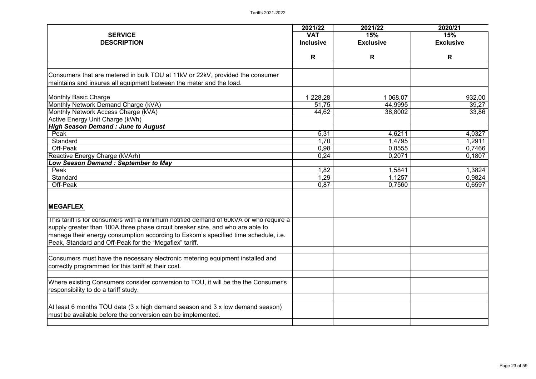| <b>SERVICE</b><br><b>VAT</b>                                                          | 15%<br><b>Exclusive</b> | 15%              |
|---------------------------------------------------------------------------------------|-------------------------|------------------|
|                                                                                       |                         |                  |
| <b>DESCRIPTION</b><br><b>Inclusive</b>                                                |                         | <b>Exclusive</b> |
| R                                                                                     | R                       | R                |
|                                                                                       |                         |                  |
| Consumers that are metered in bulk TOU at 11kV or 22kV, provided the consumer         |                         |                  |
| maintains and insures all equipment between the meter and the load.                   |                         |                  |
|                                                                                       |                         |                  |
| <b>Monthly Basic Charge</b><br>1 2 28, 28                                             | 1 068,07                | 932,00           |
| Monthly Network Demand Charge (kVA)<br>51,75                                          | 44,9995                 | 39,27            |
| Monthly Network Access Charge (kVA)<br>44,62                                          | 38,8002                 | 33,86            |
| <b>Active Energy Unit Charge (kWh)</b>                                                |                         |                  |
| <b>High Season Demand : June to August</b>                                            |                         |                  |
| 5,31<br>Peak                                                                          | 4,6211                  | 4,0327           |
| 1,70<br><b>Standard</b>                                                               | 1,4795                  | 1,2911           |
| Off-Peak<br>0,98                                                                      | 0,8555                  | 0,7466           |
| Reactive Energy Charge (kVArh)<br>0,24                                                | 0,2071                  | 0,1807           |
| <b>Low Season Demand: September to May</b>                                            |                         |                  |
| Peak<br>1,82                                                                          | 1,5841                  | 1,3824           |
| 1,29<br><b>Standard</b>                                                               | 1,1257                  | 0,9824           |
| Off-Peak<br>0,87                                                                      | 0,7560                  | 0,6597           |
|                                                                                       |                         |                  |
| <b>MEGAFLEX</b>                                                                       |                         |                  |
|                                                                                       |                         |                  |
| This tariff is for consumers with a minimum notified demand of 60kVA or who require a |                         |                  |
| supply greater than 100A three phase circuit breaker size, and who are able to        |                         |                  |
| manage their energy consumption according to Eskom's specified time schedule, i.e.    |                         |                  |
| Peak, Standard and Off-Peak for the "Megaflex" tariff.                                |                         |                  |
| Consumers must have the necessary electronic metering equipment installed and         |                         |                  |
| correctly programmed for this tariff at their cost.                                   |                         |                  |
|                                                                                       |                         |                  |
| Where existing Consumers consider conversion to TOU, it will be the the Consumer's    |                         |                  |
| responsibility to do a tariff study.                                                  |                         |                  |
|                                                                                       |                         |                  |
| At least 6 months TOU data (3 x high demand season and 3 x low demand season)         |                         |                  |
| must be available before the conversion can be implemented.                           |                         |                  |
|                                                                                       |                         |                  |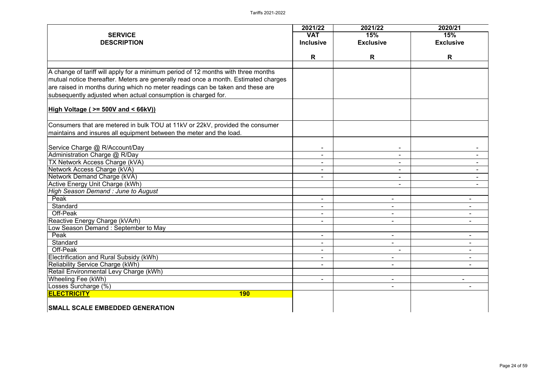| <b>SERVICE</b><br><b>DESCRIPTION</b>                                                | 2021/22<br><b>VAT</b><br><b>Inclusive</b> | 2021/22<br>15%<br><b>Exclusive</b> | 2020/21<br>15%<br><b>Exclusive</b> |
|-------------------------------------------------------------------------------------|-------------------------------------------|------------------------------------|------------------------------------|
|                                                                                     | R                                         | R                                  | R                                  |
| A change of tariff will apply for a minimum period of 12 months with three months   |                                           |                                    |                                    |
| mutual notice thereafter. Meters are generally read once a month. Estimated charges |                                           |                                    |                                    |
| are raised in months during which no meter readings can be taken and these are      |                                           |                                    |                                    |
| subsequently adjusted when actual consumption is charged for.                       |                                           |                                    |                                    |
|                                                                                     |                                           |                                    |                                    |
| <b>High Voltage ( &gt;= 500V and &lt; 66kV))</b>                                    |                                           |                                    |                                    |
| Consumers that are metered in bulk TOU at 11kV or 22kV, provided the consumer       |                                           |                                    |                                    |
| maintains and insures all equipment between the meter and the load.                 |                                           |                                    |                                    |
|                                                                                     |                                           |                                    |                                    |
| Service Charge @ R/Account/Day                                                      |                                           |                                    |                                    |
| Administration Charge @ R/Day                                                       | $\blacksquare$                            | $\blacksquare$                     |                                    |
| <b>TX Network Access Charge (kVA)</b>                                               |                                           |                                    |                                    |
| Network Access Charge (kVA)                                                         | $\blacksquare$                            |                                    |                                    |
| Network Demand Charge (kVA)<br><b>Active Energy Unit Charge (kWh)</b>               | ۰.                                        | $\blacksquare$                     |                                    |
| High Season Demand: June to August                                                  |                                           |                                    |                                    |
| Peak                                                                                | $\blacksquare$                            |                                    |                                    |
| <b>Standard</b>                                                                     | $\blacksquare$                            |                                    |                                    |
| Off-Peak                                                                            | $\blacksquare$                            | $\blacksquare$                     |                                    |
| Reactive Energy Charge (kVArh)                                                      |                                           |                                    |                                    |
| Low Season Demand: September to May                                                 |                                           |                                    |                                    |
| Peak                                                                                | $\blacksquare$                            | $\blacksquare$                     |                                    |
| Standard                                                                            | $\blacksquare$                            | $\blacksquare$                     |                                    |
| Off-Peak                                                                            | $\blacksquare$                            | $\blacksquare$                     | ۰.                                 |
| Electrification and Rural Subsidy (kWh)                                             | $\overline{\phantom{a}}$                  | $\blacksquare$                     | ۰.                                 |
| <b>Reliability Service Charge (kWh)</b>                                             | $\blacksquare$                            | $\blacksquare$                     |                                    |
| Retail Environmental Levy Charge (kWh)                                              |                                           |                                    |                                    |
| Wheeling Fee (kWh)                                                                  | $\blacksquare$                            | $\blacksquare$                     |                                    |
| Losses Surcharge (%)                                                                |                                           |                                    |                                    |
| <b>ELECTRICITY</b><br><b>190</b>                                                    |                                           |                                    |                                    |
| <b>SMALL SCALE EMBEDDED GENERATION</b>                                              |                                           |                                    |                                    |

|  | 2020/21<br>15%   |  |  |
|--|------------------|--|--|
|  | <b>Exclusive</b> |  |  |
|  |                  |  |  |
|  | $\mathsf{R}$     |  |  |
|  |                  |  |  |
|  |                  |  |  |
|  |                  |  |  |
|  |                  |  |  |
|  |                  |  |  |
|  |                  |  |  |
|  |                  |  |  |
|  |                  |  |  |
|  |                  |  |  |
|  |                  |  |  |
|  |                  |  |  |
|  |                  |  |  |
|  |                  |  |  |
|  |                  |  |  |
|  |                  |  |  |
|  |                  |  |  |
|  |                  |  |  |
|  |                  |  |  |
|  |                  |  |  |
|  |                  |  |  |
|  |                  |  |  |
|  |                  |  |  |
|  |                  |  |  |
|  |                  |  |  |
|  |                  |  |  |
|  |                  |  |  |
|  |                  |  |  |
|  |                  |  |  |
|  |                  |  |  |
|  |                  |  |  |
|  |                  |  |  |
|  |                  |  |  |
|  |                  |  |  |
|  |                  |  |  |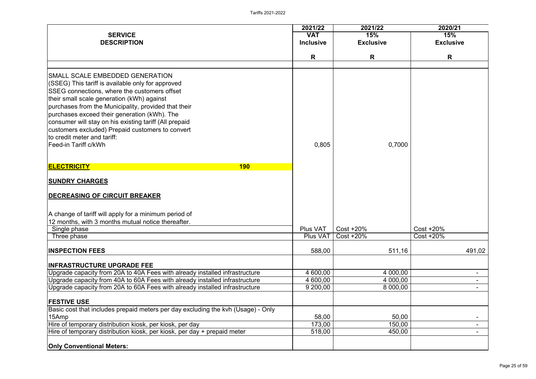|                                                                                      | 2021/22          | 2021/22          | 2020/21          |
|--------------------------------------------------------------------------------------|------------------|------------------|------------------|
| <b>SERVICE</b>                                                                       | <b>VAT</b>       | 15%              | 15%              |
| <b>DESCRIPTION</b>                                                                   | <b>Inclusive</b> | <b>Exclusive</b> | <b>Exclusive</b> |
|                                                                                      | R                | R                | R                |
|                                                                                      |                  |                  |                  |
| SMALL SCALE EMBEDDED GENERATION<br>(SSEG) This tariff is available only for approved |                  |                  |                  |
| SSEG connections, where the customers offset                                         |                  |                  |                  |
| their small scale generation (kWh) against                                           |                  |                  |                  |
| purchases from the Municipality, provided that their                                 |                  |                  |                  |
| purchases exceed their generation (kWh). The                                         |                  |                  |                  |
| consumer will stay on his existing tariff (All prepaid                               |                  |                  |                  |
| customers excluded) Prepaid customers to convert                                     |                  |                  |                  |
| to credit meter and tariff:                                                          |                  |                  |                  |
| Feed-in Tariff c/kWh                                                                 | 0,805            | 0,7000           |                  |
|                                                                                      |                  |                  |                  |
| <b>ELECTRICITY</b><br><b>190</b>                                                     |                  |                  |                  |
| <b>SUNDRY CHARGES</b>                                                                |                  |                  |                  |
| <b>DECREASING OF CIRCUIT BREAKER</b>                                                 |                  |                  |                  |
| A change of tariff will apply for a minimum period of                                |                  |                  |                  |
| 12 months, with 3 months mutual notice thereafter.                                   |                  |                  |                  |
| Single phase                                                                         | Plus VAT         | $Cost + 20\%$    | Cost +20%        |
| Three phase                                                                          | <b>Plus VAT</b>  | $Cost + 20\%$    | $Cost + 20\%$    |
| <b>INSPECTION FEES</b>                                                               | 588,00           | 511,16           | 491,02           |
| <b>INFRASTRUCTURE UPGRADE FEE</b>                                                    |                  |                  |                  |
| Upgrade capacity from 20A to 40A Fees with already installed infrastructure          | 4 600,00         | 4 000,00         |                  |
| Upgrade capacity from 40A to 60A Fees with already installed infrastructure          | 4 600,00         | 4 000,00         |                  |
| Upgrade capacity from 20A to 60A Fees with already installed infrastructure          | 9 200,00         | 8 000,00         |                  |
| <b>FESTIVE USE</b>                                                                   |                  |                  |                  |
| Basic cost that includes prepaid meters per day excluding the kvh (Usage) - Only     |                  |                  |                  |
| 15Amp                                                                                | 58,00            | 50,00            |                  |
| Hire of temporary distribution kiosk, per kiosk, per day                             | 173,00           | 150,00           |                  |
| Hire of temporary distribution kiosk, per kiosk, per day + prepaid meter             | 518,00           | 450,00           |                  |
| <b>Only Conventional Meters:</b>                                                     |                  |                  |                  |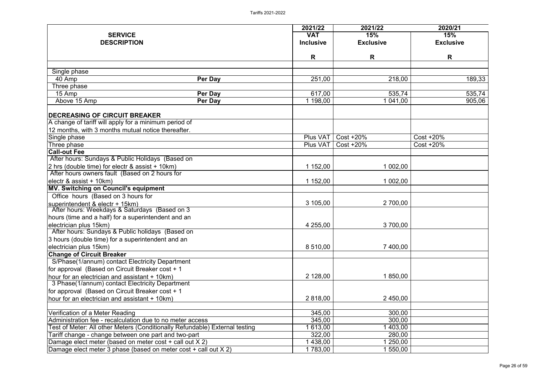|                                                                                                  |                                                                             | 2021/22          | 2021/22          | 2020/21          |
|--------------------------------------------------------------------------------------------------|-----------------------------------------------------------------------------|------------------|------------------|------------------|
| <b>SERVICE</b>                                                                                   |                                                                             | <b>VAT</b>       | 15%              | 15%              |
| <b>DESCRIPTION</b>                                                                               |                                                                             | <b>Inclusive</b> | <b>Exclusive</b> | <b>Exclusive</b> |
|                                                                                                  |                                                                             |                  |                  |                  |
|                                                                                                  |                                                                             | R                | R                | R                |
| Single phase                                                                                     |                                                                             |                  |                  |                  |
| 40 Amp                                                                                           | Per Day                                                                     | 251,00           | 218,00           | 189,33           |
| Three phase                                                                                      |                                                                             |                  |                  |                  |
| 15 Amp                                                                                           | Per Day                                                                     | 617,00           | 535,74           | 535,74           |
| Above 15 Amp                                                                                     | Per Day                                                                     | 1 198,00         | 041,00           | 905,06           |
| <b>DECREASING OF CIRCUIT BREAKER</b>                                                             |                                                                             |                  |                  |                  |
| A change of tariff will apply for a minimum period of                                            |                                                                             |                  |                  |                  |
| 12 months, with 3 months mutual notice thereafter.                                               |                                                                             |                  |                  |                  |
| Single phase                                                                                     |                                                                             | Plus VAT         | $Cost + 20\%$    | Cost +20%        |
| Three phase                                                                                      |                                                                             | Plus VAT         | $Cost + 20\%$    | $Cost + 20\%$    |
| <b>Call-out Fee</b>                                                                              |                                                                             |                  |                  |                  |
| After hours: Sundays & Public Holidays (Based on                                                 |                                                                             |                  |                  |                  |
| 2 hrs (double time) for electr $\&$ assist + 10km)                                               |                                                                             | 1 152,00         | 1 002,00         |                  |
| After hours owners fault (Based on 2 hours for                                                   |                                                                             |                  |                  |                  |
| electr & assist + 10km)                                                                          |                                                                             | 1 152,00         | 1 002,00         |                  |
| <b>MV. Switching on Council's equipment</b>                                                      |                                                                             |                  |                  |                  |
| Office hours (Based on 3 hours for                                                               |                                                                             |                  |                  |                  |
| superintendent & electr + 15km)                                                                  |                                                                             | 3 105,00         | 2 700,00         |                  |
| After hours: Weekdays & Saturdays (Based on 3                                                    |                                                                             |                  |                  |                  |
| hours (time and a half) for a superintendent and an                                              |                                                                             |                  |                  |                  |
| electrician plus 15km)                                                                           |                                                                             | 4 255,00         | 3 700,00         |                  |
| After hours: Sundays & Public holidays (Based on                                                 |                                                                             |                  |                  |                  |
| 3 hours (double time) for a superintendent and an                                                |                                                                             |                  |                  |                  |
| electrician plus 15km)                                                                           |                                                                             | 8 510,00         | 7 400,00         |                  |
| <b>Change of Circuit Breaker</b>                                                                 |                                                                             |                  |                  |                  |
| S/Phase(1/annum) contact Electricity Department                                                  |                                                                             |                  |                  |                  |
| for approval (Based on Circuit Breaker cost + 1                                                  |                                                                             |                  |                  |                  |
| hour for an electrician and assistant + 10km)<br>3 Phase(1/annum) contact Electricity Department |                                                                             | 2 128,00         | 1 850,00         |                  |
|                                                                                                  |                                                                             |                  |                  |                  |
| for approval (Based on Circuit Breaker cost + 1                                                  |                                                                             | 2 818,00         | 2 450,00         |                  |
| hour for an electrician and assistant + 10km)                                                    |                                                                             |                  |                  |                  |
| Verification of a Meter Reading                                                                  |                                                                             | 345,00           | 300,00           |                  |
| Administration fee - recalculation due to no meter access                                        |                                                                             | 345,00           | 300,00           |                  |
|                                                                                                  | Test of Meter: All other Meters (Conditionally Refundable) External testing | 613,00           | 403,00           |                  |
| Tariff change - change between one part and two-part                                             |                                                                             | 322,00           | 280,00           |                  |
| Damage elect meter (based on meter cost + call out X 2)                                          |                                                                             | 438,00           | 250,00           |                  |
| Damage elect meter 3 phase (based on meter cost + call out X 2)                                  |                                                                             | 1 783,00         | 550,00           |                  |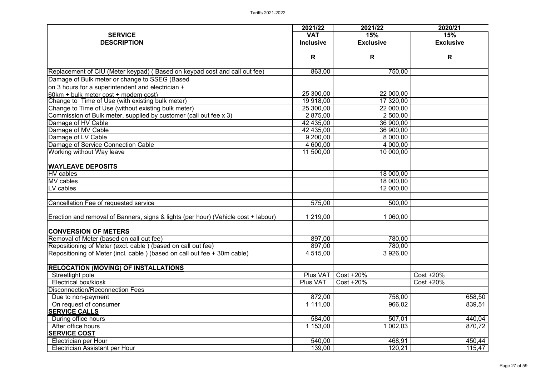|                                                                                    | 2021/22             | 2021/22          | 2020/21          |
|------------------------------------------------------------------------------------|---------------------|------------------|------------------|
| <b>SERVICE</b>                                                                     | <b>VAT</b>          | 15%              | 15%              |
| <b>DESCRIPTION</b>                                                                 | <b>Inclusive</b>    | <b>Exclusive</b> | <b>Exclusive</b> |
|                                                                                    | R                   | R                | R                |
|                                                                                    |                     |                  |                  |
| Replacement of CIU (Meter keypad) (Based on keypad cost and call out fee)          | 863,00              | 750,00           |                  |
| Damage of Bulk meter or change to SSEG (Based                                      |                     |                  |                  |
| on 3 hours for a superintendent and electrician +                                  |                     |                  |                  |
| 60km + bulk meter cost + modem cost)                                               | 25 300,00           | 22 000,00        |                  |
| Change to Time of Use (with existing bulk meter)                                   | 19 918,00           | 17 320,00        |                  |
| Change to Time of Use (without existing bulk meter)                                | 25 300,00           | 22 000,00        |                  |
| Commission of Bulk meter, supplied by customer (call out fee x 3)                  | 2 875,00            | 2 500,00         |                  |
| Damage of HV Cable                                                                 | 42 435,00           | 36 900,00        |                  |
| Damage of MV Cable                                                                 | 42 435,00           | 36 900,00        |                  |
| Damage of LV Cable                                                                 | 9 200,00            | 8 000,00         |                  |
| Damage of Service Connection Cable                                                 | 4 600,00            | 4 000,00         |                  |
| <b>Working without Way leave</b>                                                   | 11 500,00           | 10 000,00        |                  |
| <b>WAYLEAVE DEPOSITS</b>                                                           |                     |                  |                  |
| <b>HV</b> cables                                                                   |                     | 18 000,00        |                  |
| MV cables                                                                          |                     | 18 000,00        |                  |
| LV cables                                                                          |                     | 12 000,00        |                  |
| <b>Cancellation Fee of requested service</b>                                       | $\overline{57}5,00$ | 500,00           |                  |
| Erection and removal of Banners, signs & lights (per hour) (Vehicle cost + labour) | 1 219,00            | 1 060,00         |                  |
| <b>CONVERSION OF METERS</b>                                                        |                     |                  |                  |
| Removal of Meter (based on call out fee)                                           | 897,00              | 780,00           |                  |
| Repositioning of Meter (excl. cable) (based on call out fee)                       | 897,00              | 780,00           |                  |
| Repositioning of Meter (incl. cable) (based on call out fee + 30m cable)           | 4 515,00            | 3 926,00         |                  |
| <b>RELOCATION (MOVING) OF INSTALLATIONS</b>                                        |                     |                  |                  |
| Streetlight pole                                                                   | Plus VAT            | Cost +20%        | Cost +20%        |
| <b>Electrical box/kiosk</b>                                                        | <b>Plus VAT</b>     | $Cost + 20\%$    | Cost +20%        |
| <b>Disconnection/Reconnection Fees</b>                                             |                     |                  |                  |
| Due to non-payment                                                                 | 872,00              | 758,00           | 658,50           |
| On request of consumer                                                             | 1 111,00            | 966,02           | 839,51           |
| <b>SERVICE CALLS</b>                                                               |                     |                  |                  |
| During office hours                                                                | 584,00              | 507,01           | 440,04           |
| After office hours                                                                 | 1 153,00            | 1 002,03         | 870,72           |
| <b>SERVICE COST</b>                                                                |                     |                  |                  |
| Electrician per Hour                                                               | 540,00              | 468,91           | 450,44           |
| Electrician Assistant per Hour                                                     | 139,00              | 120,21           | 115,47           |
|                                                                                    |                     |                  |                  |

|                                       | 2020/21          |
|---------------------------------------|------------------|
|                                       | 15%              |
|                                       | <b>Exclusive</b> |
|                                       |                  |
|                                       | R                |
| $\overline{0}$                        |                  |
|                                       |                  |
|                                       |                  |
|                                       |                  |
| $\frac{\frac{1}{100}}{\frac{1}{100}}$ |                  |
|                                       |                  |
|                                       |                  |
|                                       |                  |
|                                       |                  |
|                                       |                  |
|                                       |                  |
|                                       |                  |
|                                       |                  |
|                                       |                  |
|                                       |                  |
| $\frac{1}{0}$<br>$\frac{1}{0}$        |                  |
|                                       |                  |
|                                       |                  |
| $\overline{0}$                        |                  |
|                                       |                  |
| $\mathbf{0}$                          |                  |
|                                       |                  |
|                                       |                  |
|                                       |                  |
| $\frac{0}{0}$                         |                  |
|                                       |                  |
|                                       |                  |
|                                       | Cost +20%        |
|                                       | Cost +20%        |
|                                       |                  |
|                                       | 658,50           |
| $\frac{0}{2}$                         | 839,51           |
|                                       |                  |
| $\frac{1}{3}$                         | 440,04           |
|                                       | 870,72           |
|                                       |                  |
| $\overline{1}$                        | 450,44           |
| $\overline{1}$                        | 115,47           |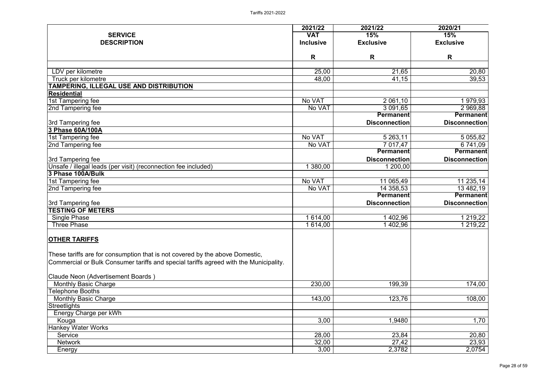|                                                                                       | 2021/22          | 2021/22              | 2020/21              |
|---------------------------------------------------------------------------------------|------------------|----------------------|----------------------|
| <b>SERVICE</b>                                                                        | <b>VAT</b>       | 15%                  | 15%                  |
| <b>DESCRIPTION</b>                                                                    | <b>Inclusive</b> | <b>Exclusive</b>     | <b>Exclusive</b>     |
|                                                                                       | R                | R                    | $\mathsf{R}$         |
|                                                                                       |                  |                      |                      |
| LDV per kilometre                                                                     | 25,00<br>48,00   | 21,65<br>41,15       | 20,80<br>39,53       |
| Truck per kilometre<br>TAMPERING, ILLEGAL USE AND DISTRIBUTION                        |                  |                      |                      |
| <b>Residential</b>                                                                    |                  |                      |                      |
| 1st Tampering fee                                                                     | No VAT           | 2 061,10             | $\overline{1979,93}$ |
| 2nd Tampering fee                                                                     | No VAT           | 3 091,65             | 2 969,88             |
|                                                                                       |                  | <b>Permanent</b>     | <b>Permanent</b>     |
| 3rd Tampering fee                                                                     |                  | <b>Disconnection</b> | <b>Disconnection</b> |
| 3 Phase 60A/100A                                                                      |                  |                      |                      |
| 1st Tampering fee                                                                     | No VAT           | 5 263,11             | 5 0 5 5 , 8 2        |
| 2nd Tampering fee                                                                     | No VAT           | 7 017,47             | 6 741,09             |
|                                                                                       |                  | <b>Permanent</b>     | <b>Permanent</b>     |
| 3rd Tampering fee                                                                     |                  | <b>Disconnection</b> | <b>Disconnection</b> |
| Unsafe / illegal leads (per visit) (reconnection fee included)                        | 380,00           | 1 200,00             |                      |
| 3 Phase 100A/Bulk                                                                     |                  |                      |                      |
| 1st Tampering fee                                                                     | No VAT           | 11 065,49            | 11 235,14            |
| 2nd Tampering fee                                                                     | No VAT           | 14 358,53            | 13 482,19            |
|                                                                                       |                  | <b>Permanent</b>     | <b>Permanent</b>     |
| 3rd Tampering fee                                                                     |                  | <b>Disconnection</b> | <b>Disconnection</b> |
| <b>TESTING OF METERS</b>                                                              |                  |                      |                      |
| <b>Single Phase</b>                                                                   | 1 614,00         | 402,96               | 1 219,22             |
| <b>Three Phase</b>                                                                    | 1 614,00         | 1 402,96             | 1 219,22             |
| <b>OTHER TARIFFS</b>                                                                  |                  |                      |                      |
| These tariffs are for consumption that is not covered by the above Domestic,          |                  |                      |                      |
| Commercial or Bulk Consumer tariffs and special tariffs agreed with the Municipality. |                  |                      |                      |
| Claude Neon (Advertisement Boards)                                                    |                  |                      |                      |
| <b>Monthly Basic Charge</b>                                                           | 230,00           | 199,39               | 174,00               |
| <b>Telephone Booths</b>                                                               |                  |                      |                      |
| <b>Monthly Basic Charge</b>                                                           | 143,00           | 123,76               | 108,00               |
| <b>Streetlights</b>                                                                   |                  |                      |                      |
| Energy Charge per kWh                                                                 |                  |                      |                      |
| Kouga                                                                                 | 3,00             | 1,9480               | 1,70                 |
| <b>Hankey Water Works</b>                                                             |                  |                      |                      |
| Service                                                                               | 28,00            | 23,84                | 20,80                |
| <b>Network</b>                                                                        | 32,00            | 27,42                | 23,93                |
| Energy                                                                                | 3,00             | 2,3782               | 2,0754               |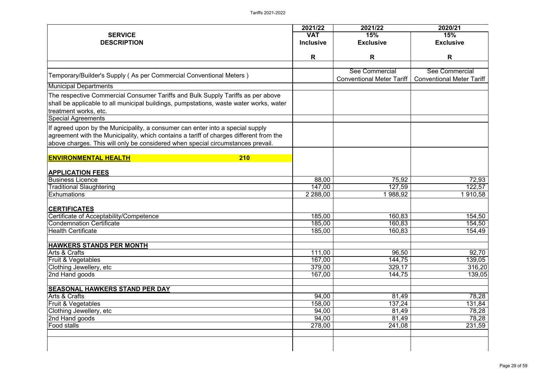|                                                                                                                                                                                                                                                             | 2021/22          | 2021/22                          | 2020/21                          |
|-------------------------------------------------------------------------------------------------------------------------------------------------------------------------------------------------------------------------------------------------------------|------------------|----------------------------------|----------------------------------|
| <b>SERVICE</b>                                                                                                                                                                                                                                              | <b>VAT</b>       | 15%                              | 15%                              |
| <b>DESCRIPTION</b>                                                                                                                                                                                                                                          | <b>Inclusive</b> | <b>Exclusive</b>                 | <b>Exclusive</b>                 |
|                                                                                                                                                                                                                                                             |                  |                                  |                                  |
|                                                                                                                                                                                                                                                             | R                | R                                | R                                |
|                                                                                                                                                                                                                                                             |                  | See Commercial                   | See Commercial                   |
| Temporary/Builder's Supply (As per Commercial Conventional Meters)                                                                                                                                                                                          |                  | <b>Conventional Meter Tariff</b> | <b>Conventional Meter Tariff</b> |
| <b>Municipal Departments</b>                                                                                                                                                                                                                                |                  |                                  |                                  |
| The respective Commercial Consumer Tariffs and Bulk Supply Tariffs as per above<br>shall be applicable to all municipal buildings, pumpstations, waste water works, water<br>treatment works, etc.                                                          |                  |                                  |                                  |
| <b>Special Agreements</b>                                                                                                                                                                                                                                   |                  |                                  |                                  |
| If agreed upon by the Municipality, a consumer can enter into a special supply<br>agreement with the Municipality, which contains a tariff of charges different from the<br>above charges. This will only be considered when special circumstances prevail. |                  |                                  |                                  |
| <b>ENVIRONMENTAL HEALTH</b><br><b>210</b>                                                                                                                                                                                                                   |                  |                                  |                                  |
| <b>APPLICATION FEES</b>                                                                                                                                                                                                                                     |                  |                                  |                                  |
| <b>Business Licence</b>                                                                                                                                                                                                                                     | 88,00            | 75,92                            | 72,93                            |
| <b>Traditional Slaughtering</b>                                                                                                                                                                                                                             | 147,00           | 127,59                           | 122,57                           |
| <b>Exhumations</b>                                                                                                                                                                                                                                          | 2 2 8 8,00       | 988,92                           | 910,58                           |
| <b>CERTIFICATES</b>                                                                                                                                                                                                                                         |                  |                                  |                                  |
| Certificate of Acceptability/Competence                                                                                                                                                                                                                     | 185,00           | 160,83                           | 154,50                           |
| Condemnation Certificate                                                                                                                                                                                                                                    | 185,00           | 160,83                           | 154,50                           |
| <b>Health Certificate</b>                                                                                                                                                                                                                                   | 185,00           | 160,83                           | 154,49                           |
| <b>HAWKERS STANDS PER MONTH</b>                                                                                                                                                                                                                             |                  |                                  |                                  |
| Arts & Crafts                                                                                                                                                                                                                                               | 111,00           | 96,50                            | 92,70                            |
| <b>Fruit &amp; Vegetables</b>                                                                                                                                                                                                                               | 167,00           | 144,75                           | 139,05                           |
| Clothing Jewellery, etc                                                                                                                                                                                                                                     | 379,00           | 329,17                           | 316,20                           |
| 2nd Hand goods                                                                                                                                                                                                                                              | 167,00           | 144,75                           | 139,05                           |
| <b>SEASONAL HAWKERS STAND PER DAY</b>                                                                                                                                                                                                                       |                  |                                  |                                  |
| Arts & Crafts                                                                                                                                                                                                                                               | 94,00            | 81,49                            | 78,28                            |
| <b>Fruit &amp; Vegetables</b>                                                                                                                                                                                                                               | 158,00           | 137,24                           | 131,84                           |
| Clothing Jewellery, etc                                                                                                                                                                                                                                     | 94,00            | 81,49                            | 78,28                            |
| 2nd Hand goods                                                                                                                                                                                                                                              | 94,00            | 81,49                            | 78,28                            |
| <b>Food stalls</b>                                                                                                                                                                                                                                          | 278,00           | 241,08                           | 231,59                           |
|                                                                                                                                                                                                                                                             |                  |                                  |                                  |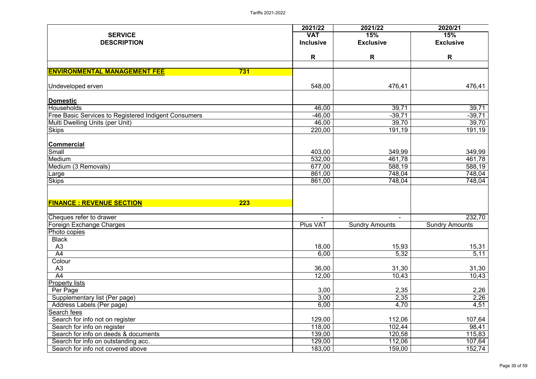|                                                             | 2021/22                  | 2021/22               | 2020/21               |
|-------------------------------------------------------------|--------------------------|-----------------------|-----------------------|
| <b>SERVICE</b>                                              | <b>VAT</b>               | 15%                   | 15%                   |
| <b>DESCRIPTION</b>                                          | <b>Inclusive</b>         | <b>Exclusive</b>      | <b>Exclusive</b>      |
|                                                             | R                        | R                     | R                     |
| <b>ENVIRONMENTAL MANAGEMENT FEE</b><br>731                  |                          |                       |                       |
| Undeveloped erven                                           | 548,00                   | 476,41                | 476,41                |
| Domestic                                                    |                          |                       |                       |
| Households                                                  | 46,00                    | $\overline{39,71}$    | 39,71                 |
| <b>Free Basic Services to Registered Indigent Consumers</b> | $-46,00$                 | $-39,71$              | $-39,71$              |
| Multi Dwelling Units (per Unit)                             | 46,00                    | 39,70                 | 39,70                 |
| <b>Skips</b>                                                | 220,00                   | 191,19                | 191,19                |
| <b>Commercial</b>                                           |                          |                       |                       |
| Small                                                       | 403,00                   | 349,99                | 349,99                |
| Medium                                                      | 532,00                   | 461,78                | 461,78                |
| Medium (3 Removals)                                         | 677,00                   | 588,19                | 588,19                |
| Large                                                       | 861,00                   | 748,04                | 748,04                |
| <b>Skips</b>                                                | 861,00                   | 748,04                | 748,04                |
| <b>FINANCE : REVENUE SECTION</b><br>223                     |                          |                       |                       |
| Cheques refer to drawer                                     | $\overline{\phantom{a}}$ | $\blacksquare$        | 232,70                |
| Foreign Exchange Charges                                    | <b>Plus VAT</b>          | <b>Sundry Amounts</b> | <b>Sundry Amounts</b> |
| Photo copies                                                |                          |                       |                       |
| <b>Black</b>                                                |                          |                       |                       |
| A3                                                          | 18,00                    | 15,93                 | 15,31                 |
| $\overline{A4}$                                             | 6,00                     | 5,32                  | 5,11                  |
| Colour                                                      |                          |                       |                       |
| A <sub>3</sub>                                              | 36,00                    | 31,30                 | 31,30                 |
| A4                                                          | 12,00                    | 10,43                 | 10,43                 |
| <b>Property lists</b>                                       |                          |                       |                       |
| Per Page                                                    | 3,00                     | 2,35                  | 2,26                  |
| Supplementary list (Per page)                               | 3,00                     | 2,35                  | 2,26                  |
| Address Labels (Per page)                                   | 6,00                     | 4,70                  | 4,51                  |
| Search fees                                                 |                          |                       |                       |
| Search for info not on register                             | 129,00                   | 112,06                | 107,64                |
| Search for info on register                                 | 118,00                   | 102,44                | 98,41                 |
| Search for info on deeds & documents                        | 139,00                   | 120,58                | 115,83                |
| Search for info on outstanding acc.                         | 129,00                   | 112,06                | 107,64                |
| Search for info not covered above                           | 183,00                   | 159,00                | 152,74                |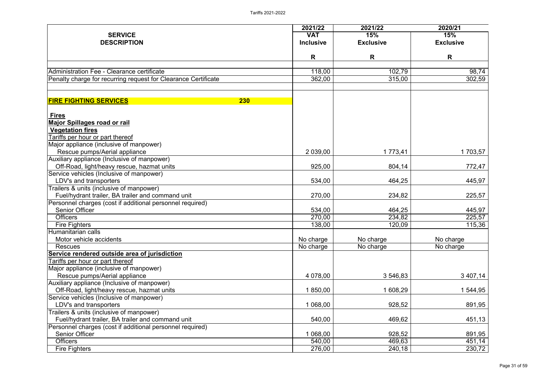|                                                                              | 2021/22          | 2021/22          | 2020/21          |
|------------------------------------------------------------------------------|------------------|------------------|------------------|
| <b>SERVICE</b>                                                               | <b>VAT</b>       | 15%              | 15%              |
| <b>DESCRIPTION</b>                                                           | <b>Inclusive</b> | <b>Exclusive</b> | <b>Exclusive</b> |
|                                                                              | R                | R                | R                |
|                                                                              |                  |                  |                  |
| Administration Fee - Clearance certificate                                   | 118,00           | 102,79           | 98,74            |
| Penalty charge for recurring request for Clearance Certificate               | 362,00           | 315,00           | 302,59           |
|                                                                              |                  |                  |                  |
| 230<br><b>FIRE FIGHTING SERVICES</b>                                         |                  |                  |                  |
| <u>Fires</u>                                                                 |                  |                  |                  |
| <b>Major Spillages road or rail</b>                                          |                  |                  |                  |
| <b>Vegetation fires</b>                                                      |                  |                  |                  |
| Tariffs per hour or part thereof                                             |                  |                  |                  |
| Major appliance (inclusive of manpower)                                      |                  |                  |                  |
| Rescue pumps/Aerial appliance                                                | 2 039,00         | 1 773,41         | 1 703,57         |
| Auxiliary appliance (Inclusive of manpower)                                  |                  |                  |                  |
| Off-Road, light/heavy rescue, hazmat units                                   | 925,00           | 804,14           | 772,47           |
| Service vehicles (Inclusive of manpower)                                     |                  |                  |                  |
| LDV's and transporters                                                       | 534,00           | 464,25           | 445,97           |
| Trailers & units (inclusive of manpower)                                     |                  |                  |                  |
| Fuel/hydrant trailer, BA trailer and command unit                            | 270,00           | 234,82           | 225,57           |
| Personnel charges (cost if additional personnel required)                    |                  |                  |                  |
| <b>Senior Officer</b>                                                        | 534,00           | 464,25           | 445,97           |
| <b>Officers</b>                                                              | 270,00           | 234,82           | 225,57           |
| <b>Fire Fighters</b>                                                         | 138,00           | 120,09           | 115,36           |
| IHumanitarian calls                                                          |                  |                  |                  |
| Motor vehicle accidents                                                      | No charge        | No charge        | No charge        |
| <b>Rescues</b>                                                               | No charge        | No charge        | No charge        |
| Service rendered outside area of jurisdiction                                |                  |                  |                  |
| Tariffs per hour or part thereof                                             |                  |                  |                  |
| Major appliance (inclusive of manpower)                                      | 4 078,00         | 3 546,83         |                  |
| Rescue pumps/Aerial appliance<br>Auxiliary appliance (Inclusive of manpower) |                  |                  | 3 407,14         |
| Off-Road, light/heavy rescue, hazmat units                                   | 1 850,00         | 1 608,29         | 544,95           |
| Service vehicles (Inclusive of manpower)                                     |                  |                  |                  |
| LDV's and transporters                                                       | 1 068,00         | 928,52           | 891,95           |
| Trailers & units (inclusive of manpower)                                     |                  |                  |                  |
| Fuel/hydrant trailer, BA trailer and command unit                            | 540,00           | 469,62           | 451,13           |
| Personnel charges (cost if additional personnel required)                    |                  |                  |                  |
| <b>Senior Officer</b>                                                        | 1 068,00         | 928,52           | 891,95           |
| <b>Officers</b>                                                              | 540,00           | 469,63           | 451,14           |
| <b>Fire Fighters</b>                                                         | 276,00           | 240,18           | 230,72           |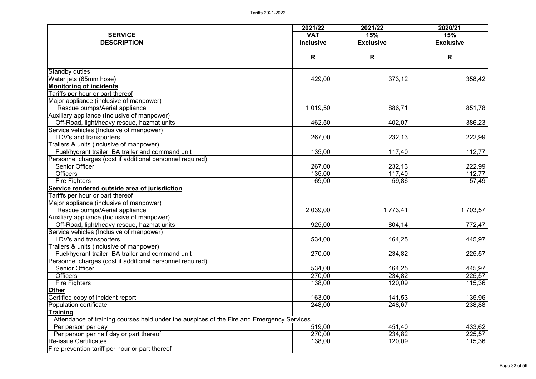| 2020/21<br>2021/22<br>2021/22<br><b>VAT</b><br><b>SERVICE</b><br>15%<br>15%<br><b>Inclusive</b><br><b>Exclusive</b><br><b>Exclusive</b><br><b>DESCRIPTION</b><br>R<br>R<br>R<br><b>Standby duties</b><br>429,00<br>373,12<br>358,42<br>Water jets (65mm hose)<br><b>Monitoring of incidents</b><br>Tariffs per hour or part thereof<br>Major appliance (inclusive of manpower)<br>1 019,50<br>886,71<br>Rescue pumps/Aerial appliance<br>851,78<br>Auxiliary appliance (Inclusive of manpower)<br>Off-Road, light/heavy rescue, hazmat units<br>462,50<br>402,07<br>386,23<br>Service vehicles (Inclusive of manpower)<br>222,99<br>LDV's and transporters<br>267,00<br>232,13<br>Trailers & units (inclusive of manpower)<br>Fuel/hydrant trailer, BA trailer and command unit<br>135,00<br>117,40<br>112,77<br>Personnel charges (cost if additional personnel required)<br><b>Senior Officer</b><br>267,00<br>222,99<br>232,13<br><b>Officers</b><br>135,00<br>117,40<br>112, 77<br>69,00<br>59,86<br>57,49<br><b>Fire Fighters</b><br>Service rendered outside area of jurisdiction<br>Tariffs per hour or part thereof<br>Major appliance (inclusive of manpower)<br>2 039,00<br>1 703,57<br>Rescue pumps/Aerial appliance<br>1 773,41<br>Auxiliary appliance (Inclusive of manpower) |
|--------------------------------------------------------------------------------------------------------------------------------------------------------------------------------------------------------------------------------------------------------------------------------------------------------------------------------------------------------------------------------------------------------------------------------------------------------------------------------------------------------------------------------------------------------------------------------------------------------------------------------------------------------------------------------------------------------------------------------------------------------------------------------------------------------------------------------------------------------------------------------------------------------------------------------------------------------------------------------------------------------------------------------------------------------------------------------------------------------------------------------------------------------------------------------------------------------------------------------------------------------------------------------------------|
|                                                                                                                                                                                                                                                                                                                                                                                                                                                                                                                                                                                                                                                                                                                                                                                                                                                                                                                                                                                                                                                                                                                                                                                                                                                                                            |
|                                                                                                                                                                                                                                                                                                                                                                                                                                                                                                                                                                                                                                                                                                                                                                                                                                                                                                                                                                                                                                                                                                                                                                                                                                                                                            |
|                                                                                                                                                                                                                                                                                                                                                                                                                                                                                                                                                                                                                                                                                                                                                                                                                                                                                                                                                                                                                                                                                                                                                                                                                                                                                            |
|                                                                                                                                                                                                                                                                                                                                                                                                                                                                                                                                                                                                                                                                                                                                                                                                                                                                                                                                                                                                                                                                                                                                                                                                                                                                                            |
|                                                                                                                                                                                                                                                                                                                                                                                                                                                                                                                                                                                                                                                                                                                                                                                                                                                                                                                                                                                                                                                                                                                                                                                                                                                                                            |
|                                                                                                                                                                                                                                                                                                                                                                                                                                                                                                                                                                                                                                                                                                                                                                                                                                                                                                                                                                                                                                                                                                                                                                                                                                                                                            |
|                                                                                                                                                                                                                                                                                                                                                                                                                                                                                                                                                                                                                                                                                                                                                                                                                                                                                                                                                                                                                                                                                                                                                                                                                                                                                            |
|                                                                                                                                                                                                                                                                                                                                                                                                                                                                                                                                                                                                                                                                                                                                                                                                                                                                                                                                                                                                                                                                                                                                                                                                                                                                                            |
|                                                                                                                                                                                                                                                                                                                                                                                                                                                                                                                                                                                                                                                                                                                                                                                                                                                                                                                                                                                                                                                                                                                                                                                                                                                                                            |
|                                                                                                                                                                                                                                                                                                                                                                                                                                                                                                                                                                                                                                                                                                                                                                                                                                                                                                                                                                                                                                                                                                                                                                                                                                                                                            |
|                                                                                                                                                                                                                                                                                                                                                                                                                                                                                                                                                                                                                                                                                                                                                                                                                                                                                                                                                                                                                                                                                                                                                                                                                                                                                            |
|                                                                                                                                                                                                                                                                                                                                                                                                                                                                                                                                                                                                                                                                                                                                                                                                                                                                                                                                                                                                                                                                                                                                                                                                                                                                                            |
|                                                                                                                                                                                                                                                                                                                                                                                                                                                                                                                                                                                                                                                                                                                                                                                                                                                                                                                                                                                                                                                                                                                                                                                                                                                                                            |
|                                                                                                                                                                                                                                                                                                                                                                                                                                                                                                                                                                                                                                                                                                                                                                                                                                                                                                                                                                                                                                                                                                                                                                                                                                                                                            |
|                                                                                                                                                                                                                                                                                                                                                                                                                                                                                                                                                                                                                                                                                                                                                                                                                                                                                                                                                                                                                                                                                                                                                                                                                                                                                            |
|                                                                                                                                                                                                                                                                                                                                                                                                                                                                                                                                                                                                                                                                                                                                                                                                                                                                                                                                                                                                                                                                                                                                                                                                                                                                                            |
|                                                                                                                                                                                                                                                                                                                                                                                                                                                                                                                                                                                                                                                                                                                                                                                                                                                                                                                                                                                                                                                                                                                                                                                                                                                                                            |
|                                                                                                                                                                                                                                                                                                                                                                                                                                                                                                                                                                                                                                                                                                                                                                                                                                                                                                                                                                                                                                                                                                                                                                                                                                                                                            |
|                                                                                                                                                                                                                                                                                                                                                                                                                                                                                                                                                                                                                                                                                                                                                                                                                                                                                                                                                                                                                                                                                                                                                                                                                                                                                            |
|                                                                                                                                                                                                                                                                                                                                                                                                                                                                                                                                                                                                                                                                                                                                                                                                                                                                                                                                                                                                                                                                                                                                                                                                                                                                                            |
|                                                                                                                                                                                                                                                                                                                                                                                                                                                                                                                                                                                                                                                                                                                                                                                                                                                                                                                                                                                                                                                                                                                                                                                                                                                                                            |
|                                                                                                                                                                                                                                                                                                                                                                                                                                                                                                                                                                                                                                                                                                                                                                                                                                                                                                                                                                                                                                                                                                                                                                                                                                                                                            |
|                                                                                                                                                                                                                                                                                                                                                                                                                                                                                                                                                                                                                                                                                                                                                                                                                                                                                                                                                                                                                                                                                                                                                                                                                                                                                            |
|                                                                                                                                                                                                                                                                                                                                                                                                                                                                                                                                                                                                                                                                                                                                                                                                                                                                                                                                                                                                                                                                                                                                                                                                                                                                                            |
|                                                                                                                                                                                                                                                                                                                                                                                                                                                                                                                                                                                                                                                                                                                                                                                                                                                                                                                                                                                                                                                                                                                                                                                                                                                                                            |
| Off-Road, light/heavy rescue, hazmat units<br>925,00<br>804,14<br>772,47                                                                                                                                                                                                                                                                                                                                                                                                                                                                                                                                                                                                                                                                                                                                                                                                                                                                                                                                                                                                                                                                                                                                                                                                                   |
| Service vehicles (Inclusive of manpower)                                                                                                                                                                                                                                                                                                                                                                                                                                                                                                                                                                                                                                                                                                                                                                                                                                                                                                                                                                                                                                                                                                                                                                                                                                                   |
| 445,97<br>534,00<br>464,25<br>LDV's and transporters                                                                                                                                                                                                                                                                                                                                                                                                                                                                                                                                                                                                                                                                                                                                                                                                                                                                                                                                                                                                                                                                                                                                                                                                                                       |
| Trailers & units (inclusive of manpower)                                                                                                                                                                                                                                                                                                                                                                                                                                                                                                                                                                                                                                                                                                                                                                                                                                                                                                                                                                                                                                                                                                                                                                                                                                                   |
| 270,00<br>234,82<br>Fuel/hydrant trailer, BA trailer and command unit<br>225,57                                                                                                                                                                                                                                                                                                                                                                                                                                                                                                                                                                                                                                                                                                                                                                                                                                                                                                                                                                                                                                                                                                                                                                                                            |
| Personnel charges (cost if additional personnel required)                                                                                                                                                                                                                                                                                                                                                                                                                                                                                                                                                                                                                                                                                                                                                                                                                                                                                                                                                                                                                                                                                                                                                                                                                                  |
| <b>Senior Officer</b><br>534,00<br>464,25<br>445,97                                                                                                                                                                                                                                                                                                                                                                                                                                                                                                                                                                                                                                                                                                                                                                                                                                                                                                                                                                                                                                                                                                                                                                                                                                        |
| <b>Officers</b><br>270,00<br>234,82<br>225,57                                                                                                                                                                                                                                                                                                                                                                                                                                                                                                                                                                                                                                                                                                                                                                                                                                                                                                                                                                                                                                                                                                                                                                                                                                              |
| 115,36<br><b>Fire Fighters</b><br>138,00<br>120,09                                                                                                                                                                                                                                                                                                                                                                                                                                                                                                                                                                                                                                                                                                                                                                                                                                                                                                                                                                                                                                                                                                                                                                                                                                         |
| <b>Other</b>                                                                                                                                                                                                                                                                                                                                                                                                                                                                                                                                                                                                                                                                                                                                                                                                                                                                                                                                                                                                                                                                                                                                                                                                                                                                               |
| 163,00<br>Certified copy of incident report<br>141,53<br>135,96                                                                                                                                                                                                                                                                                                                                                                                                                                                                                                                                                                                                                                                                                                                                                                                                                                                                                                                                                                                                                                                                                                                                                                                                                            |
| 248,00<br>248,67<br>238,88<br>Population certificate                                                                                                                                                                                                                                                                                                                                                                                                                                                                                                                                                                                                                                                                                                                                                                                                                                                                                                                                                                                                                                                                                                                                                                                                                                       |
| <b>Training</b>                                                                                                                                                                                                                                                                                                                                                                                                                                                                                                                                                                                                                                                                                                                                                                                                                                                                                                                                                                                                                                                                                                                                                                                                                                                                            |
| Attendance of training courses held under the auspices of the Fire and Emergency Services                                                                                                                                                                                                                                                                                                                                                                                                                                                                                                                                                                                                                                                                                                                                                                                                                                                                                                                                                                                                                                                                                                                                                                                                  |
| 519,00<br>451,40<br>433,62<br>Per person per day                                                                                                                                                                                                                                                                                                                                                                                                                                                                                                                                                                                                                                                                                                                                                                                                                                                                                                                                                                                                                                                                                                                                                                                                                                           |
| Per person per half day or part thereof<br>270,00<br>234,82<br>225,57                                                                                                                                                                                                                                                                                                                                                                                                                                                                                                                                                                                                                                                                                                                                                                                                                                                                                                                                                                                                                                                                                                                                                                                                                      |
| <b>Re-issue Certificates</b><br>115,36<br>138,00<br>120,09                                                                                                                                                                                                                                                                                                                                                                                                                                                                                                                                                                                                                                                                                                                                                                                                                                                                                                                                                                                                                                                                                                                                                                                                                                 |
| Fire prevention tariff per hour or part thereof                                                                                                                                                                                                                                                                                                                                                                                                                                                                                                                                                                                                                                                                                                                                                                                                                                                                                                                                                                                                                                                                                                                                                                                                                                            |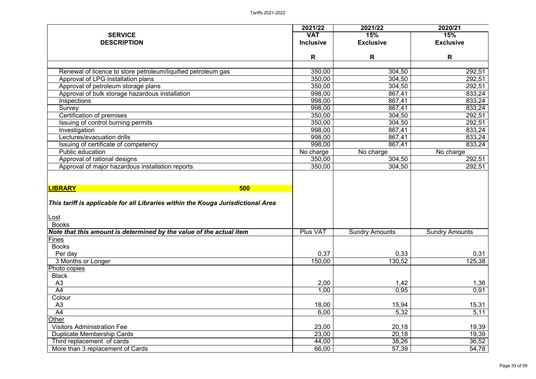|                                                                                  | 2021/22          | 2021/22               | 2020/21               |
|----------------------------------------------------------------------------------|------------------|-----------------------|-----------------------|
| <b>SERVICE</b>                                                                   | <b>VAT</b>       | 15%                   | 15%                   |
| <b>DESCRIPTION</b>                                                               | <b>Inclusive</b> | <b>Exclusive</b>      | <b>Exclusive</b>      |
|                                                                                  | R                | R                     | R                     |
|                                                                                  |                  |                       |                       |
| Renewal of licence to store petroleum/liquified petroleum gas                    | 350,00           | 304,50                | 292,51                |
| Approval of LPG installation plans                                               | 350,00           | 304,50                | 292,51                |
| Approval of petroleum storage plans                                              | 350,00           | 304,50                | 292,51                |
| Approval of bulk storage hazardous installation                                  | 998,00           | 867,41                | 833,24                |
| Inspections                                                                      | 998,00           | 867,41                | 833,24                |
| Survey                                                                           | 998,00           | 867,41                | 833,24                |
| Certification of premises                                                        | 350,00           | 304,50                | 292,51                |
| Issuing of control burning permits                                               | 350,00           | 304,50                | 292,51                |
| Investigation                                                                    | 998,00           | 867,41                | 833,24                |
| Lectures/evacuation drills                                                       | 998,00           | 867,41                | 833,24                |
| Issuing of certificate of competency                                             | 998,00           | 867,41                | 833,24                |
| <b>Public education</b>                                                          | No charge        | No charge             | No charge             |
| Approval of rational designs                                                     | 350,00           | 304,50                | 292,51                |
| Approval of major hazardous installation reports                                 | 350,00           | 304,50                | 292,51                |
| <b>LIBRARY</b><br>500                                                            |                  |                       |                       |
| This tariff is applicable for all Libraries within the Kouga Jurisdictional Area |                  |                       |                       |
|                                                                                  |                  |                       |                       |
| <u> Lost</u>                                                                     |                  |                       |                       |
| <b>Books</b>                                                                     |                  |                       |                       |
| Note that this amount is determined by the value of the actual item              | <b>Plus VAT</b>  | <b>Sundry Amounts</b> | <b>Sundry Amounts</b> |
| <b>Fines</b>                                                                     |                  |                       |                       |
| <b>Books</b>                                                                     |                  |                       |                       |
| Per day                                                                          | 0,37             | 0,33                  | 0,31                  |
| 3 Months or Longer                                                               | 150,00           | 130,52                | 125,38                |
| Photo copies                                                                     |                  |                       |                       |
| <b>Black</b>                                                                     |                  |                       |                       |
| A3                                                                               | 2,00             | 1,42                  | 1,36                  |
| A4                                                                               | 1,00             | 0,95                  | 0,91                  |
| Colour                                                                           |                  |                       |                       |
| A3                                                                               | 18,00            | 15,94                 | 15,31                 |
| A4                                                                               | 6,00             | 5,32                  | 5,11                  |
| Other                                                                            |                  |                       |                       |
| <b>Visitors Administration Fee</b>                                               | 23,00            | 20,18                 | 19,39                 |
| <b>Duplicate Membership Cards</b>                                                | 23,00            | 20,18                 | 19,39                 |
| Third replacement of cards                                                       | 44,00            | 38,26                 | 36,52                 |
| More than 3 replacement of Cards                                                 | 66,00            | 57,39                 | 54,78                 |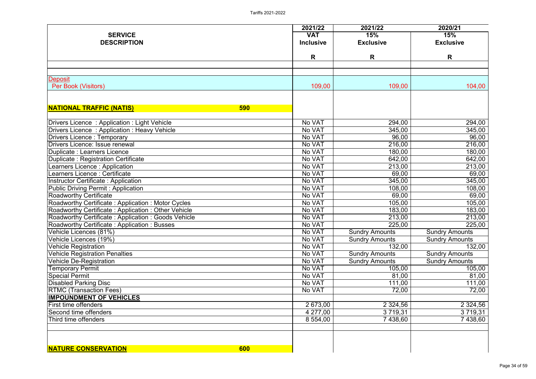| <b>SERVICE</b><br><b>DESCRIPTION</b>                                | 2021/22<br><b>VAT</b><br><b>Inclusive</b> | 2021/22<br>15%<br><b>Exclusive</b> | 2020/21<br>15%<br><b>Exclusive</b> |
|---------------------------------------------------------------------|-------------------------------------------|------------------------------------|------------------------------------|
|                                                                     | R                                         | R                                  | R                                  |
| Deposit                                                             |                                           |                                    |                                    |
| Per Book (Visitors)                                                 | 109,00                                    | 109,00                             | 104,00                             |
| <b>NATIONAL TRAFFIC (NATIS)</b><br><b>590</b>                       |                                           |                                    |                                    |
| Drivers Licence: Application: Light Vehicle                         | No VAT                                    | 294,00                             | 294,00                             |
| Drivers Licence: Application: Heavy Vehicle                         | No VAT                                    | 345,00                             | 345,00                             |
| Drivers Licence: Temporary                                          | No VAT                                    | 96,00                              | 96,00                              |
| Drivers Licence: Issue renewal                                      | No VAT                                    | 216,00                             | 216,00                             |
| Duplicate : Learners Licence                                        | No VAT                                    | 180,00                             | 180,00                             |
| Duplicate: Registration Certificate                                 | No VAT                                    | 642,00                             | 642,00                             |
| Learners Licence: Application                                       | No VAT                                    | 213,00                             | 213,00                             |
| Learners Licence : Certificate                                      | No VAT                                    | 69,00                              | 69,00                              |
| Instructor Certificate: Application                                 | No VAT                                    | 345,00                             | 345,00                             |
| Public Driving Permit: Application<br><b>Roadworthy Certificate</b> | No VAT<br>No VAT                          | 108,00                             | 108,00                             |
| Roadworthy Certificate: Application: Motor Cycles                   | No VAT                                    | 69,00<br>105,00                    | 69,00<br>105,00                    |
| Roadworthy Certificate: Application: Other Vehicle                  | No VAT                                    | 183,00                             | 183,00                             |
| Roadworthy Certificate: Application: Goods Vehicle                  | No VAT                                    | 213,00                             | 213,00                             |
| Roadworthy Certificate : Application : Busses                       | No VAT                                    | 225,00                             | 225,00                             |
| Vehicle Licences (81%)                                              | No VAT                                    | <b>Sundry Amounts</b>              | <b>Sundry Amounts</b>              |
| Vehicle Licences (19%)                                              | No VAT                                    | <b>Sundry Amounts</b>              | <b>Sundry Amounts</b>              |
| Vehicle Registration                                                | No VAT                                    | 132,00                             | 132,00                             |
| Vehicle Registration Penalties                                      | No VAT                                    | <b>Sundry Amounts</b>              | <b>Sundry Amounts</b>              |
| Vehicle De-Registration                                             | No VAT                                    | <b>Sundry Amounts</b>              | <b>Sundry Amounts</b>              |
| Temporary Permit                                                    | No VAT                                    | 105,00                             | 105,00                             |
| Special Permit                                                      | No VAT                                    | 81,00                              | 81,00                              |
| Disabled Parking Disc                                               | No VAT                                    | 111,00                             | 111,00                             |
| <b>RTMC (Transaction Fees)</b>                                      | No VAT                                    | 72,00                              | 72,00                              |
| <b>IMPOUNDMENT OF VEHICLES</b>                                      |                                           |                                    |                                    |
| <b>First time offenders</b>                                         | 2 673,00                                  | 2 3 2 4 , 5 6                      | 2 3 2 4 , 5 6                      |
| Second time offenders                                               | 4 277,00                                  | 3 7 1 9 , 3 1                      | 3 719,31                           |
| Third time offenders                                                | 8 554,00                                  | 7438,60                            | 7438,60                            |
|                                                                     |                                           |                                    |                                    |
| <b>NATURE CONSERVATION</b><br>600                                   |                                           |                                    |                                    |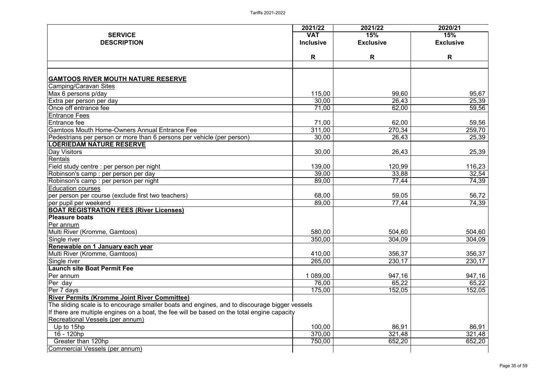| <b>VAT</b><br>15%<br><b>SERVICE</b><br>15%<br><b>DESCRIPTION</b><br><b>Inclusive</b><br><b>Exclusive</b><br><b>Exclusive</b><br>R<br>R<br>R<br><b>GAMTOOS RIVER MOUTH NATURE RESERVE</b><br>Camping/Caravan Sites<br>115,00<br>95,67<br>Max 6 persons p/day<br>99,60<br>30,00<br>26,43<br>25,39<br>Extra per person per day<br>Once off entrance fee<br>71,00<br>62,00<br>59,56<br><b>Entrance Fees</b><br>Entrance fee<br>62,00<br>59,56<br>71,00<br>Gamtoos Mouth Home-Owners Annual Entrance Fee<br>311,00<br>270,34<br>259,70<br>25,39<br>Pedestrians per person or more than 6 persons per vehicle (per person)<br>30,00<br>26,43<br><b>LOERIEDAM NATURE RESERVE</b><br>30,00<br>25,39<br><b>Day Visitors</b><br>26,43<br>Rentals<br>139,00<br>120,99<br>116,23<br>Field study centre : per person per night<br>32,54<br>39,00<br>33,88<br>Robinson's camp : per person per day<br>89,00<br>74,39<br>77,44<br>Robinson's camp : per person per night<br><b>Education courses</b><br>68,00<br>59,05<br>56,72<br>per person per course (exclude first two teachers)<br>74,39<br>89,00<br>77,44<br>per pupil per weekend<br><b>BOAT REGISTRATION FEES (River Licenses)</b><br><b>Pleasure boats</b><br>Per annum<br>Multi River (Kromme, Gamtoos)<br>580,00<br>504,60<br>504,60<br>304,09<br>350,00<br>304,09<br>Single river<br>Renewable on 1 January each year<br>410,00<br>356,37<br>356,37<br>Multi River (Kromme, Gamtoos)<br>265,00<br>230,17<br>230,17<br>Single river<br><b>Launch site Boat Permit Fee</b><br>1 089,00<br>947,16<br>Per annum<br>947,16<br>65,22<br>76,00<br>65,22<br>Per day<br>Per 7 days<br>152,05<br>152,05<br>175,00<br><b>River Permits (Kromme Joint River Committee)</b><br>The sliding scale is to encourage smaller boats and engines, and to discourage bigger vessels<br>If there are multiple engines on a boat, the fee will be based on the total engine capacity<br>Recreational Vessels (per annum)<br>100,00<br>86,91<br>86,91<br>Up to 15hp<br>321,48<br>370,00<br>321,48<br>16 - 120hp<br>Greater than 120hp<br>652,20<br>750,00<br>652,20<br>Commercial Vessels (per annum) | 2021/22 | 2021/22 | 2020/21 |
|------------------------------------------------------------------------------------------------------------------------------------------------------------------------------------------------------------------------------------------------------------------------------------------------------------------------------------------------------------------------------------------------------------------------------------------------------------------------------------------------------------------------------------------------------------------------------------------------------------------------------------------------------------------------------------------------------------------------------------------------------------------------------------------------------------------------------------------------------------------------------------------------------------------------------------------------------------------------------------------------------------------------------------------------------------------------------------------------------------------------------------------------------------------------------------------------------------------------------------------------------------------------------------------------------------------------------------------------------------------------------------------------------------------------------------------------------------------------------------------------------------------------------------------------------------------------------------------------------------------------------------------------------------------------------------------------------------------------------------------------------------------------------------------------------------------------------------------------------------------------------------------------------------------------------------------------------------------------------------------------------------------------------------------------------------------------------------------------------------------------------|---------|---------|---------|
|                                                                                                                                                                                                                                                                                                                                                                                                                                                                                                                                                                                                                                                                                                                                                                                                                                                                                                                                                                                                                                                                                                                                                                                                                                                                                                                                                                                                                                                                                                                                                                                                                                                                                                                                                                                                                                                                                                                                                                                                                                                                                                                              |         |         |         |
|                                                                                                                                                                                                                                                                                                                                                                                                                                                                                                                                                                                                                                                                                                                                                                                                                                                                                                                                                                                                                                                                                                                                                                                                                                                                                                                                                                                                                                                                                                                                                                                                                                                                                                                                                                                                                                                                                                                                                                                                                                                                                                                              |         |         |         |
|                                                                                                                                                                                                                                                                                                                                                                                                                                                                                                                                                                                                                                                                                                                                                                                                                                                                                                                                                                                                                                                                                                                                                                                                                                                                                                                                                                                                                                                                                                                                                                                                                                                                                                                                                                                                                                                                                                                                                                                                                                                                                                                              |         |         |         |
|                                                                                                                                                                                                                                                                                                                                                                                                                                                                                                                                                                                                                                                                                                                                                                                                                                                                                                                                                                                                                                                                                                                                                                                                                                                                                                                                                                                                                                                                                                                                                                                                                                                                                                                                                                                                                                                                                                                                                                                                                                                                                                                              |         |         |         |
|                                                                                                                                                                                                                                                                                                                                                                                                                                                                                                                                                                                                                                                                                                                                                                                                                                                                                                                                                                                                                                                                                                                                                                                                                                                                                                                                                                                                                                                                                                                                                                                                                                                                                                                                                                                                                                                                                                                                                                                                                                                                                                                              |         |         |         |
|                                                                                                                                                                                                                                                                                                                                                                                                                                                                                                                                                                                                                                                                                                                                                                                                                                                                                                                                                                                                                                                                                                                                                                                                                                                                                                                                                                                                                                                                                                                                                                                                                                                                                                                                                                                                                                                                                                                                                                                                                                                                                                                              |         |         |         |
|                                                                                                                                                                                                                                                                                                                                                                                                                                                                                                                                                                                                                                                                                                                                                                                                                                                                                                                                                                                                                                                                                                                                                                                                                                                                                                                                                                                                                                                                                                                                                                                                                                                                                                                                                                                                                                                                                                                                                                                                                                                                                                                              |         |         |         |
|                                                                                                                                                                                                                                                                                                                                                                                                                                                                                                                                                                                                                                                                                                                                                                                                                                                                                                                                                                                                                                                                                                                                                                                                                                                                                                                                                                                                                                                                                                                                                                                                                                                                                                                                                                                                                                                                                                                                                                                                                                                                                                                              |         |         |         |
|                                                                                                                                                                                                                                                                                                                                                                                                                                                                                                                                                                                                                                                                                                                                                                                                                                                                                                                                                                                                                                                                                                                                                                                                                                                                                                                                                                                                                                                                                                                                                                                                                                                                                                                                                                                                                                                                                                                                                                                                                                                                                                                              |         |         |         |
|                                                                                                                                                                                                                                                                                                                                                                                                                                                                                                                                                                                                                                                                                                                                                                                                                                                                                                                                                                                                                                                                                                                                                                                                                                                                                                                                                                                                                                                                                                                                                                                                                                                                                                                                                                                                                                                                                                                                                                                                                                                                                                                              |         |         |         |
|                                                                                                                                                                                                                                                                                                                                                                                                                                                                                                                                                                                                                                                                                                                                                                                                                                                                                                                                                                                                                                                                                                                                                                                                                                                                                                                                                                                                                                                                                                                                                                                                                                                                                                                                                                                                                                                                                                                                                                                                                                                                                                                              |         |         |         |
|                                                                                                                                                                                                                                                                                                                                                                                                                                                                                                                                                                                                                                                                                                                                                                                                                                                                                                                                                                                                                                                                                                                                                                                                                                                                                                                                                                                                                                                                                                                                                                                                                                                                                                                                                                                                                                                                                                                                                                                                                                                                                                                              |         |         |         |
|                                                                                                                                                                                                                                                                                                                                                                                                                                                                                                                                                                                                                                                                                                                                                                                                                                                                                                                                                                                                                                                                                                                                                                                                                                                                                                                                                                                                                                                                                                                                                                                                                                                                                                                                                                                                                                                                                                                                                                                                                                                                                                                              |         |         |         |
|                                                                                                                                                                                                                                                                                                                                                                                                                                                                                                                                                                                                                                                                                                                                                                                                                                                                                                                                                                                                                                                                                                                                                                                                                                                                                                                                                                                                                                                                                                                                                                                                                                                                                                                                                                                                                                                                                                                                                                                                                                                                                                                              |         |         |         |
|                                                                                                                                                                                                                                                                                                                                                                                                                                                                                                                                                                                                                                                                                                                                                                                                                                                                                                                                                                                                                                                                                                                                                                                                                                                                                                                                                                                                                                                                                                                                                                                                                                                                                                                                                                                                                                                                                                                                                                                                                                                                                                                              |         |         |         |
|                                                                                                                                                                                                                                                                                                                                                                                                                                                                                                                                                                                                                                                                                                                                                                                                                                                                                                                                                                                                                                                                                                                                                                                                                                                                                                                                                                                                                                                                                                                                                                                                                                                                                                                                                                                                                                                                                                                                                                                                                                                                                                                              |         |         |         |
|                                                                                                                                                                                                                                                                                                                                                                                                                                                                                                                                                                                                                                                                                                                                                                                                                                                                                                                                                                                                                                                                                                                                                                                                                                                                                                                                                                                                                                                                                                                                                                                                                                                                                                                                                                                                                                                                                                                                                                                                                                                                                                                              |         |         |         |
|                                                                                                                                                                                                                                                                                                                                                                                                                                                                                                                                                                                                                                                                                                                                                                                                                                                                                                                                                                                                                                                                                                                                                                                                                                                                                                                                                                                                                                                                                                                                                                                                                                                                                                                                                                                                                                                                                                                                                                                                                                                                                                                              |         |         |         |
|                                                                                                                                                                                                                                                                                                                                                                                                                                                                                                                                                                                                                                                                                                                                                                                                                                                                                                                                                                                                                                                                                                                                                                                                                                                                                                                                                                                                                                                                                                                                                                                                                                                                                                                                                                                                                                                                                                                                                                                                                                                                                                                              |         |         |         |
|                                                                                                                                                                                                                                                                                                                                                                                                                                                                                                                                                                                                                                                                                                                                                                                                                                                                                                                                                                                                                                                                                                                                                                                                                                                                                                                                                                                                                                                                                                                                                                                                                                                                                                                                                                                                                                                                                                                                                                                                                                                                                                                              |         |         |         |
|                                                                                                                                                                                                                                                                                                                                                                                                                                                                                                                                                                                                                                                                                                                                                                                                                                                                                                                                                                                                                                                                                                                                                                                                                                                                                                                                                                                                                                                                                                                                                                                                                                                                                                                                                                                                                                                                                                                                                                                                                                                                                                                              |         |         |         |
|                                                                                                                                                                                                                                                                                                                                                                                                                                                                                                                                                                                                                                                                                                                                                                                                                                                                                                                                                                                                                                                                                                                                                                                                                                                                                                                                                                                                                                                                                                                                                                                                                                                                                                                                                                                                                                                                                                                                                                                                                                                                                                                              |         |         |         |
|                                                                                                                                                                                                                                                                                                                                                                                                                                                                                                                                                                                                                                                                                                                                                                                                                                                                                                                                                                                                                                                                                                                                                                                                                                                                                                                                                                                                                                                                                                                                                                                                                                                                                                                                                                                                                                                                                                                                                                                                                                                                                                                              |         |         |         |
|                                                                                                                                                                                                                                                                                                                                                                                                                                                                                                                                                                                                                                                                                                                                                                                                                                                                                                                                                                                                                                                                                                                                                                                                                                                                                                                                                                                                                                                                                                                                                                                                                                                                                                                                                                                                                                                                                                                                                                                                                                                                                                                              |         |         |         |
|                                                                                                                                                                                                                                                                                                                                                                                                                                                                                                                                                                                                                                                                                                                                                                                                                                                                                                                                                                                                                                                                                                                                                                                                                                                                                                                                                                                                                                                                                                                                                                                                                                                                                                                                                                                                                                                                                                                                                                                                                                                                                                                              |         |         |         |
|                                                                                                                                                                                                                                                                                                                                                                                                                                                                                                                                                                                                                                                                                                                                                                                                                                                                                                                                                                                                                                                                                                                                                                                                                                                                                                                                                                                                                                                                                                                                                                                                                                                                                                                                                                                                                                                                                                                                                                                                                                                                                                                              |         |         |         |
|                                                                                                                                                                                                                                                                                                                                                                                                                                                                                                                                                                                                                                                                                                                                                                                                                                                                                                                                                                                                                                                                                                                                                                                                                                                                                                                                                                                                                                                                                                                                                                                                                                                                                                                                                                                                                                                                                                                                                                                                                                                                                                                              |         |         |         |
|                                                                                                                                                                                                                                                                                                                                                                                                                                                                                                                                                                                                                                                                                                                                                                                                                                                                                                                                                                                                                                                                                                                                                                                                                                                                                                                                                                                                                                                                                                                                                                                                                                                                                                                                                                                                                                                                                                                                                                                                                                                                                                                              |         |         |         |
|                                                                                                                                                                                                                                                                                                                                                                                                                                                                                                                                                                                                                                                                                                                                                                                                                                                                                                                                                                                                                                                                                                                                                                                                                                                                                                                                                                                                                                                                                                                                                                                                                                                                                                                                                                                                                                                                                                                                                                                                                                                                                                                              |         |         |         |
|                                                                                                                                                                                                                                                                                                                                                                                                                                                                                                                                                                                                                                                                                                                                                                                                                                                                                                                                                                                                                                                                                                                                                                                                                                                                                                                                                                                                                                                                                                                                                                                                                                                                                                                                                                                                                                                                                                                                                                                                                                                                                                                              |         |         |         |
|                                                                                                                                                                                                                                                                                                                                                                                                                                                                                                                                                                                                                                                                                                                                                                                                                                                                                                                                                                                                                                                                                                                                                                                                                                                                                                                                                                                                                                                                                                                                                                                                                                                                                                                                                                                                                                                                                                                                                                                                                                                                                                                              |         |         |         |
|                                                                                                                                                                                                                                                                                                                                                                                                                                                                                                                                                                                                                                                                                                                                                                                                                                                                                                                                                                                                                                                                                                                                                                                                                                                                                                                                                                                                                                                                                                                                                                                                                                                                                                                                                                                                                                                                                                                                                                                                                                                                                                                              |         |         |         |
|                                                                                                                                                                                                                                                                                                                                                                                                                                                                                                                                                                                                                                                                                                                                                                                                                                                                                                                                                                                                                                                                                                                                                                                                                                                                                                                                                                                                                                                                                                                                                                                                                                                                                                                                                                                                                                                                                                                                                                                                                                                                                                                              |         |         |         |
|                                                                                                                                                                                                                                                                                                                                                                                                                                                                                                                                                                                                                                                                                                                                                                                                                                                                                                                                                                                                                                                                                                                                                                                                                                                                                                                                                                                                                                                                                                                                                                                                                                                                                                                                                                                                                                                                                                                                                                                                                                                                                                                              |         |         |         |
|                                                                                                                                                                                                                                                                                                                                                                                                                                                                                                                                                                                                                                                                                                                                                                                                                                                                                                                                                                                                                                                                                                                                                                                                                                                                                                                                                                                                                                                                                                                                                                                                                                                                                                                                                                                                                                                                                                                                                                                                                                                                                                                              |         |         |         |
|                                                                                                                                                                                                                                                                                                                                                                                                                                                                                                                                                                                                                                                                                                                                                                                                                                                                                                                                                                                                                                                                                                                                                                                                                                                                                                                                                                                                                                                                                                                                                                                                                                                                                                                                                                                                                                                                                                                                                                                                                                                                                                                              |         |         |         |
|                                                                                                                                                                                                                                                                                                                                                                                                                                                                                                                                                                                                                                                                                                                                                                                                                                                                                                                                                                                                                                                                                                                                                                                                                                                                                                                                                                                                                                                                                                                                                                                                                                                                                                                                                                                                                                                                                                                                                                                                                                                                                                                              |         |         |         |
|                                                                                                                                                                                                                                                                                                                                                                                                                                                                                                                                                                                                                                                                                                                                                                                                                                                                                                                                                                                                                                                                                                                                                                                                                                                                                                                                                                                                                                                                                                                                                                                                                                                                                                                                                                                                                                                                                                                                                                                                                                                                                                                              |         |         |         |
|                                                                                                                                                                                                                                                                                                                                                                                                                                                                                                                                                                                                                                                                                                                                                                                                                                                                                                                                                                                                                                                                                                                                                                                                                                                                                                                                                                                                                                                                                                                                                                                                                                                                                                                                                                                                                                                                                                                                                                                                                                                                                                                              |         |         |         |
|                                                                                                                                                                                                                                                                                                                                                                                                                                                                                                                                                                                                                                                                                                                                                                                                                                                                                                                                                                                                                                                                                                                                                                                                                                                                                                                                                                                                                                                                                                                                                                                                                                                                                                                                                                                                                                                                                                                                                                                                                                                                                                                              |         |         |         |
|                                                                                                                                                                                                                                                                                                                                                                                                                                                                                                                                                                                                                                                                                                                                                                                                                                                                                                                                                                                                                                                                                                                                                                                                                                                                                                                                                                                                                                                                                                                                                                                                                                                                                                                                                                                                                                                                                                                                                                                                                                                                                                                              |         |         |         |
|                                                                                                                                                                                                                                                                                                                                                                                                                                                                                                                                                                                                                                                                                                                                                                                                                                                                                                                                                                                                                                                                                                                                                                                                                                                                                                                                                                                                                                                                                                                                                                                                                                                                                                                                                                                                                                                                                                                                                                                                                                                                                                                              |         |         |         |
|                                                                                                                                                                                                                                                                                                                                                                                                                                                                                                                                                                                                                                                                                                                                                                                                                                                                                                                                                                                                                                                                                                                                                                                                                                                                                                                                                                                                                                                                                                                                                                                                                                                                                                                                                                                                                                                                                                                                                                                                                                                                                                                              |         |         |         |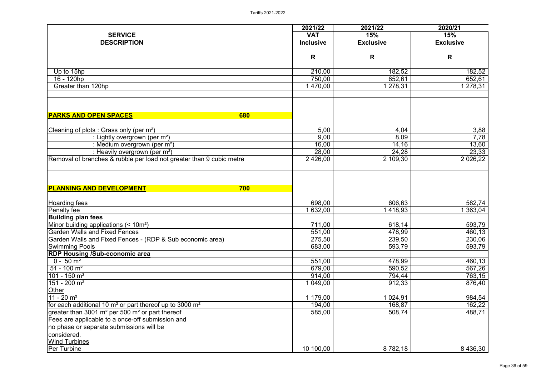|                                                                      | 2021/22          | 2021/22          | 2020/21            |
|----------------------------------------------------------------------|------------------|------------------|--------------------|
| <b>SERVICE</b>                                                       | <b>VAT</b>       | 15%              | 15%                |
| <b>DESCRIPTION</b>                                                   | <b>Inclusive</b> | <b>Exclusive</b> | <b>Exclusive</b>   |
|                                                                      | R                | R                | $\mathsf{R}$       |
|                                                                      | 210,00           |                  |                    |
| Up to 15hp                                                           | 750,00           | 182,52<br>652,61 | 182,52             |
| 16 - 120hp<br>Greater than 120hp                                     |                  |                  | 652,61<br>1 278,31 |
|                                                                      | 1 470,00         | 278,31           |                    |
| <b>PARKS AND OPEN SPACES</b><br>680                                  |                  |                  |                    |
|                                                                      |                  |                  |                    |
| Cleaning of plots : Grass only (per m <sup>2</sup> )                 | 5,00             | 4,04             | 3,88               |
| : Lightly overgrown (per m <sup>2</sup> )                            | 9,00             | 8,09             | 7,78               |
| : Medium overgrown (per m <sup>2</sup> )                             | 16,00            | 14, 16           | 13,60              |
| : Heavily overgrown (per m <sup>2</sup> )                            | 28,00            | 24,28            | 23,33              |
| Removal of branches & rubble per load not greater than 9 cubic metre | 2 4 2 6 ,00      | 2 109,30         | 2 0 26, 22         |
| <b>PLANNING AND DEVELOPMENT</b><br>700                               |                  |                  |                    |
| Hoarding fees                                                        | 698,00           | 606,63           | 582,74             |
| Penalty fee                                                          | 1 632,00         | 1418,93          | 1 363,04           |
| <b>Building plan fees</b>                                            |                  |                  |                    |
| Minor building applications (< 10m <sup>2</sup> )                    | 711,00           | 618,14           | 593,79             |
| <b>Garden Walls and Fixed Fences</b>                                 | 551,00           | 478,99           | 460,13             |
| Garden Walls and Fixed Fences - (RDP & Sub economic area)            | 275,50           | 239,50           | 230,06             |
| <b>Swimming Pools</b>                                                | 683,00           | 593,79           | 593,79             |
| <b>RDP Housing /Sub-economic area</b>                                |                  |                  |                    |
| $0 - 50$ m <sup>2</sup>                                              | 551,00           | 478,99           | 460,13             |
| $51 - 100$ m <sup>2</sup>                                            | 679,00           | 590,52           | 567,26             |
| $101 - 150$ m <sup>2</sup>                                           | 914,00           | 794,44           | 763,15             |
| $151 - 200$ m <sup>2</sup>                                           | 1 049,00         | 912,33           | 876,40             |
| <b>Other</b>                                                         |                  |                  |                    |
| $11 - 20$ m <sup>2</sup>                                             | 1 179,00         | 1 0 24, 91       | 984,54             |
| for each additional 10 $m2$ or part thereof up to 3000 $m2$          | 194,00           | 168,87           | 162,22             |
| greater than 3001 $m2$ per 500 $m2$ or part thereof                  | 585,00           | 508,74           | 488,71             |
| Fees are applicable to a once-off submission and                     |                  |                  |                    |
| no phase or separate submissions will be                             |                  |                  |                    |
| considered.                                                          |                  |                  |                    |
| <b>Wind Turbines</b>                                                 |                  |                  |                    |
| <b>Per Turbine</b>                                                   | 10 100,00        | 8 782,18         | 8 4 3 6 , 3 0      |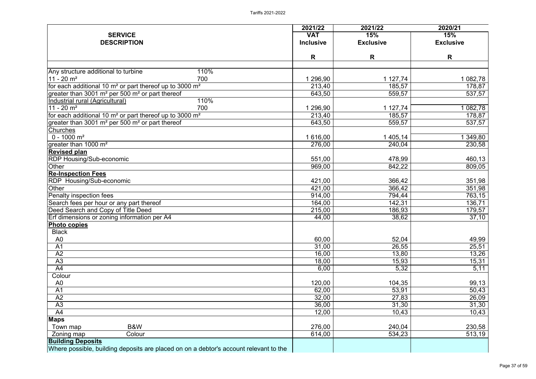|                                                                                       | 2021/22          | 2021/22          | 2020/21          |
|---------------------------------------------------------------------------------------|------------------|------------------|------------------|
| <b>SERVICE</b>                                                                        | <b>VAT</b>       | 15%              | 15%              |
| <b>DESCRIPTION</b>                                                                    | <b>Inclusive</b> | <b>Exclusive</b> | <b>Exclusive</b> |
|                                                                                       | R                | R                | R                |
|                                                                                       |                  |                  |                  |
| Any structure additional to turbine<br>110%                                           |                  |                  |                  |
| $11 - 20$ m <sup>2</sup><br>700                                                       | 1 296,90         | 1 127,74         | 1 082,78         |
| for each additional 10 $m2$ or part thereof up to 3000 $m2$                           | 213,40           | 185,57           | 178,87           |
| greater than 3001 m <sup>2</sup> per 500 m <sup>2</sup> or part thereof               | 643,50           | 559,57           | 537,57           |
| 110%<br>Industrial rural (Agricultural)                                               |                  |                  |                  |
| $11 - 20$ m <sup>2</sup><br>700                                                       | 1 296,90         | 1 127,74         | 1 082,78         |
| for each additional 10 $m2$ or part thereof up to 3000 $m2$                           | 213,40           | 185,57           | 178,87           |
| greater than 3001 m <sup>2</sup> per 500 m <sup>2</sup> or part thereof               | 643,50           | 559,57           | 537,57           |
| Churches<br>$0 - 1000$ m <sup>2</sup>                                                 | 1 616,00         | 1 405,14         | 349,80           |
| greater than 1000 m <sup>2</sup>                                                      | 276,00           | 240,04           | 230,58           |
| <b>Revised plan</b>                                                                   |                  |                  |                  |
| <b>RDP Housing/Sub-economic</b>                                                       | 551,00           | 478,99           | 460,13           |
| <b>Other</b>                                                                          | 969,00           | 842,22           | 809,05           |
| <b>Re-Inspection Fees</b>                                                             |                  |                  |                  |
| RDP Housing/Sub-economic                                                              | 421,00           | 366,42           | 351,98           |
| Other                                                                                 | 421,00           | 366,42           | 351,98           |
| Penalty inspection fees                                                               | 914,00           | 794,44           | 763,15           |
| Search fees per hour or any part thereof                                              | 164,00           | 142,31           | 136,71           |
| Deed Search and Copy of Title Deed                                                    | 215,00           | 186,93           | 179,57           |
| Erf dimensions or zoning information per A4                                           | 44,00            | 38,62            | 37,10            |
| <b>Photo copies</b>                                                                   |                  |                  |                  |
| <b>Black</b>                                                                          |                  |                  |                  |
| A <sub>0</sub>                                                                        | 60,00            | 52,04            | 49,99            |
| A <sub>1</sub>                                                                        | 31,00            | 26,55            | 25,51            |
| A2                                                                                    | 16,00            | 13,80            | 13,26            |
| A3                                                                                    | 18,00            | 15,93            | 15,31            |
| A4                                                                                    | 6,00             | 5,32             | 5,11             |
| Colour                                                                                |                  |                  |                  |
| A <sub>0</sub>                                                                        | 120,00           | 104,35           | 99,13            |
| A <sub>1</sub>                                                                        | 62,00            | 53,91            | 50,43            |
| A2                                                                                    | 32,00            | 27,83            | 26,09            |
| A3                                                                                    | 36,00            | 31,30            | 31,30            |
| A4                                                                                    | 12,00            | 10,43            | 10,43            |
| <b>Maps</b>                                                                           |                  |                  |                  |
| B&W<br>Town map                                                                       | 276,00           | 240,04           | 230,58           |
| Colour<br>Zoning map                                                                  | 614,00           | 534,23           | 513,19           |
| <b>Building Deposits</b>                                                              |                  |                  |                  |
| Where possible, building deposits are placed on on a debtor's account relevant to the |                  |                  |                  |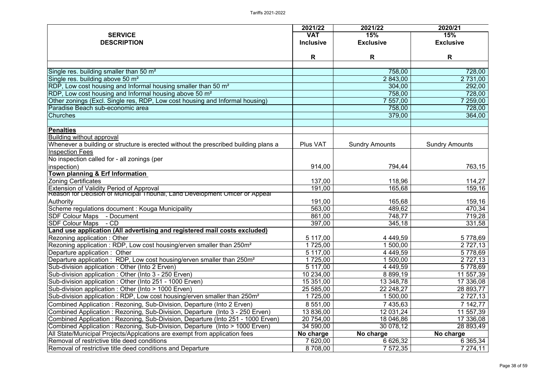|                                                                                       | 2021/22          | 2021/22               | 2020/21               |
|---------------------------------------------------------------------------------------|------------------|-----------------------|-----------------------|
| <b>SERVICE</b>                                                                        | <b>VAT</b>       | 15%                   | 15%                   |
| <b>DESCRIPTION</b>                                                                    | <b>Inclusive</b> | <b>Exclusive</b>      | <b>Exclusive</b>      |
|                                                                                       |                  |                       |                       |
|                                                                                       | R                | R                     | R                     |
| Single res. building smaller than 50 m <sup>2</sup>                                   |                  |                       |                       |
| Single res. building above 50 m <sup>2</sup>                                          |                  | 758,00<br>2 843,00    | 728,00<br>2 731,00    |
| RDP, Low cost housing and Informal housing smaller than 50 m <sup>2</sup>             |                  |                       |                       |
| RDP, Low cost housing and Informal housing above 50 m <sup>2</sup>                    |                  | 304,00                | 292,00                |
| Other zonings (Excl. Single res, RDP, Low cost housing and Informal housing)          |                  | 758,00<br>7 557,00    | 728,00                |
| Paradise Beach sub-economic area                                                      |                  |                       | 7 259,00              |
|                                                                                       |                  | 758,00                | 728,00                |
| <b>Churches</b>                                                                       |                  | 379,00                | 364,00                |
| <b>Penalties</b>                                                                      |                  |                       |                       |
| Building without approval                                                             |                  |                       |                       |
| Whenever a building or structure is erected without the prescribed building plans a   | Plus VAT         | <b>Sundry Amounts</b> | <b>Sundry Amounts</b> |
| <b>Inspection Fees</b>                                                                |                  |                       |                       |
| No inspection called for - all zonings (per                                           |                  |                       |                       |
| inspection)                                                                           | 914,00           | 794,44                | 763,15                |
| <b>Town planning &amp; Erf Information</b>                                            |                  |                       |                       |
| <b>Zoning Certificates</b>                                                            | 137,00           | 118,96                | 114,27                |
| <b>Extension of Validity Period of Approval</b>                                       | 191,00           | 165,68                | 159,16                |
| Reason for Decision of Municipal Tribunal, Land Development Officer or Appeal         |                  |                       |                       |
| <b>Authority</b>                                                                      | 191,00           | 165,68                | 159,16                |
| Scheme regulations document : Kouga Municipality                                      | 563,00           | 489,62                | 470,34                |
| <b>SDF Colour Maps</b><br>- Document                                                  | 861,00           | 748,77                | 719,28                |
| <b>SDF Colour Maps</b><br>$-$ CD                                                      | 397,00           | 345,18                | 331,58                |
| Land use application (All advertising and registered mail costs excluded)             |                  |                       |                       |
| Rezoning application: Other                                                           | 5 117,00         | 4 4 4 9,59            | 5 778,69              |
| Rezoning application : RDP, Low cost housing/erven smaller than 250m <sup>2</sup>     | 1 725,00         | 1 500,00              | 2 7 2 7 , 1 3         |
| Departure application: Other                                                          | 5 117,00         | 4 4 4 9,59            | 5 778,69              |
| Departure application : RDP, Low cost housing/erven smaller than 250m <sup>2</sup>    | 1725,00          | 500,00                | 2 7 2 7 , 1 3         |
| Sub-division application: Other (Into 2 Erven)                                        | 5 117,00         | 4 4 4 9 , 5 9         | 5778,69               |
| Sub-division application: Other (Into 3 - 250 Erven)                                  | 10 234,00        | 8 8 9 9, 1 9          | 11 557,39             |
| Sub-division application: Other (Into 251 - 1000 Erven)                               | 15 351,00        | 13 348,78             | 17 336,08             |
| Sub-division application: Other (Into > 1000 Erven)                                   | 25 585,00        | 22 248,27             | 28 893,77             |
| Sub-division application : RDP, Low cost housing/erven smaller than 250m <sup>2</sup> | 1 725,00         | 500,00                | 2 7 2 7 , 1 3         |
| Combined Application: Rezoning, Sub-Division, Departure (Into 2 Erven)                | 8 551,00         | 7 435,63              | 7 142,77              |
| Combined Application: Rezoning, Sub-Division, Departure (Into 3 - 250 Erven)          | 13 836,00        | 12 031,24             | 11 557,39             |
| Combined Application: Rezoning, Sub-Division, Departure (Into 251 - 1000 Erven)       | 20 754,00        | 18 046,86             | 17 336,08             |
| Combined Application: Rezoning, Sub-Division, Departure (Into > 1000 Erven)           | 34 590,00        | 30 078,12             | 28 893,49             |
| All State/Municipal Projects/Applcations are exempt from application fees             | No charge        | No charge             | No charge             |
| Removal of restrictive title deed conditions                                          | 7 620,00         | 6 626,32              | 6 365,34              |
| Removal of restrictive title deed conditions and Departure                            | 8 708,00         | 7 572,35              | 7 274,11              |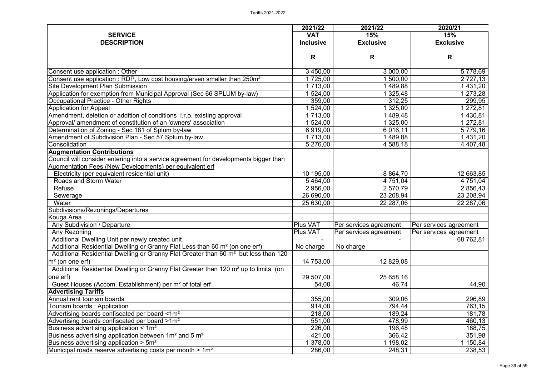|                                                                                                                                                                                            | 2021/22          | 2021/22                                         | 2020/21                |
|--------------------------------------------------------------------------------------------------------------------------------------------------------------------------------------------|------------------|-------------------------------------------------|------------------------|
| <b>SERVICE</b>                                                                                                                                                                             | <b>VAT</b>       | 15%                                             | 15%                    |
| <b>DESCRIPTION</b>                                                                                                                                                                         | <b>Inclusive</b> | <b>Exclusive</b>                                | <b>Exclusive</b>       |
|                                                                                                                                                                                            | R                | R                                               | R                      |
|                                                                                                                                                                                            |                  |                                                 |                        |
| Consent use application: Other                                                                                                                                                             | 3 450,00         | 3 000,00                                        | 5 778,69               |
| Consent use application : RDP, Low cost housing/erven smaller than 250m <sup>2</sup>                                                                                                       | 1725,00          | 500,00                                          | 2 7 2 7 , 1 3          |
| <b>Site Development Plan Submission</b>                                                                                                                                                    | 1 713,00         | 489,88                                          | 1 431,20               |
| Application for exemption from Municipal Approval (Sec 66 SPLUM by-law)                                                                                                                    | 524,00           | 325,48                                          | 1 273,28               |
| Occupational Practice - Other Rights                                                                                                                                                       | 359,00           | 312,25                                          | 299,95                 |
| <b>Application for Appeal</b>                                                                                                                                                              | 524,00           | 325,00                                          | $\sqrt{272,81}$        |
| Amendment, deletion or addition of conditions i.r.o. existing approval                                                                                                                     | 1 713,00         | 489,48                                          | 1 430,81               |
| Approval/ amendment of constitution of an 'owners' association                                                                                                                             | 1 524,00         | 1 325,00                                        | 1 272,81               |
| Determination of Zoning - Sec 181 of Splum by-law                                                                                                                                          | 6919,00          | 6 016,11                                        | 5 779,16               |
| Amendment of Subdivision Plan - Sec 57 Splum by-law                                                                                                                                        | 1 713,00         | 1489,88                                         | 1 431,20               |
| Consolidation                                                                                                                                                                              | 5 276,00         | 4 588,18                                        | 4 4 0 7,48             |
| <b>Augmentation Contributions</b><br>Council will consider entering into a service agreement for developments bigger than                                                                  |                  |                                                 |                        |
| Augmentation Fees (New Developments) per equivalent erf                                                                                                                                    |                  |                                                 |                        |
| Electricity (per equivalent residential unit)<br><b>Roads and Storm Water</b>                                                                                                              | 10 195,00        | 8 8 64,70                                       | 12 663,85              |
|                                                                                                                                                                                            | 5464,00          | 4 751,04                                        | 4 751,04               |
| Refuse                                                                                                                                                                                     | 2 956,00         | 2 570,79                                        | 2 856,43               |
| Sewerage<br>Water                                                                                                                                                                          | 26 690,00        | 23 208,94                                       | 23 208,94              |
| Subdivisions/Rezonings/Departures                                                                                                                                                          | 25 630,00        | 22 287,06                                       | 22 287,06              |
|                                                                                                                                                                                            |                  |                                                 |                        |
| Kouga Area<br><b>Any Subdivision / Departure</b>                                                                                                                                           | Plus VAT         | Per services agreement   Per services agreement |                        |
|                                                                                                                                                                                            | Plus VAT         |                                                 |                        |
| Any Rezoning                                                                                                                                                                               |                  | Per services agreement                          | Per services agreement |
| Additional Dwelling Unit per newly created unit                                                                                                                                            |                  |                                                 | 68 762,81              |
| Additional Residential Dwelling or Granny Flat Less than 60 m <sup>2</sup> (on one erf)<br>Additional Residential Dwelling or Granny Flat Greater than 60 m <sup>2</sup> but less than 120 | No charge        | No charge                                       |                        |
|                                                                                                                                                                                            |                  |                                                 |                        |
| $\rm{m}^2$ (on one erf)                                                                                                                                                                    | 14 753,00        | 12 829,08                                       |                        |
| Additional Residential Dwelling or Granny Flat Greater than 120 m <sup>2</sup> up to limits (on<br>one erf)                                                                                | 29 507,00        | 25 658,16                                       |                        |
| Guest Houses (Accom. Establishment) per m <sup>2</sup> of total erf                                                                                                                        | 54,00            | 46,74                                           | 44,90                  |
| <b>Advertising Tariffs</b>                                                                                                                                                                 |                  |                                                 |                        |
| Annual rent tourism boards                                                                                                                                                                 | 355,00           | 309,06                                          | 296,89                 |
| Tourism boards: Application                                                                                                                                                                | 914,00           | 794,44                                          | 763,15                 |
| Advertising boards confiscated per board <1m <sup>2</sup>                                                                                                                                  | 218,00           | 189,24                                          | 181,78                 |
| Advertising boards confiscated per board >1m <sup>2</sup>                                                                                                                                  | 551,00           | 478,99                                          | 460,13                 |
| Business advertising application $\leq 1$ m <sup>2</sup>                                                                                                                                   | 226,00           | 196,48                                          | 188,75                 |
| Business advertising application between 1m <sup>2</sup> and 5 m <sup>2</sup>                                                                                                              | 421,00           | 366,42                                          | 351,98                 |
| Business advertising application $> 5m^2$                                                                                                                                                  | 378,00           | 198,02                                          | 150,84                 |
| Municipal roads reserve advertising costs per month $> 1m2$                                                                                                                                | 286,00           | 248,31                                          | 238,53                 |
|                                                                                                                                                                                            |                  |                                                 |                        |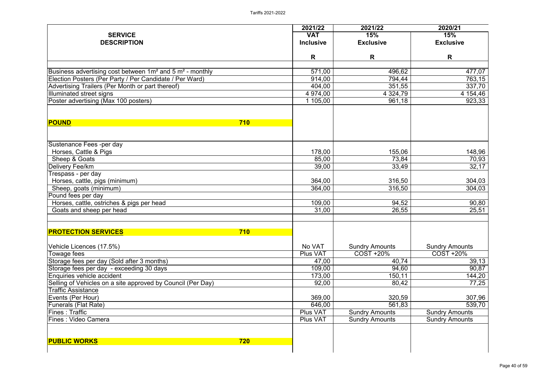| <b>SERVICE</b><br><b>DESCRIPTION</b>                                             | 2021/22<br><b>VAT</b><br><b>Inclusive</b> | 2021/22<br>15%<br><b>Exclusive</b> | 2020/21<br>15%<br><b>Exclusive</b> |
|----------------------------------------------------------------------------------|-------------------------------------------|------------------------------------|------------------------------------|
|                                                                                  | R                                         | R                                  | R                                  |
| Business advertising cost between 1m <sup>2</sup> and 5 m <sup>2</sup> - monthly | 571,00                                    | 496,62                             | 477,07                             |
| Election Posters (Per Party / Per Candidate / Per Ward)                          | 914,00                                    | 794,44                             | 763,15                             |
| Advertising Trailers (Per Month or part thereof)                                 | 404,00                                    | 351,55                             | 337,70                             |
| Illuminated street signs                                                         | 4 974,00                                  | 4 3 24, 79                         | 4 154,46                           |
| Poster advertising (Max 100 posters)                                             | 1 105,00                                  | 961,18                             | 923,33                             |
| <b>POUND</b><br>710                                                              |                                           |                                    |                                    |
| Sustenance Fees -per day                                                         |                                           |                                    |                                    |
| Horses, Cattle & Pigs                                                            | 178,00                                    | 155,06                             | 148,96                             |
| Sheep & Goats                                                                    | 85,00                                     | 73,84                              | 70,93                              |
| Delivery Fee/km                                                                  | 39,00                                     | 33,49                              | 32,17                              |
| Trespass - per day                                                               |                                           |                                    |                                    |
| Horses, cattle, pigs (minimum)                                                   | 364,00                                    | 316,50                             | 304,03                             |
| Sheep, goats (minimum)                                                           | 364,00                                    | 316,50                             | 304,03                             |
| Pound fees per day                                                               |                                           |                                    |                                    |
| Horses, cattle, ostriches & pigs per head                                        | 109,00                                    | 94,52                              | 90,80                              |
| Goats and sheep per head                                                         | 31,00                                     | 26,55                              | $\overline{2}5,51$                 |
| 710<br><b>PROTECTION SERVICES</b>                                                |                                           |                                    |                                    |
| Vehicle Licences (17.5%)                                                         | No VAT                                    | <b>Sundry Amounts</b>              | <b>Sundry Amounts</b>              |
| Towage fees                                                                      | Plus VAT                                  | <b>COST +20%</b>                   | $COST + 20%$                       |
| Storage fees per day (Sold after 3 months)                                       | 47,00                                     | 40,74                              | 39,13                              |
| Storage fees per day - exceeding 30 days                                         | 109,00                                    | 94,60                              | 90,87                              |
| Enquiries vehicle accident                                                       | 173,00                                    | 150,11                             | 144,20                             |
| Selling of Vehicles on a site approved by Council (Per Day)                      | 92,00                                     | 80,42                              | 77,25                              |
| Traffic Assistance                                                               |                                           |                                    |                                    |
| Events (Per Hour)                                                                | 369,00                                    | 320,59                             | 307,96                             |
| <b>Funerals (Flat Rate)</b>                                                      | 646,00                                    | 561,83                             | 539,70                             |
| <b>Fines: Traffic</b>                                                            | <b>Plus VAT</b>                           | <b>Sundry Amounts</b>              | <b>Sundry Amounts</b>              |
| <b>Fines: Video Camera</b>                                                       | <b>Plus VAT</b>                           | <b>Sundry Amounts</b>              | <b>Sundry Amounts</b>              |
| <b>PUBLIC WORKS</b><br><b>720</b>                                                |                                           |                                    |                                    |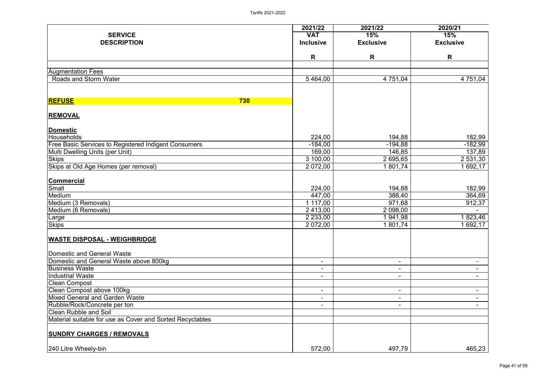|                                                             | 2021/22          | 2021/22                  | 2020/21          |
|-------------------------------------------------------------|------------------|--------------------------|------------------|
| <b>SERVICE</b>                                              | <b>VAT</b>       | 15%                      | 15%              |
| <b>DESCRIPTION</b>                                          | <b>Inclusive</b> | <b>Exclusive</b>         | <b>Exclusive</b> |
|                                                             | R                | R                        | $\mathsf{R}$     |
|                                                             |                  |                          |                  |
| <b>Augmentation Fees</b>                                    |                  |                          |                  |
| <b>Roads and Storm Water</b>                                | 5464,00          | 4 751,04                 | 4 751,04         |
| <b>REFUSE</b><br>730                                        |                  |                          |                  |
| <b>REMOVAL</b>                                              |                  |                          |                  |
| <b>Domestic</b>                                             |                  |                          |                  |
| Households                                                  | 224,00           | 194,88                   | 182,99           |
| <b>Free Basic Services to Registered Indigent Consumers</b> | $-184,00$        | $-194,88$                | $-182,99$        |
| Multi Dwelling Units (per Unit)                             | 169,00           | 146,85                   | 137,89           |
| <b>Skips</b>                                                | 3 100,00         | 2 695,65                 | 2 531,30         |
| Skips at Old Age Homes (per removal)                        | 2 072,00         | 801,74                   | 1 692,17         |
|                                                             |                  |                          |                  |
| <b>Commercial</b>                                           |                  |                          |                  |
| Small<br>Medium                                             | 224,00<br>447,00 | 194,88<br>388,40         | 182,99<br>364,69 |
| Medium (3 Removals)                                         | 1 117,00         | 971,68                   | 912,37           |
| Medium (6 Removals)                                         | 2 413,00         | 2 098,00                 |                  |
|                                                             | 2 2 3 3 ,00      | 941,98                   | 1823,46          |
| Large<br>Skips                                              | 2 072,00         | 1801,74                  | 1692,17          |
| <b>WASTE DISPOSAL - WEIGHBRIDGE</b>                         |                  |                          |                  |
|                                                             |                  |                          |                  |
| Domestic and General Waste                                  |                  |                          |                  |
| Domestic and General Waste above 800kg                      | $\blacksquare$   | $\overline{\phantom{0}}$ |                  |
| <b>Business Waste</b>                                       | $\blacksquare$   | -                        |                  |
| Industrial Waste                                            | $\blacksquare$   | -                        | $\blacksquare$   |
| <b>Clean Compost</b>                                        |                  |                          |                  |
| Clean Compost above 100kg                                   | $\blacksquare$   | -                        | $\blacksquare$   |
| Mixed General and Garden Waste                              | $\blacksquare$   | $\overline{\phantom{0}}$ |                  |
| Rubble/Rock/Concrete per ton                                | $\blacksquare$   | -                        |                  |
| <b>Clean Rubble and Soil</b>                                |                  |                          |                  |
| Material suitable for use as Cover and Sorted Recyclables   |                  |                          |                  |
| <b>SUNDRY CHARGES / REMOVALS</b>                            |                  |                          |                  |
| 240 Litre Wheely-bin                                        | 572,00           | 497,79                   | 465,23           |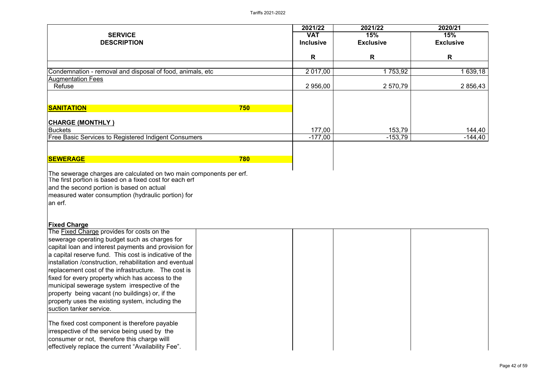|                                                                                                                                                                       | 2021/22                        | 2021/22                 | 2020/21                 |
|-----------------------------------------------------------------------------------------------------------------------------------------------------------------------|--------------------------------|-------------------------|-------------------------|
| <b>SERVICE</b><br><b>DESCRIPTION</b>                                                                                                                                  | <b>VAT</b><br><b>Inclusive</b> | 15%<br><b>Exclusive</b> | 15%<br><b>Exclusive</b> |
|                                                                                                                                                                       | R                              | R                       | R                       |
| Condemnation - removal and disposal of food, animals, etc                                                                                                             | 2 017,00                       | 1 753,92                | 1 639,18                |
| <b>Augmentation Fees</b><br>Refuse                                                                                                                                    | 2 956,00                       | 2 570,79                | 2 856,43                |
|                                                                                                                                                                       |                                |                         |                         |
| <b>SANITATION</b><br>750                                                                                                                                              |                                |                         |                         |
| <b>CHARGE (MONTHLY)</b><br>Buckets                                                                                                                                    | 177,00                         | 153,79                  | 144,40                  |
| <b>Free Basic Services to Registered Indigent Consumers</b>                                                                                                           | $-177,00$                      | $-153,79$               | $-144,40$               |
|                                                                                                                                                                       |                                |                         |                         |
| <b>780</b><br><b>SEWERAGE</b>                                                                                                                                         |                                |                         |                         |
| The first portion is based on a fixed cost for each erf<br>and the second portion is based on actual<br>measured water consumption (hydraulic portion) for<br>an erf. |                                |                         |                         |
| <b>Fixed Charge</b><br>The Fixed Charge provides for costs on the                                                                                                     |                                |                         |                         |
| sewerage operating budget such as charges for                                                                                                                         |                                |                         |                         |
| capital loan and interest payments and provision for<br>a capital reserve fund. This cost is indicative of the                                                        |                                |                         |                         |
| installation /construction, rehabilitation and eventual                                                                                                               |                                |                         |                         |
| replacement cost of the infrastructure. The cost is                                                                                                                   |                                |                         |                         |
| fixed for every property which has access to the                                                                                                                      |                                |                         |                         |
| municipal sewerage system irrespective of the                                                                                                                         |                                |                         |                         |
| property being vacant (no buildings) or, if the<br>property uses the existing system, including the                                                                   |                                |                         |                         |
| suction tanker service.                                                                                                                                               |                                |                         |                         |
| The fixed cost component is therefore payable                                                                                                                         |                                |                         |                         |
| irrespective of the service being used by the                                                                                                                         |                                |                         |                         |
| consumer or not, therefore this charge willl                                                                                                                          |                                |                         |                         |
| effectively replace the current "Availability Fee".                                                                                                                   |                                |                         |                         |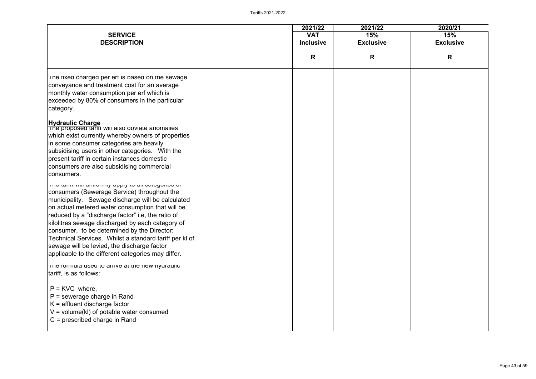| <b>SERVICE</b><br><b>DESCRIPTION</b>                                                                                                                                                                                                                                                                                                                                                                                                                                                                                         | 2021/22<br><b>VAT</b><br><b>Inclusive</b> | 2021/22<br>15%<br><b>Exclusive</b> | 2020/21<br>15%<br><b>Exclusive</b> |
|------------------------------------------------------------------------------------------------------------------------------------------------------------------------------------------------------------------------------------------------------------------------------------------------------------------------------------------------------------------------------------------------------------------------------------------------------------------------------------------------------------------------------|-------------------------------------------|------------------------------------|------------------------------------|
|                                                                                                                                                                                                                                                                                                                                                                                                                                                                                                                              | R                                         | R                                  | R                                  |
| The fixed charged per ert is based on the sewage<br>conveyance and treatment cost for an average<br>monthly water consumption per erf which is<br>exceeded by 80% of consumers in the particular<br>category.                                                                                                                                                                                                                                                                                                                |                                           |                                    |                                    |
| Hydraulic Charge<br> The proposed tariif will also opviate anomalles<br>which exist currently whereby owners of properties<br>in some consumer categories are heavily<br>subsidising users in other categories. With the<br>present tariff in certain instances domestic<br>consumers are also subsidising commercial<br>consumers.                                                                                                                                                                                          |                                           |                                    |                                    |
| THE WITH WILL GETTERLY HILL OF THE CHAPTER OF<br>consumers (Sewerage Service) throughout the<br>municipality. Sewage discharge will be calculated<br>on actual metered water consumption that will be<br>reduced by a "discharge factor" i.e, the ratio of<br>kilolitres sewage discharged by each category of<br>consumer, to be determined by the Director:<br>Technical Services. Whilst a standard tariff per kl of<br>sewage will be levied, the discharge factor<br>applicable to the different categories may differ. |                                           |                                    |                                    |
| The formula used to arrive at the new hydraulic<br>tariff, is as follows:<br>$P =$ KVC where,<br>$P =$ sewerage charge in Rand<br>$K =$ effluent discharge factor<br>$V = volume(kI)$ of potable water consumed<br>$C =$ prescribed charge in Rand                                                                                                                                                                                                                                                                           |                                           |                                    |                                    |

| 2020/21          |  |
|------------------|--|
| 15%              |  |
| <b>Exclusive</b> |  |
|                  |  |
| R                |  |
|                  |  |
|                  |  |
|                  |  |
|                  |  |
|                  |  |
|                  |  |
|                  |  |
|                  |  |
|                  |  |
|                  |  |
|                  |  |
|                  |  |
|                  |  |
|                  |  |
|                  |  |
|                  |  |
|                  |  |
|                  |  |
|                  |  |
|                  |  |
|                  |  |
|                  |  |
|                  |  |
|                  |  |
|                  |  |
|                  |  |
|                  |  |
|                  |  |
|                  |  |
|                  |  |
|                  |  |
|                  |  |
|                  |  |
|                  |  |
|                  |  |
|                  |  |
|                  |  |
|                  |  |
|                  |  |
|                  |  |
|                  |  |
|                  |  |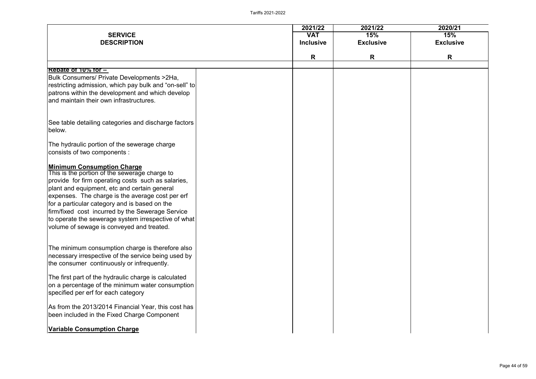| <b>SERVICE</b><br><b>DESCRIPTION</b>                                                                                                                                                                                                                                                                                                                                                                                                                  | 2021/22<br><b>VAT</b><br><b>Inclusive</b> | 2021/22<br>15%<br><b>Exclusive</b> | 2020/21<br>15%<br><b>Exclusive</b> |
|-------------------------------------------------------------------------------------------------------------------------------------------------------------------------------------------------------------------------------------------------------------------------------------------------------------------------------------------------------------------------------------------------------------------------------------------------------|-------------------------------------------|------------------------------------|------------------------------------|
|                                                                                                                                                                                                                                                                                                                                                                                                                                                       | R                                         | R                                  | R                                  |
| Rebate of 10% for -<br>Bulk Consumers/ Private Developments > 2Ha,<br>restricting admission, which pay bulk and "on-sell" to<br>patrons within the development and which develop<br>and maintain their own infrastructures.                                                                                                                                                                                                                           |                                           |                                    |                                    |
| See table detailing categories and discharge factors<br>below.                                                                                                                                                                                                                                                                                                                                                                                        |                                           |                                    |                                    |
| The hydraulic portion of the sewerage charge<br>consists of two components :                                                                                                                                                                                                                                                                                                                                                                          |                                           |                                    |                                    |
| <b>Minimum Consumption Charge</b><br>This is the portion of the sewerage charge to<br>provide for firm operating costs such as salaries,<br>plant and equipment, etc and certain general<br>expenses. The charge is the average cost per erf<br>for a particular category and is based on the<br>firm/fixed cost incurred by the Sewerage Service<br>to operate the sewerage system irrespective of what<br>volume of sewage is conveyed and treated. |                                           |                                    |                                    |
| The minimum consumption charge is therefore also<br>necessary irrespective of the service being used by<br>the consumer continuously or infrequently.                                                                                                                                                                                                                                                                                                 |                                           |                                    |                                    |
| The first part of the hydraulic charge is calculated<br>on a percentage of the minimum water consumption<br>specified per erf for each category                                                                                                                                                                                                                                                                                                       |                                           |                                    |                                    |
| As from the 2013/2014 Financial Year, this cost has<br>been included in the Fixed Charge Component                                                                                                                                                                                                                                                                                                                                                    |                                           |                                    |                                    |
| <b>Variable Consumption Charge</b>                                                                                                                                                                                                                                                                                                                                                                                                                    |                                           |                                    |                                    |

| 2020/21          |  |
|------------------|--|
| 15%              |  |
| <b>Exclusive</b> |  |
|                  |  |
| R                |  |
|                  |  |
|                  |  |
|                  |  |
|                  |  |
|                  |  |
|                  |  |
|                  |  |
|                  |  |
|                  |  |
|                  |  |
|                  |  |
|                  |  |
|                  |  |
|                  |  |
|                  |  |
|                  |  |
|                  |  |
|                  |  |
|                  |  |
|                  |  |
|                  |  |
|                  |  |
|                  |  |
|                  |  |
|                  |  |
|                  |  |
|                  |  |
|                  |  |
|                  |  |
|                  |  |
|                  |  |
|                  |  |
|                  |  |
|                  |  |
|                  |  |
|                  |  |
|                  |  |
|                  |  |
|                  |  |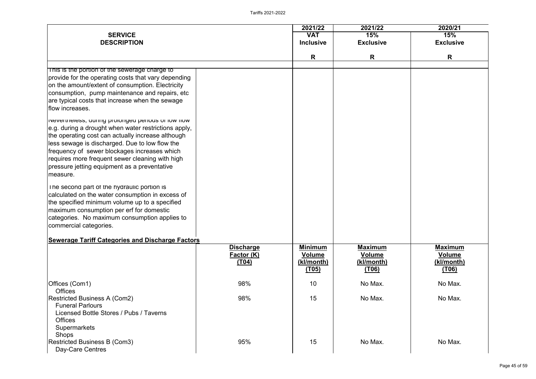

|                                                                                                                                                                                                                                                                                                                                                                                    |                                                | 2021/22                                                       | 2021/22                                                       | 2020/21                                                |
|------------------------------------------------------------------------------------------------------------------------------------------------------------------------------------------------------------------------------------------------------------------------------------------------------------------------------------------------------------------------------------|------------------------------------------------|---------------------------------------------------------------|---------------------------------------------------------------|--------------------------------------------------------|
| <b>SERVICE</b>                                                                                                                                                                                                                                                                                                                                                                     |                                                | <b>VAT</b>                                                    | 15%                                                           | 15%                                                    |
| <b>DESCRIPTION</b>                                                                                                                                                                                                                                                                                                                                                                 |                                                | <b>Inclusive</b>                                              | <b>Exclusive</b>                                              | <b>Exclusive</b>                                       |
|                                                                                                                                                                                                                                                                                                                                                                                    |                                                | R                                                             | R                                                             | R                                                      |
| This is the portion of the sewerage charge to                                                                                                                                                                                                                                                                                                                                      |                                                |                                                               |                                                               |                                                        |
| provide for the operating costs that vary depending<br>on the amount/extent of consumption. Electricity<br>consumption, pump maintenance and repairs, etc<br>are typical costs that increase when the sewage<br>flow increases.                                                                                                                                                    |                                                |                                                               |                                                               |                                                        |
| INEVERTIBLESS, QUITTIG PROTOTIGED PERIOUS OF TOW HOW<br>e.g. during a drought when water restrictions apply,<br>the operating cost can actually increase although<br>less sewage is discharged. Due to low flow the<br>frequency of sewer blockages increases which<br>requires more frequent sewer cleaning with high<br>pressure jetting equipment as a preventative<br>measure. |                                                |                                                               |                                                               |                                                        |
| The second part of the hydraulic portion is<br>calculated on the water consumption in excess of<br>the specified minimum volume up to a specified<br>maximum consumption per erf for domestic<br>categories. No maximum consumption applies to<br>commercial categories.                                                                                                           |                                                |                                                               |                                                               |                                                        |
| <b>Sewerage Tariff Categories and Discharge Factors</b>                                                                                                                                                                                                                                                                                                                            |                                                |                                                               |                                                               |                                                        |
|                                                                                                                                                                                                                                                                                                                                                                                    | <b>Discharge</b><br><b>Factor (K)</b><br>(T04) | <b>Minimum</b><br><b>Volume</b><br>(kl/month)<br><u>(T05)</u> | <b>Maximum</b><br>Volume<br><u>(kl/month)</u><br><u>(T06)</u> | <b>Maximum</b><br><b>Volume</b><br>(kl/month)<br>(706) |
| Offices (Com1)<br><b>Offices</b>                                                                                                                                                                                                                                                                                                                                                   | 98%                                            | 10                                                            | No Max.                                                       | No Max.                                                |
| <b>Restricted Business A (Com2)</b><br><b>Funeral Parlours</b><br>Licensed Bottle Stores / Pubs / Taverns<br><b>Offices</b><br><b>Supermarkets</b><br><b>Shops</b>                                                                                                                                                                                                                 | 98%                                            | 15                                                            | No Max.                                                       | No Max.                                                |
| <b>Restricted Business B (Com3)</b><br>Day-Care Centres                                                                                                                                                                                                                                                                                                                            | 95%                                            | 15                                                            | No Max.                                                       | No Max.                                                |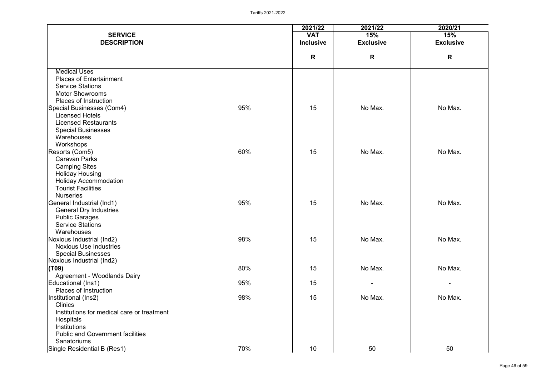|                                            |     | 2021/22          | 2021/22          | 2020/21          |
|--------------------------------------------|-----|------------------|------------------|------------------|
| <b>SERVICE</b>                             |     | <b>VAT</b>       | 15%              | 15%              |
| <b>DESCRIPTION</b>                         |     | <b>Inclusive</b> | <b>Exclusive</b> | <b>Exclusive</b> |
|                                            |     | R                | R                | R                |
|                                            |     |                  |                  |                  |
| <b>Medical Uses</b>                        |     |                  |                  |                  |
| <b>Places of Entertainment</b>             |     |                  |                  |                  |
| <b>Service Stations</b>                    |     |                  |                  |                  |
| <b>Motor Showrooms</b>                     |     |                  |                  |                  |
| <b>Places of Instruction</b>               |     |                  |                  |                  |
| Special Businesses (Com4)                  | 95% | 15               | No Max.          | No Max.          |
| <b>Licensed Hotels</b>                     |     |                  |                  |                  |
| <b>Licensed Restaurants</b>                |     |                  |                  |                  |
| <b>Special Businesses</b>                  |     |                  |                  |                  |
| Warehouses                                 |     |                  |                  |                  |
| Workshops                                  |     |                  |                  |                  |
| Resorts (Com5)                             | 60% | 15               | No Max.          | No Max.          |
| <b>Caravan Parks</b>                       |     |                  |                  |                  |
| <b>Camping Sites</b>                       |     |                  |                  |                  |
| <b>Holiday Housing</b>                     |     |                  |                  |                  |
| <b>Holiday Accommodation</b>               |     |                  |                  |                  |
| <b>Tourist Facilities</b>                  |     |                  |                  |                  |
| <b>Nurseries</b>                           |     |                  |                  |                  |
| General Industrial (Ind1)                  | 95% | 15               | No Max.          | No Max.          |
| <b>General Dry Industries</b>              |     |                  |                  |                  |
| <b>Public Garages</b>                      |     |                  |                  |                  |
| <b>Service Stations</b>                    |     |                  |                  |                  |
| Warehouses                                 |     |                  |                  |                  |
| Noxious Industrial (Ind2)                  | 98% | 15               | No Max.          | No Max.          |
| <b>Noxious Use Industries</b>              |     |                  |                  |                  |
| <b>Special Businesses</b>                  |     |                  |                  |                  |
| Noxious Industrial (Ind2)                  |     |                  |                  |                  |
| (T09)                                      | 80% | 15               | No Max.          | No Max.          |
| <b>Agreement - Woodlands Dairy</b>         |     |                  |                  |                  |
| Educational (Ins1)                         | 95% | 15               |                  |                  |
| <b>Places of Instruction</b>               | 98% | 15               | No Max.          | No Max.          |
| Institutional (Ins2)<br><b>Clinics</b>     |     |                  |                  |                  |
| Institutions for medical care or treatment |     |                  |                  |                  |
| Hospitals                                  |     |                  |                  |                  |
| Institutions                               |     |                  |                  |                  |
| <b>Public and Government facilities</b>    |     |                  |                  |                  |
| <b>Sanatoriums</b>                         |     |                  |                  |                  |
| Single Residential B (Res1)                | 70% | 10 <sup>°</sup>  | 50               | 50               |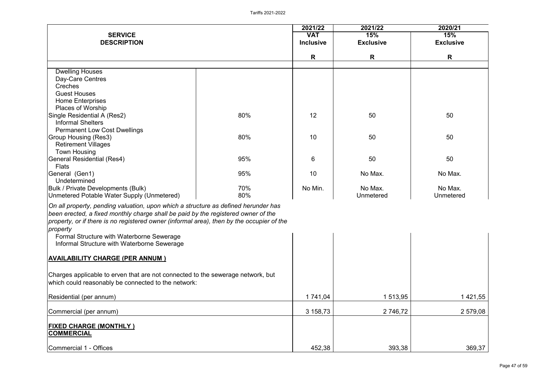|                                                                                           |     | 2021/22          | 2021/22          | 2020/21          |
|-------------------------------------------------------------------------------------------|-----|------------------|------------------|------------------|
| <b>SERVICE</b>                                                                            |     | <b>VAT</b>       | 15%              | 15%              |
| <b>DESCRIPTION</b>                                                                        |     | <b>Inclusive</b> | <b>Exclusive</b> | <b>Exclusive</b> |
|                                                                                           |     | R                | R                | R                |
|                                                                                           |     |                  |                  |                  |
| <b>Dwelling Houses</b>                                                                    |     |                  |                  |                  |
| Day-Care Centres                                                                          |     |                  |                  |                  |
| <b>Creches</b>                                                                            |     |                  |                  |                  |
| <b>Guest Houses</b>                                                                       |     |                  |                  |                  |
| <b>Home Enterprises</b>                                                                   |     |                  |                  |                  |
| <b>Places of Worship</b>                                                                  |     |                  |                  |                  |
| Single Residential A (Res2)                                                               | 80% | 12               | 50               | 50               |
| <b>Informal Shelters</b>                                                                  |     |                  |                  |                  |
| <b>Permanent Low Cost Dwellings</b>                                                       |     |                  |                  |                  |
| <b>Group Housing (Res3)</b>                                                               | 80% | 10               | 50               | 50               |
| <b>Retirement Villages</b>                                                                |     |                  |                  |                  |
| <b>Town Housing</b>                                                                       |     |                  |                  |                  |
| General Residential (Res4)                                                                | 95% | $6\phantom{1}6$  | 50               | 50               |
| <b>Flats</b>                                                                              |     | 10               |                  |                  |
| General (Gen1)<br>Undetermined                                                            | 95% |                  | No Max.          | No Max.          |
|                                                                                           | 70% | No Min.          | No Max.          | No Max.          |
| <b>Bulk / Private Developments (Bulk)</b><br>Unmetered Potable Water Supply (Unmetered)   | 80% |                  | Unmetered        | <b>Unmetered</b> |
|                                                                                           |     |                  |                  |                  |
| On all property, pending valuation, upon which a structure as defined herunder has        |     |                  |                  |                  |
| been erected, a fixed monthly charge shall be paid by the registered owner of the         |     |                  |                  |                  |
| property, or if there is no registered owner (informal area), then by the occupier of the |     |                  |                  |                  |
| property                                                                                  |     |                  |                  |                  |
| Formal Structure with Waterborne Sewerage                                                 |     |                  |                  |                  |
| Informal Structure with Waterborne Sewerage                                               |     |                  |                  |                  |
|                                                                                           |     |                  |                  |                  |
| <b>AVAILABILITY CHARGE (PER ANNUM )</b>                                                   |     |                  |                  |                  |
|                                                                                           |     |                  |                  |                  |
| Charges applicable to erven that are not connected to the sewerage network, but           |     |                  |                  |                  |
| which could reasonably be connected to the network:                                       |     |                  |                  |                  |
|                                                                                           |     |                  |                  |                  |
| Residential (per annum)                                                                   |     | 1 741,04         | 1 513,95         | 1421,55          |
|                                                                                           |     |                  |                  |                  |
| Commercial (per annum)                                                                    |     | 3 158,73         | 2 746,72         | 2 579,08         |
|                                                                                           |     |                  |                  |                  |
| <b>FIXED CHARGE (MONTHLY )</b>                                                            |     |                  |                  |                  |
| <b>COMMERCIAL</b>                                                                         |     |                  |                  |                  |
|                                                                                           |     |                  |                  |                  |
| Commercial 1 - Offices                                                                    |     | 452,38           | 393,38           | 369,37           |

|                | 2020/21          |
|----------------|------------------|
|                | 15%              |
|                | <b>Exclusive</b> |
|                |                  |
|                | R                |
|                |                  |
|                |                  |
|                |                  |
|                |                  |
|                |                  |
|                |                  |
|                | 50               |
|                |                  |
|                | 50               |
|                |                  |
|                |                  |
|                | 50               |
|                |                  |
|                | No Max.          |
|                | No Max.          |
|                | Unmetered        |
|                |                  |
|                |                  |
|                |                  |
|                |                  |
|                |                  |
|                |                  |
|                |                  |
|                |                  |
|                |                  |
|                |                  |
|                |                  |
| <u>5</u>       | 1 421,55         |
| $\overline{c}$ | 2579,08          |
|                |                  |
|                |                  |
|                |                  |
| 8              | 369,37           |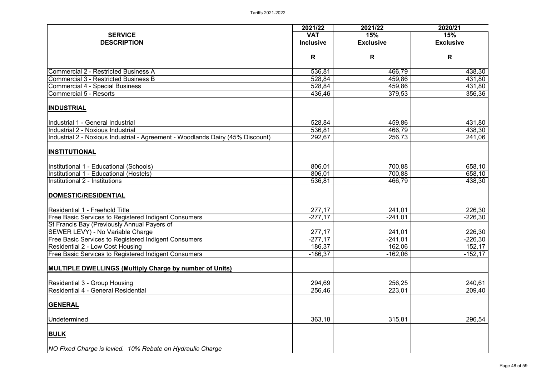|                                                                                | 2021/22          | 2021/22          | 2020/21                 |
|--------------------------------------------------------------------------------|------------------|------------------|-------------------------|
| <b>SERVICE</b><br><b>DESCRIPTION</b>                                           | <b>VAT</b>       | 15%              | 15%<br><b>Exclusive</b> |
|                                                                                | <b>Inclusive</b> | <b>Exclusive</b> |                         |
|                                                                                | R                | R                | R                       |
| <b>Commercial 2 - Restricted Business A</b>                                    | 536,81           | 466,79           | 438,30                  |
| <b>Commercial 3 - Restricted Business B</b>                                    | 528,84           | 459,86           | 431,80                  |
| <b>Commercial 4 - Special Business</b>                                         | 528,84           | 459,86           | 431,80                  |
| Commercial 5 - Resorts                                                         | 436,46           | 379,53           | 356,36                  |
| <b>INDUSTRIAL</b>                                                              |                  |                  |                         |
| Industrial 1 - General Industrial                                              | 528,84           | 459,86           | 431,80                  |
| Industrial 2 - Noxious Industrial                                              | 536,81           | 466,79           | 438,30                  |
| Industrial 2 - Noxious Industrial - Agreement - Woodlands Dairy (45% Discount) | 292,67           | 256,73           | 241,06                  |
| <b>INSTITUTIONAL</b>                                                           |                  |                  |                         |
| Institutional 1 - Educational (Schools)                                        | 806,01           | 700,88           | 658,10                  |
| Institutional 1 - Educational (Hostels)                                        | 806,01           | 700,88           | 658,10                  |
| Institutional 2 - Institutions                                                 | 536,81           | 466,79           | 438,30                  |
| DOMESTIC/RESIDENTIAL                                                           |                  |                  |                         |
| Residential 1 - Freehold Title                                                 | 277,17           | 241,01           | 226,30                  |
| <b>Free Basic Services to Registered Indigent Consumers</b>                    | $-277,17$        | $-241,01$        | $-226,30$               |
| St Francis Bay (Previously Annual Payers of                                    |                  |                  |                         |
| <b>SEWER LEVY) - No Variable Charge</b>                                        | 277,17           | 241,01           | 226,30                  |
| <b>Free Basic Services to Registered Indigent Consumers</b>                    | $-277,17$        | $-241,01$        | $-226,30$               |
| Residential 2 - Low Cost Housing                                               | 186,37           | 162,06           | 152,17                  |
| <b>Free Basic Services to Registered Indigent Consumers</b>                    | $-186,37$        | $-162,06$        | $-152,17$               |
| <b>MULTIPLE DWELLINGS (Multiply Charge by number of Units)</b>                 |                  |                  |                         |
| <b>Residential 3 - Group Housing</b>                                           | 294,69           | 256,25           | 240,61                  |
| Residential 4 - General Residential                                            | 256,46           | 223,01           | 209,40                  |
| <b>GENERAL</b>                                                                 |                  |                  |                         |
| Undetermined                                                                   | 363,18           | 315,81           | 296,54                  |
| <b>BULK</b>                                                                    |                  |                  |                         |
| <b>NO Fixed Charge is levied. 10% Rebate on Hydraulic Charge</b>               |                  |                  |                         |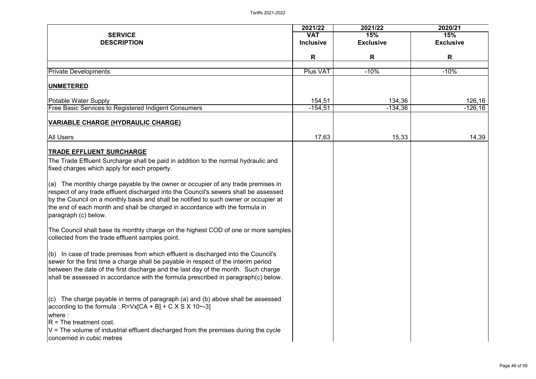|                                                                                                                                                                                                                                                                                                                                                                                  | 2021/22                        | 2021/22                 | 2020/21                 |
|----------------------------------------------------------------------------------------------------------------------------------------------------------------------------------------------------------------------------------------------------------------------------------------------------------------------------------------------------------------------------------|--------------------------------|-------------------------|-------------------------|
| <b>SERVICE</b><br><b>DESCRIPTION</b>                                                                                                                                                                                                                                                                                                                                             | <b>VAT</b><br><b>Inclusive</b> | 15%<br><b>Exclusive</b> | 15%<br><b>Exclusive</b> |
|                                                                                                                                                                                                                                                                                                                                                                                  |                                |                         |                         |
|                                                                                                                                                                                                                                                                                                                                                                                  | R                              | R                       | R                       |
| <b>Private Developments</b>                                                                                                                                                                                                                                                                                                                                                      | Plus VAT                       | $-10%$                  | $-10%$                  |
| <b>UNMETERED</b>                                                                                                                                                                                                                                                                                                                                                                 |                                |                         |                         |
| <b>Potable Water Supply</b>                                                                                                                                                                                                                                                                                                                                                      | 154,51                         | 134,36                  | 126,16                  |
| <b>Free Basic Services to Registered Indigent Consumers</b>                                                                                                                                                                                                                                                                                                                      | $-154,51$                      | $-134,36$               | $-126, 16$              |
| <b>VARIABLE CHARGE (HYDRAULIC CHARGE)</b>                                                                                                                                                                                                                                                                                                                                        |                                |                         |                         |
| <b>All Users</b>                                                                                                                                                                                                                                                                                                                                                                 | 17,63                          | 15,33                   | 14,39                   |
| <b>TRADE EFFLUENT SURCHARGE</b>                                                                                                                                                                                                                                                                                                                                                  |                                |                         |                         |
| The Trade Effluent Surcharge shall be paid in addition to the normal hydraulic and<br>fixed charges which apply for each property.                                                                                                                                                                                                                                               |                                |                         |                         |
| $\vert$ (a) The monthly charge payable by the owner or occupier of any trade premises in<br>respect of any trade effluent discharged into the Council's sewers shall be assessed<br>by the Council on a monthly basis and shall be notified to such owner or occupier at<br>the end of each month and shall be charged in accordance with the formula in<br>paragraph (c) below. |                                |                         |                         |
| The Council shall base its monthly charge on the highest COD of one or more samples<br>collected from the trade effluent samples point.                                                                                                                                                                                                                                          |                                |                         |                         |
| $\vert$ (b) In case of trade premises from which effluent is discharged into the Council's<br>sewer for the first time a charge shall be payable in respect of the interim period<br>between the date of the first discharge and the last day of the month. Such charge<br>shall be assessed in accordance with the formula prescribed in paragraph(c) below.                    |                                |                         |                         |
| $\vert$ (c) The charge payable in terms of paragraph (a) and (b) above shall be assessed<br>$ according to the formula : R=Vx[CA + B] + C X S X 10$ --3]<br>$l$ where :<br>$ R = The treatment cost$ .<br>$ V $ = The volume of industrial effluent discharged from the premises during the cycle<br>concerned in cubic metres                                                   |                                |                         |                         |

| 2020/21       |                          |  |  |
|---------------|--------------------------|--|--|
|               | 15%                      |  |  |
|               | <b>Exclusive</b>         |  |  |
|               | R                        |  |  |
|               | $-10%$                   |  |  |
|               |                          |  |  |
|               |                          |  |  |
| $\frac{6}{6}$ | $\frac{126,16}{-126,16}$ |  |  |
| <u>3</u>      | 14,39                    |  |  |
|               |                          |  |  |
|               |                          |  |  |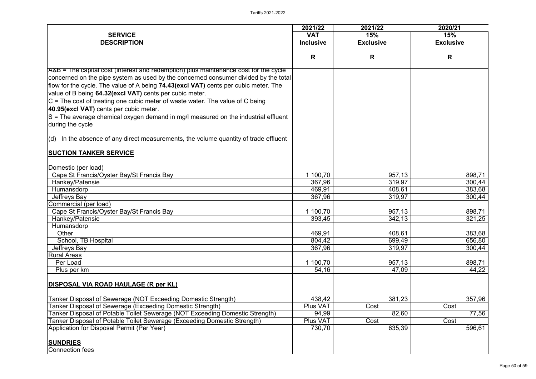|                                                                                                                                                                                                                                                                                                                                                                                                                                                                                    | 2021/22          | 2021/22          | 2020/21          |
|------------------------------------------------------------------------------------------------------------------------------------------------------------------------------------------------------------------------------------------------------------------------------------------------------------------------------------------------------------------------------------------------------------------------------------------------------------------------------------|------------------|------------------|------------------|
| <b>SERVICE</b>                                                                                                                                                                                                                                                                                                                                                                                                                                                                     | <b>VAT</b>       | 15%              | 15%              |
| <b>DESCRIPTION</b>                                                                                                                                                                                                                                                                                                                                                                                                                                                                 | <b>Inclusive</b> | <b>Exclusive</b> | <b>Exclusive</b> |
|                                                                                                                                                                                                                                                                                                                                                                                                                                                                                    | R                | R                | R                |
| A&B = The capital cost (interest and redemption) plus maintenance cost for the cycle                                                                                                                                                                                                                                                                                                                                                                                               |                  |                  |                  |
| concerned on the pipe system as used by the concerned consumer divided by the total<br>flow for the cycle. The value of A being 74.43(excl VAT) cents per cubic meter. The<br>value of B being 64.32(excl VAT) cents per cubic meter.<br>$ C $ = The cost of treating one cubic meter of waste water. The value of C being<br>40.95(excl VAT) cents per cubic meter.<br>$ S $ = The average chemical oxygen demand in mg/l measured on the industrial effluent<br>during the cycle |                  |                  |                  |
| $\vert$ (d) In the absence of any direct measurements, the volume quantity of trade effluent                                                                                                                                                                                                                                                                                                                                                                                       |                  |                  |                  |
| <b>SUCTION TANKER SERVICE</b>                                                                                                                                                                                                                                                                                                                                                                                                                                                      |                  |                  |                  |
| Domestic (per load)                                                                                                                                                                                                                                                                                                                                                                                                                                                                |                  |                  |                  |
| Cape St Francis/Oyster Bay/St Francis Bay                                                                                                                                                                                                                                                                                                                                                                                                                                          | 1 100,70         | 957,13           | 898,71           |
| Hankey/Patensie                                                                                                                                                                                                                                                                                                                                                                                                                                                                    | 367,96           | 319,97           | 300,44           |
| Humansdorp                                                                                                                                                                                                                                                                                                                                                                                                                                                                         | 469,91           | 408,61           | 383,68           |
| Jeffreys Bay                                                                                                                                                                                                                                                                                                                                                                                                                                                                       | 367,96           | 319,97           | 300,44           |
| Commercial (per load)                                                                                                                                                                                                                                                                                                                                                                                                                                                              |                  |                  |                  |
| Cape St Francis/Oyster Bay/St Francis Bay                                                                                                                                                                                                                                                                                                                                                                                                                                          | 1 100,70         | 957,13           | 898,71           |
| Hankey/Patensie                                                                                                                                                                                                                                                                                                                                                                                                                                                                    | 393,45           | 342,13           | 321,25           |
| Humansdorp                                                                                                                                                                                                                                                                                                                                                                                                                                                                         |                  |                  |                  |
| Other                                                                                                                                                                                                                                                                                                                                                                                                                                                                              | 469,91           | 408,61           | 383,68           |
| School, TB Hospital                                                                                                                                                                                                                                                                                                                                                                                                                                                                | 804,42           | 699,49           | 656,80           |
| Jeffreys Bay                                                                                                                                                                                                                                                                                                                                                                                                                                                                       | 367,96           | 319,97           | 300,44           |
| <b>Rural Areas</b>                                                                                                                                                                                                                                                                                                                                                                                                                                                                 |                  |                  |                  |
| Per Load                                                                                                                                                                                                                                                                                                                                                                                                                                                                           | 1 100,70         | 957,13           | 898,71           |
| Plus per km                                                                                                                                                                                                                                                                                                                                                                                                                                                                        | 54,16            | 47,09            | 44,22            |
| DISPOSAL VIA ROAD HAULAGE (R per KL)                                                                                                                                                                                                                                                                                                                                                                                                                                               |                  |                  |                  |
| Tanker Disposal of Sewerage (NOT Exceeding Domestic Strength)                                                                                                                                                                                                                                                                                                                                                                                                                      | 438,42           | 381,23           | 357,96           |
| <b>Fanker Disposal of Sewerage (Exceeding Domestic Strength)</b>                                                                                                                                                                                                                                                                                                                                                                                                                   | Plus VAT         | Cost             | Cost             |
| <b>Fanker Disposal of Potable Toilet Sewerage (NOT Exceeding Domestic Strength)</b>                                                                                                                                                                                                                                                                                                                                                                                                | 94,99            | 82,60            | 77,56            |
| <b>Tanker Disposal of Potable Toilet Sewerage (Exceeding Domestic Strength)</b>                                                                                                                                                                                                                                                                                                                                                                                                    | Plus VAT         | Cost             | Cost             |
| Application for Disposal Permit (Per Year)                                                                                                                                                                                                                                                                                                                                                                                                                                         | 730,70           | 635,39           | 596,61           |
| <b>SUNDRIES</b><br>Connection fees                                                                                                                                                                                                                                                                                                                                                                                                                                                 |                  |                  |                  |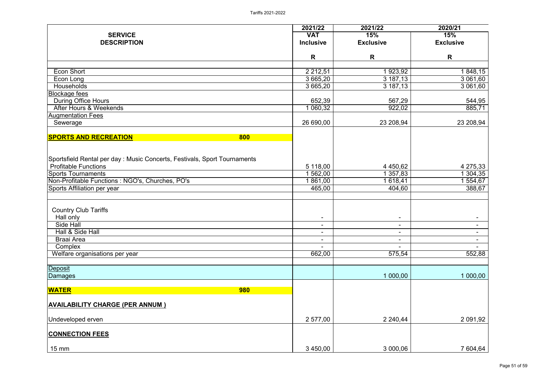|                                                                           | 2021/22          | 2021/22                      | 2020/21          |
|---------------------------------------------------------------------------|------------------|------------------------------|------------------|
| <b>SERVICE</b>                                                            | <b>VAT</b>       | 15%                          | 15%              |
| <b>DESCRIPTION</b>                                                        | <b>Inclusive</b> | <b>Exclusive</b>             | <b>Exclusive</b> |
|                                                                           | R                | R                            | $\mathsf{R}$     |
| Econ Short                                                                | 2 2 1 2 , 5 1    | 1923,92                      | 1848,15          |
| Econ Long                                                                 | 3 665,20         | 3 187,13                     | 3 061,60         |
| <b>Households</b>                                                         | 3 665,20         | 3 187,13                     | 3 061,60         |
| <b>Blockage fees</b>                                                      |                  |                              |                  |
| <b>During Office Hours</b>                                                | 652,39           | 567,29                       | 544,95           |
| After Hours & Weekends                                                    | 1 060,32         | 922,02                       | 885,71           |
| <b>Augmentation Fees</b>                                                  |                  |                              |                  |
| Sewerage                                                                  | 26 690,00        | 23 208,94                    | 23 208,94        |
| <b>SPORTS AND RECREATION</b><br>800                                       |                  |                              |                  |
|                                                                           |                  |                              |                  |
| Sportsfield Rental per day : Music Concerts, Festivals, Sport Tournaments |                  |                              |                  |
| <b>Profitable Functions</b>                                               | 5 118,00         | 4 4 5 0, 6 2                 | 4 275,33         |
| <b>Sports Tournaments</b>                                                 | 562,00           | 1 357,83                     | 1 304,35         |
| Non-Profitable Functions: NGO's, Churches, PO's                           | 861,00           | 618,41                       | 554,67           |
| Sports Affiliation per year                                               | 465,00           | 404,60                       | 388,67           |
|                                                                           |                  |                              |                  |
| <b>Country Club Tariffs</b>                                               |                  |                              |                  |
| Hall only                                                                 |                  |                              |                  |
| <b>Side Hall</b>                                                          | $\blacksquare$   | $\blacksquare$               | $\blacksquare$   |
| Hall & Side Hall                                                          | $\blacksquare$   | $\blacksquare$               |                  |
| <b>Braai Area</b>                                                         | $\blacksquare$   | $\qquad \qquad \blacksquare$ |                  |
| Complex                                                                   | $\blacksquare$   |                              |                  |
| Welfare organisations per year                                            | 662,00           | 575,54                       | 552,88           |
| Deposit                                                                   |                  |                              |                  |
| Damages                                                                   |                  | 1 000,00                     | 1 000,00         |
| <b>WATER</b><br><b>980</b>                                                |                  |                              |                  |
|                                                                           |                  |                              |                  |
| <b>AVAILABILITY CHARGE (PER ANNUM )</b>                                   |                  |                              |                  |
| Undeveloped erven                                                         | 2 577,00         | 2 240,44                     | 2 091,92         |
| <b>CONNECTION FEES</b>                                                    |                  |                              |                  |
| $15 \text{ mm}$                                                           | 3 450,00         | 3 000,06                     | 7 604,64         |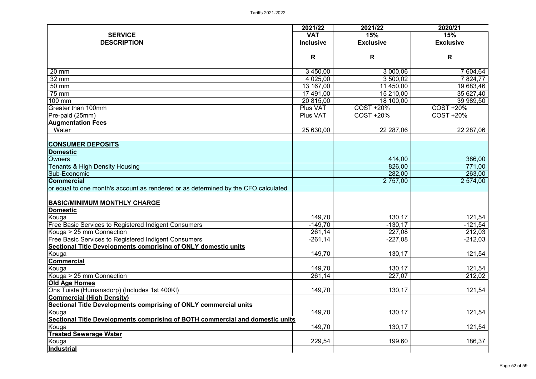|                                                                                    | 2021/22          | 2021/22            | 2020/21            |
|------------------------------------------------------------------------------------|------------------|--------------------|--------------------|
| <b>SERVICE</b>                                                                     | <b>VAT</b>       | 15%                | 15%                |
| <b>DESCRIPTION</b>                                                                 | <b>Inclusive</b> | <b>Exclusive</b>   | <b>Exclusive</b>   |
|                                                                                    |                  |                    |                    |
|                                                                                    | R                | R                  | R                  |
| 20 mm                                                                              | 3 450,00         | 3 000,06           | 7 604,64           |
| 32 mm                                                                              | 4 0 25,00        | 3 500,02           | 7824,77            |
| 50 mm                                                                              | 13 167,00        | 11 450,00          | 19 683,46          |
| 75 mm                                                                              | 17 491,00        | 15 210,00          | 35 627,40          |
| 100 mm                                                                             | 20 815,00        | 18 100,00          | 39 989,50          |
| <b>Greater than 100mm</b>                                                          | <b>Plus VAT</b>  | <b>COST +20%</b>   | <b>COST +20%</b>   |
| Pre-paid (25mm)                                                                    | Plus VAT         | <b>COST +20%</b>   | <b>COST +20%</b>   |
| <b>Augmentation Fees</b>                                                           |                  |                    |                    |
| Water                                                                              | 25 630,00        | 22 287,06          | 22 287,06          |
|                                                                                    |                  |                    |                    |
| <b>CONSUMER DEPOSITS</b>                                                           |                  |                    |                    |
| <b>Domestic</b>                                                                    |                  |                    |                    |
| <b>Owners</b>                                                                      |                  | 414,00             | 386,00             |
| <b>Tenants &amp; High Density Housing</b><br>Sub-Economic                          |                  | 826,00             | 771,00             |
| <b>Commercial</b>                                                                  |                  | 282,00<br>2 757,00 | 263,00<br>2 574,00 |
| or equal to one month's account as rendered or as determined by the CFO calculated |                  |                    |                    |
|                                                                                    |                  |                    |                    |
| <b>BASIC/MINIMUM MONTHLY CHARGE</b>                                                |                  |                    |                    |
| <b>Domestic</b>                                                                    |                  |                    |                    |
| Kouga                                                                              | 149,70           | 130,17             | 121,54             |
| <b>Free Basic Services to Registered Indigent Consumers</b>                        | $-149,70$        | $-130,17$          | $-121,54$          |
| Kouga > 25 mm Connection                                                           | 261,14           | 227,08             | 212,03             |
| <b>Free Basic Services to Registered Indigent Consumers</b>                        | $-261,14$        | $-227,08$          | $-212,03$          |
| Sectional Title Developments comprising of ONLY domestic units                     |                  |                    |                    |
| Kouga                                                                              | 149,70           | 130,17             | 121,54             |
| <b>Commercial</b>                                                                  |                  |                    |                    |
| Kouga                                                                              | 149,70           | 130,17             | 121,54             |
| Kouga > 25 mm Connection                                                           | 261,14           | 227,07             | 212,02             |
| <b>Old Age Homes</b>                                                               |                  |                    |                    |
| Ons Tuiste (Humansdorp) (Includes 1st 400KI)                                       | 149,70           | 130,17             | 121,54             |
| <b>Commercial (High Density)</b>                                                   |                  |                    |                    |
| Sectional Title Developments comprising of ONLY commercial units                   |                  |                    |                    |
| Kouga                                                                              | 149,70           | 130,17             | 121,54             |
| Sectional Title Developments comprising of BOTH commercial and domestic units      |                  |                    |                    |
| Kouga                                                                              | 149,70           | 130,17             | 121,54             |
| <b>Treated Sewerage Water</b>                                                      |                  |                    |                    |
| Kouga                                                                              | 229,54           | 199,60             | 186,37             |
| <u>Industrial</u>                                                                  |                  |                    |                    |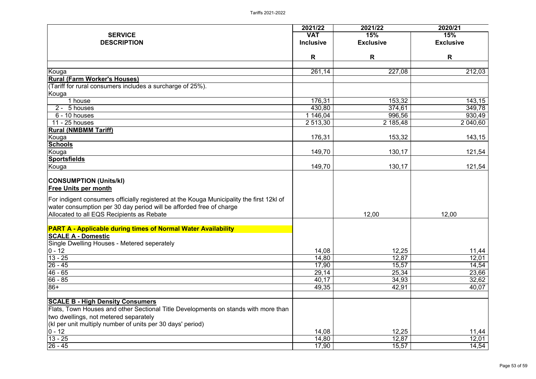|                                                                                          | 2021/22          | 2021/22          | 2020/21          |
|------------------------------------------------------------------------------------------|------------------|------------------|------------------|
| <b>SERVICE</b>                                                                           | <b>VAT</b>       | 15%              | 15%              |
| <b>DESCRIPTION</b>                                                                       | <b>Inclusive</b> | <b>Exclusive</b> | <b>Exclusive</b> |
|                                                                                          | R                | R                | R                |
| Kouga                                                                                    | 261,14           | 227,08           | 212,03           |
| <b>Rural (Farm Worker's Houses)</b>                                                      |                  |                  |                  |
| (Tariff for rural consumers includes a surcharge of 25%).                                |                  |                  |                  |
| Kouga                                                                                    |                  |                  |                  |
| 1 house                                                                                  | 176,31           | 153,32           | 143,15           |
| 2 - 5 houses                                                                             | 430,80           | 374,61           | 349,78           |
| 6 - 10 houses                                                                            | 1 146,04         | 996,56           | 930,49           |
| 11 - 25 houses                                                                           | 2 513,30         | 2 185,48         | 2 040,60         |
| <b>Rural (NMBMM Tariff)</b>                                                              |                  |                  |                  |
| Kouga                                                                                    | 176,31           | 153,32           | 143,15           |
| <b>Schools</b>                                                                           |                  |                  |                  |
| Kouga                                                                                    | 149,70           | 130,17           | 121,54           |
| <b>Sportsfields</b>                                                                      |                  |                  |                  |
| Kouga                                                                                    | 149,70           | 130,17           | 121,54           |
|                                                                                          |                  |                  |                  |
| <b>CONSUMPTION (Units/kl)</b>                                                            |                  |                  |                  |
| <b>Free Units per month</b>                                                              |                  |                  |                  |
| For indigent consumers officially registered at the Kouga Municipality the first 12kl of |                  |                  |                  |
| water consumption per 30 day period will be afforded free of charge                      |                  |                  |                  |
| Allocated to all EQS Recipients as Rebate                                                |                  | 12,00            | 12,00            |
|                                                                                          |                  |                  |                  |
| <b>PART A - Applicable during times of Normal Water Availability</b>                     |                  |                  |                  |
| <b>SCALE A - Domestic</b>                                                                |                  |                  |                  |
| Single Dwelling Houses - Metered seperately                                              |                  |                  |                  |
| $0 - 12$                                                                                 | 14,08            | 12,25            | 11,44            |
| $13 - 25$                                                                                | 14,80            | 12,87            | 12,01            |
| $26 - 45$                                                                                | 17,90            | 15,57            | 14,54            |
| $46 - 65$                                                                                | 29,14            | 25,34            | 23,66            |
| $66 - 85$                                                                                | 40,17            | 34,93            | 32,62            |
| $86+$                                                                                    | 49,35            | 42,91            | 40,07            |
| <b>SCALE B - High Density Consumers</b>                                                  |                  |                  |                  |
| Flats, Town Houses and other Sectional Title Developments on stands with more than       |                  |                  |                  |
| two dwellings, not metered separately                                                    |                  |                  |                  |
| (kl per unit multiply number of units per 30 days' period)                               |                  |                  |                  |
| $ 0 - 12 $                                                                               | 14,08            | 12,25            | 11,44            |
| $13 - 25$                                                                                | 14,80            | 12,87            | 12,01            |
| $26 - 45$                                                                                | 17,90            | 15,57            | 14,54            |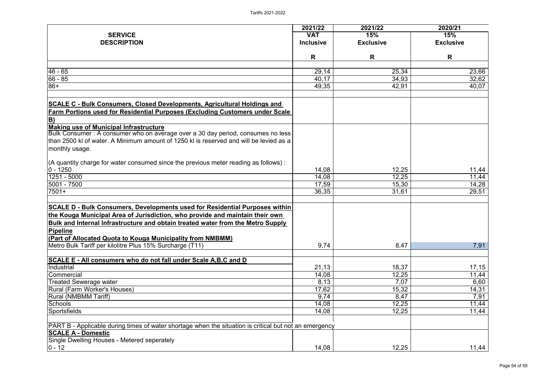|                                                                                                         | 2021/22          | 2021/22          | 2020/21          |
|---------------------------------------------------------------------------------------------------------|------------------|------------------|------------------|
| <b>SERVICE</b>                                                                                          | <b>VAT</b>       | 15%              | 15%              |
| <b>DESCRIPTION</b>                                                                                      | <b>Inclusive</b> | <b>Exclusive</b> | <b>Exclusive</b> |
|                                                                                                         |                  |                  |                  |
|                                                                                                         | R                | R                | R                |
| $46 - 65$                                                                                               | 29,14            | 25,34            | 23,66            |
| $66 - 85$                                                                                               | 40,17            | 34,93            | 32,62            |
| $86+$                                                                                                   | 49,35            | 42,91            | 40,07            |
|                                                                                                         |                  |                  |                  |
| <b>SCALE C - Bulk Consumers, Closed Developments, Agricultural Holdings and</b>                         |                  |                  |                  |
| <b>Farm Portions used for Residential Purposes (Excluding Customers under Scale</b>                     |                  |                  |                  |
| $\mathbf{B}$                                                                                            |                  |                  |                  |
| <b>Making use of Municipal Infrastructure</b>                                                           |                  |                  |                  |
| Bulk Consumer : A consumer who on average over a 30 day period, consumes no less                        |                  |                  |                  |
| than 2500 kl of water. A Minimum amount of 1250 kl is reserved and will be levied as a                  |                  |                  |                  |
| monthly usage.                                                                                          |                  |                  |                  |
| $(A$ quantity charge for water consumed since the previous meter reading as follows):                   |                  |                  |                  |
| $ 0 - 1250 $                                                                                            | 14,08            | 12,25            | 11,44            |
| 1251 - 5000                                                                                             | 14,08            | 12,25            | 11,44            |
| $ 5001 - 7500 $                                                                                         | 17,59            | 15,30            | 14,28            |
| $7501+$                                                                                                 | 36,35            | 31,61            | 29,51            |
|                                                                                                         |                  |                  |                  |
| <b>SCALE D - Bulk Consumers, Developments used for Residential Purposes within</b>                      |                  |                  |                  |
| the Kouga Municipal Area of Jurisdiction, who provide and maintain their own                            |                  |                  |                  |
| <b>Bulk and Internal Infrastructure and obtain treated water from the Metro Supply</b>                  |                  |                  |                  |
| Pipeline                                                                                                |                  |                  |                  |
| (Part of Allocated Quota to Kouga Municipality from NMBMM)                                              |                  |                  |                  |
| Metro Bulk Tariff per kilolitre Plus 15% Surcharge (T11)                                                | 9,74             | 8,47             | 7,91             |
|                                                                                                         |                  |                  |                  |
| <b>SCALE E - All consumers who do not fall under Scale A, B, C and D</b>                                |                  |                  |                  |
| Industrial                                                                                              | 21,13            | 18,37            | 17,15            |
| Commercial                                                                                              | 14,08            | 12,25            | 11,44            |
| Treated Sewerage water                                                                                  | 8,13             | 7,07             | 6,60             |
| <b>Rural (Farm Worker's Houses)</b>                                                                     | 17,62            | 15,32            | 14,31            |
| <b>Rural (NMBMM Tariff)</b>                                                                             | 9,74             | 8,47             | 7,91             |
| Schools                                                                                                 | 14,08            | 12,25            | 11,44            |
| <b>Sportsfields</b>                                                                                     | 14,08            | 12,25            | 11,44            |
| [PART B - Applicable during times of water shortage when the situation is critical but not an emergency |                  |                  |                  |
| <b>SCALE A - Domestic</b>                                                                               |                  |                  |                  |
| Single Dwelling Houses - Metered seperately                                                             |                  |                  |                  |
| $ 0 - 12 $                                                                                              | 14,08            | 12,25            | 11,44            |
|                                                                                                         |                  |                  |                  |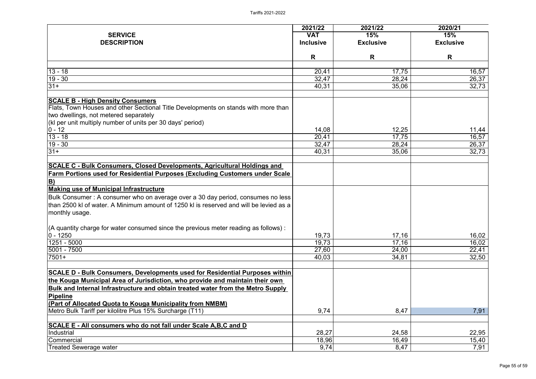| <b>SERVICE</b>                                                                                                                                                                                                                                                                                                                                                                                                                                                                                                                                                                      | <b>VAT</b>              |                         |                         |
|-------------------------------------------------------------------------------------------------------------------------------------------------------------------------------------------------------------------------------------------------------------------------------------------------------------------------------------------------------------------------------------------------------------------------------------------------------------------------------------------------------------------------------------------------------------------------------------|-------------------------|-------------------------|-------------------------|
|                                                                                                                                                                                                                                                                                                                                                                                                                                                                                                                                                                                     |                         | 15%                     | 15%                     |
| <b>DESCRIPTION</b>                                                                                                                                                                                                                                                                                                                                                                                                                                                                                                                                                                  | <b>Inclusive</b>        | <b>Exclusive</b>        | <b>Exclusive</b>        |
|                                                                                                                                                                                                                                                                                                                                                                                                                                                                                                                                                                                     | R                       | R                       | R                       |
| $13 - 18$                                                                                                                                                                                                                                                                                                                                                                                                                                                                                                                                                                           | 20,41                   | 17,75                   |                         |
| $19 - 30$                                                                                                                                                                                                                                                                                                                                                                                                                                                                                                                                                                           | 32,47                   | 28,24                   | 16,57<br>26,37          |
| $31+$                                                                                                                                                                                                                                                                                                                                                                                                                                                                                                                                                                               | 40,31                   | 35,06                   | 32,73                   |
|                                                                                                                                                                                                                                                                                                                                                                                                                                                                                                                                                                                     |                         |                         |                         |
| <b>SCALE B - High Density Consumers</b><br>Flats, Town Houses and other Sectional Title Developments on stands with more than<br>two dwellings, not metered separately<br>(kl per unit multiply number of units per 30 days' period)                                                                                                                                                                                                                                                                                                                                                |                         |                         |                         |
| $0 - 12$                                                                                                                                                                                                                                                                                                                                                                                                                                                                                                                                                                            | 14,08                   | 12,25                   | 11,44                   |
| $13 - 18$                                                                                                                                                                                                                                                                                                                                                                                                                                                                                                                                                                           | 20,41                   | 17,75                   | 16,57                   |
| $19 - 30$                                                                                                                                                                                                                                                                                                                                                                                                                                                                                                                                                                           | 32,47                   | 28,24                   | 26,37                   |
| $31+$                                                                                                                                                                                                                                                                                                                                                                                                                                                                                                                                                                               | 40,31                   | 35,06                   | 32,73                   |
| <b>SCALE C - Bulk Consumers, Closed Developments, Agricultural Holdings and</b><br><b>Farm Portions used for Residential Purposes (Excluding Customers under Scale</b><br>$\vert B \rangle$<br><b>Making use of Municipal Infrastructure</b><br>Bulk Consumer : A consumer who on average over a 30 day period, consumes no less<br>than 2500 kl of water. A Minimum amount of 1250 kl is reserved and will be levied as a<br>monthly usage.<br>$(A$ quantity charge for water consumed since the previous meter reading as follows):<br>$ 0 - 1250 $<br>1251 - 5000<br>5001 - 7500 | 19,73<br>19,73<br>27,60 | 17,16<br>17,16<br>24,00 | 16,02<br>16,02<br>22,41 |
| $7501+$                                                                                                                                                                                                                                                                                                                                                                                                                                                                                                                                                                             | 40,03                   | 34,81                   | 32,50                   |
| SCALE D - Bulk Consumers, Developments used for Residential Purposes within<br>the Kouga Municipal Area of Jurisdiction, who provide and maintain their own<br>Bulk and Internal Infrastructure and obtain treated water from the Metro Supply<br>Pipeline<br><u>(Part of Allocated Quota to Kouga Municipality from NMBM)</u>                                                                                                                                                                                                                                                      |                         |                         |                         |
| Metro Bulk Tariff per kilolitre Plus 15% Surcharge (T11)                                                                                                                                                                                                                                                                                                                                                                                                                                                                                                                            | 9,74                    | 8,47                    | 7,91                    |
| SCALE E - All consumers who do not fall under Scale A, B, C and D<br>Industrial                                                                                                                                                                                                                                                                                                                                                                                                                                                                                                     | 28,27                   | 24,58                   | 22,95                   |
| Commercial                                                                                                                                                                                                                                                                                                                                                                                                                                                                                                                                                                          | 18,96                   | 16,49                   | 15,40                   |
| Treated Sewerage water                                                                                                                                                                                                                                                                                                                                                                                                                                                                                                                                                              | 9,74                    | 8,47                    | 7,91                    |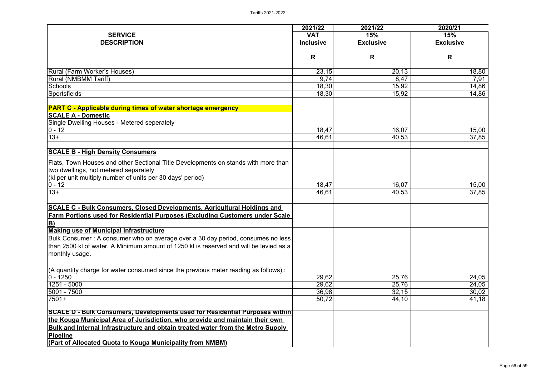|                                                                                        | 2021/22          | 2021/22          | 2020/21          |
|----------------------------------------------------------------------------------------|------------------|------------------|------------------|
| <b>SERVICE</b>                                                                         | <b>VAT</b>       | 15%              | 15%              |
| <b>DESCRIPTION</b>                                                                     | <b>Inclusive</b> | <b>Exclusive</b> | <b>Exclusive</b> |
|                                                                                        | R                | R                | R                |
| Rural (Farm Worker's Houses)                                                           | 23,15            | 20, 13           | 18,80            |
| <b>Rural (NMBMM Tariff)</b>                                                            | 9,74             | 8,47             | 7,91             |
| Schools                                                                                | 18,30            | 15,92            | 14,86            |
| Sportsfields                                                                           | 18,30            | 15,92            | 14,86            |
| <b>PART C - Applicable during times of water shortage emergency</b>                    |                  |                  |                  |
| <b>SCALE A - Domestic</b>                                                              |                  |                  |                  |
| Single Dwelling Houses - Metered seperately                                            |                  |                  |                  |
| $ 0 - 12 $                                                                             | 18,47            | 16,07            | 15,00            |
| $13+$                                                                                  | 46,61            | 40,53            | 37,85            |
| <b>SCALE B - High Density Consumers</b>                                                |                  |                  |                  |
| Flats, Town Houses and other Sectional Title Developments on stands with more than     |                  |                  |                  |
| two dwellings, not metered separately                                                  |                  |                  |                  |
| (kl per unit multiply number of units per 30 days' period)                             |                  |                  |                  |
| $ 0 - 12 $                                                                             | 18,47            | 16,07            | 15,00            |
| $13+$                                                                                  | 46,61            | 40,53            | 37,85            |
| <b>SCALE C - Bulk Consumers, Closed Developments, Agricultural Holdings and</b>        |                  |                  |                  |
| <b>Farm Portions used for Residential Purposes (Excluding Customers under Scale</b>    |                  |                  |                  |
| $\underline{\mathbf{B}}$                                                               |                  |                  |                  |
| <b>Making use of Municipal Infrastructure</b>                                          |                  |                  |                  |
| Bulk Consumer : A consumer who on average over a 30 day period, consumes no less       |                  |                  |                  |
| than 2500 kl of water. A Minimum amount of 1250 kl is reserved and will be levied as a |                  |                  |                  |
| monthly usage.                                                                         |                  |                  |                  |
| $(A$ quantity charge for water consumed since the previous meter reading as follows):  |                  |                  |                  |
| $ 0 - 1250 $                                                                           | 29,62            | 25,76            | 24,05            |
| 1251 - 5000                                                                            | 29,62            | 25,76            | 24,05            |
| 5001 - 7500                                                                            | 36,98            | 32,15            | 30,02            |
| $7501+$                                                                                | 50,72            | 44,10            | 41,18            |
| SCALE D - Bulk Consumers, Developments used for Residential Purposes within            |                  |                  |                  |
| the Kouga Municipal Area of Jurisdiction, who provide and maintain their own           |                  |                  |                  |
| Bulk and Internal Infrastructure and obtain treated water from the Metro Supply        |                  |                  |                  |
| Pipeline                                                                               |                  |                  |                  |
| <b>(Part of Allocated Quota to Kouga Municipality from NMBM)</b>                       |                  |                  |                  |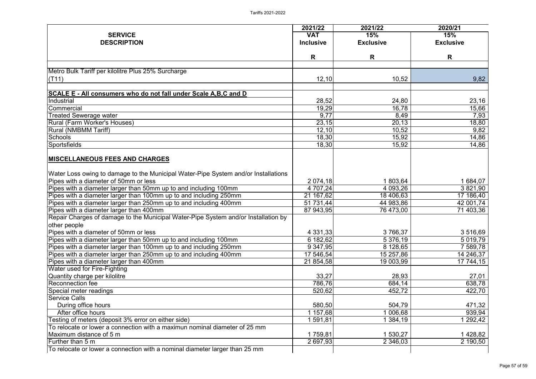|                                                                                    | 2021/22          | 2021/22          | 2020/21          |
|------------------------------------------------------------------------------------|------------------|------------------|------------------|
| <b>SERVICE</b>                                                                     | <b>VAT</b>       | 15%              | 15%              |
| <b>DESCRIPTION</b>                                                                 | <b>Inclusive</b> | <b>Exclusive</b> | <b>Exclusive</b> |
|                                                                                    |                  |                  |                  |
|                                                                                    | R                | R                | R                |
| Metro Bulk Tariff per kilolitre Plus 25% Surcharge                                 |                  |                  |                  |
| (T11)                                                                              | 12,10            | 10,52            | 9,82             |
|                                                                                    |                  |                  |                  |
| <b>SCALE E - All consumers who do not fall under Scale A, B, C and D</b>           |                  |                  |                  |
| Industrial                                                                         | 28,52            | 24,80            | 23,16            |
| Commercial                                                                         | 19,29            | 16,78            | 15,66            |
| <b>Treated Sewerage water</b>                                                      | 9,77             | 8,49             | 7,93             |
| <b>Rural (Farm Worker's Houses)</b>                                                | 23,15            | 20,13            | 18,80            |
| <b>Rural (NMBMM Tariff)</b>                                                        | 12,10            | 10,52            | 9,82             |
| Schools                                                                            | 18,30            | 15,92            | 14,86            |
| <b>Sportsfields</b>                                                                | 18,30            | 15,92            | 14,86            |
|                                                                                    |                  |                  |                  |
| <b>MISCELLANEOUS FEES AND CHARGES</b>                                              |                  |                  |                  |
| Water Loss owing to damage to the Municipal Water-Pipe System and/or Installations |                  |                  |                  |
| Pipes with a diameter of 50mm or less                                              | 2 0 74, 18       | 1 803,64         | 1 684,07         |
| Pipes with a diameter larger than 50mm up to and including 100mm                   | 4 707,24         | 4 093,26         | 3 821,90         |
| Pipes with a diameter larger than 100mm up to and including 250mm                  | 21 167,62        | 18 406,63        | 17 186,40        |
| Pipes with a diameter larger than 250mm up to and including 400mm                  | 51 731,44        | 44 983,86        | 42 001,74        |
| Pipes with a diameter larger than 400mm                                            | 87 943,95        | 76 473,00        | 71 403,36        |
| Repair Charges of damage to the Municipal Water-Pipe System and/or Installation by |                  |                  |                  |
| other people                                                                       |                  |                  |                  |
| Pipes with a diameter of 50mm or less                                              | 4 3 3 1 , 3 3    | 3766,37          | 3 516,69         |
| Pipes with a diameter larger than 50mm up to and including 100mm                   | 6 182,62         | 5 376,19         | 5 019,79         |
| Pipes with a diameter larger than 100mm up to and including 250mm                  | 9 347,95         | 8 128,65         | 7 589,78         |
| Pipes with a diameter larger than 250mm up to and including 400mm                  | 17 546,54        | 15 257,86        | 14 246,37        |
| Pipes with a diameter larger than 400mm                                            | 21 854,58        | 19 003,99        | 17 744,15        |
| Water used for Fire-Fighting                                                       |                  |                  |                  |
| Quantity charge per kilolitre                                                      | 33,27            | 28,93            | 27,01            |
| <b>Reconnection fee</b>                                                            | 786,76           | 684,14           | 638,78           |
| Special meter readings                                                             | 520,62           | 452,72           | 422,70           |
| <b>Service Calls</b>                                                               |                  |                  |                  |
| During office hours                                                                | 580,50           | 504,79           | 471,32           |
| After office hours                                                                 | 1 157,68         | 006,68           | 939,94           |
| Testing of meters (deposit 3% error on either side)                                | 591,81           | 384,19           | 292,42           |
| To relocate or lower a connection with a maximun nominal diameter of 25 mm         |                  |                  |                  |
| Maximum distance of 5 m                                                            | 1759,81          | 1 530,27         | 1428,82          |
| Further than 5 m                                                                   | 2 697,93         | 2 346,03         | 2 190,50         |
| To relocate or lower a connection with a nominal diameter larger than 25 mm        |                  |                  |                  |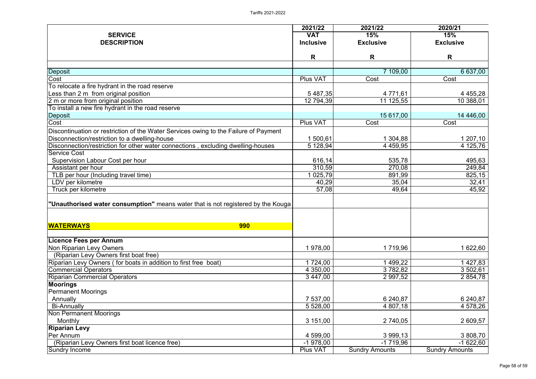|                                                                                      | 2021/22          | 2021/22               | 2020/21               |
|--------------------------------------------------------------------------------------|------------------|-----------------------|-----------------------|
| <b>SERVICE</b>                                                                       | <b>VAT</b>       | 15%                   | 15%                   |
| <b>DESCRIPTION</b>                                                                   | <b>Inclusive</b> | <b>Exclusive</b>      | <b>Exclusive</b>      |
|                                                                                      | R                | R                     | R                     |
|                                                                                      |                  |                       |                       |
| Deposit                                                                              |                  | 7 109,00              | 6 637,00              |
| Cost                                                                                 | <b>Plus VAT</b>  | Cost                  | Cost                  |
| To relocate a fire hydrant in the road reserve                                       |                  |                       |                       |
| Less than 2 m from original position                                                 | 5 487,35         | 4 771,61              | 4 4 5 5, 28           |
| 2 m or more from original position                                                   | 12 794,39        | 11 125,55             | 10 388,01             |
| To install a new fire hydrant in the road reserve                                    |                  |                       |                       |
| Deposit                                                                              |                  | 15 617,00             | 14 446,00             |
| Cost                                                                                 | <b>Plus VAT</b>  | Cost                  | Cost                  |
| Discontinuation or restriction of the Water Services owing to the Failure of Payment |                  |                       |                       |
| Disconnection/restriction to a dwelling-house                                        | 1 500,61         | 1 304,88              | 1 207,10              |
| Disconnection/restriction for other water connections, excluding dwelling-houses     | 5 128,94         | 4 4 5 9, 9 5          | 4 125,76              |
| <b>Service Cost</b>                                                                  |                  |                       |                       |
| Supervision Labour Cost per hour                                                     | 616,14           | 535,78                | 495,63                |
| Assistant per hour                                                                   | 310,59           | 270,08                | 249,84                |
| TLB per hour (Including travel time)                                                 | 025,79           | 891,99                | 825,15                |
| LDV per kilometre                                                                    | 40,29            | 35,04                 | 32,41                 |
| Truck per kilometre                                                                  | 57,08            | 49,64                 | 45,92                 |
| "Unauthorised water consumption" means water that is not registered by the Kouga     |                  |                       |                       |
| <b>WATERWAYS</b><br><b>990</b>                                                       |                  |                       |                       |
| <b>Licence Fees per Annum</b>                                                        |                  |                       |                       |
| <b>Non Riparian Levy Owners</b>                                                      | 1 978,00         | 1719,96               | 1 622,60              |
| (Riparian Levy Owners first boat free)                                               |                  |                       |                       |
| Riparian Levy Owners (for boats in addition to first free boat)                      | 1 724,00         | 499,22                | 1 427,83              |
| <b>Commercial Operators</b>                                                          | 4 350,00         | 3782,82               | 3 502,61              |
| <b>Riparian Commercial Operators</b>                                                 | 3 447,00         | 2 9 9 7, 5 2          | 2 854,78              |
| <b>Moorings</b>                                                                      |                  |                       |                       |
| <b>Permanent Moorings</b>                                                            |                  |                       |                       |
| Annually                                                                             | 7 537,00         | 6 240,87              | 6 240,87              |
| <b>Bi-Annually</b>                                                                   | 5 528,00         | 4 807,18              | 4 578,26              |
| <b>Non Permanent Moorings</b>                                                        |                  |                       |                       |
| <b>Monthly</b>                                                                       | 3 151,00         | 2 740,05              | 2 609,57              |
| <b>Riparian Levy</b>                                                                 |                  |                       |                       |
| Per Annum                                                                            | 4 599,00         | 3 999,13              | 3 808,70              |
| (Riparian Levy Owners first boat licence free)                                       | $-1978,00$       | $-1719,96$            | $-1622,60$            |
| Sundry Income                                                                        | <b>Plus VAT</b>  | <b>Sundry Amounts</b> | <b>Sundry Amounts</b> |